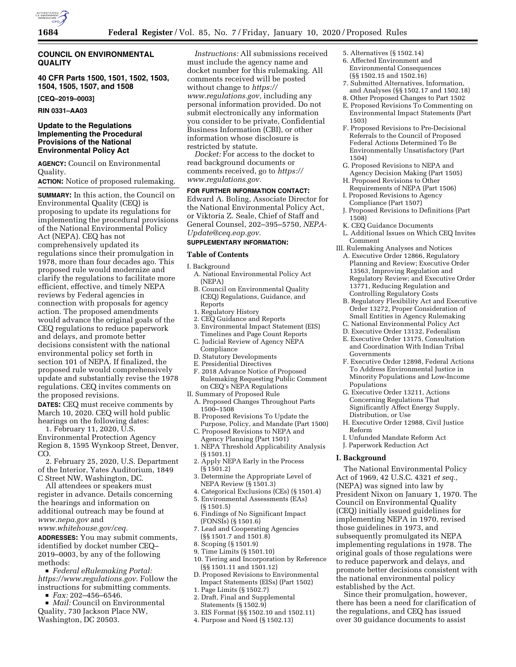

# **COUNCIL ON ENVIRONMENTAL QUALITY**

**40 CFR Parts 1500, 1501, 1502, 1503, 1504, 1505, 1507, and 1508** 

**[CEQ–2019–0003]** 

**RIN 0331–AA03** 

# **Update to the Regulations Implementing the Procedural Provisions of the National Environmental Policy Act**

**AGENCY:** Council on Environmental Quality.

**ACTION:** Notice of proposed rulemaking.

**SUMMARY:** In this action, the Council on Environmental Quality (CEQ) is proposing to update its regulations for implementing the procedural provisions of the National Environmental Policy Act (NEPA). CEQ has not comprehensively updated its regulations since their promulgation in 1978, more than four decades ago. This proposed rule would modernize and clarify the regulations to facilitate more efficient, effective, and timely NEPA reviews by Federal agencies in connection with proposals for agency action. The proposed amendments would advance the original goals of the CEQ regulations to reduce paperwork and delays, and promote better decisions consistent with the national environmental policy set forth in section 101 of NEPA. If finalized, the proposed rule would comprehensively update and substantially revise the 1978 regulations. CEQ invites comments on the proposed revisions.

**DATES:** CEQ must receive comments by March 10, 2020. CEQ will hold public hearings on the following dates:

1. February 11, 2020, U.S. Environmental Protection Agency Region 8, 1595 Wynkoop Street, Denver, CO.

2. February 25, 2020, U.S. Department of the Interior, Yates Auditorium, 1849 C Street NW, Washington, DC.

All attendees or speakers must register in advance. Details concerning the hearings and information on additional outreach may be found at *[www.nepa.gov](http://www.nepa.gov)* and

*[www.whitehouse.gov/ceq.](http://www.whitehouse.gov/ceq)* 

**ADDRESSES:** You may submit comments, identified by docket number CEQ– 2019–0003, by any of the following methods:

■ Federal eRulemaking Portal: *[https://www.regulations.gov.](https://www.regulations.gov)* Follow the instructions for submitting comments.<br> $\blacksquare$  Fax: 202-456-6546.

■ *Fax:* 202–456–6546.<br>■ *Mail:* Council on Eny **=** *Mail:* **Council on Environmental**<br>1ality 730 Jackson Place NW Quality, 730 Jackson Place NW, Washington, DC 20503.

*Instructions:* All submissions received must include the agency name and docket number for this rulemaking. All comments received will be posted without change to *[https://](https://www.regulations.gov) [www.regulations.gov,](https://www.regulations.gov)* including any personal information provided. Do not submit electronically any information you consider to be private, Confidential Business Information (CBI), or other information whose disclosure is restricted by statute.

*Docket:* For access to the docket to read background documents or comments received, go to *[https://](https://www.regulations.gov) [www.regulations.gov.](https://www.regulations.gov)* 

# **FOR FURTHER INFORMATION CONTACT:**

Edward A. Boling, Associate Director for the National Environmental Policy Act, or Viktoria Z. Seale, Chief of Staff and General Counsel, 202–395–5750, *[NEPA-](mailto:NEPA-Update@ceq.eop.gov)[Update@ceq.eop.gov.](mailto:NEPA-Update@ceq.eop.gov)* 

# **SUPPLEMENTARY INFORMATION:**

## **Table of Contents**

I. Background

- A. National Environmental Policy Act (NEPA)
- B. Council on Environmental Quality (CEQ) Regulations, Guidance, and Reports
- 1. Regulatory History
- 2. CEQ Guidance and Reports
- 3. Environmental Impact Statement (EIS) Timelines and Page Count Reports
- C. Judicial Review of Agency NEPA Compliance
- D. Statutory Developments
- E. Presidential Directives
- F. 2018 Advance Notice of Proposed Rulemaking Requesting Public Comment on CEQ's NEPA Regulations
- II. Summary of Proposed Rule
- A. Proposed Changes Throughout Parts 1500–1508
- B. Proposed Revisions To Update the Purpose, Policy, and Mandate (Part 1500)
- C. Proposed Revisions to NEPA and Agency Planning (Part 1501)
- 1. NEPA Threshold Applicability Analysis (§ 1501.1)
- 2. Apply NEPA Early in the Process (§ 1501.2)
- 3. Determine the Appropriate Level of NEPA Review (§ 1501.3)
- 4. Categorical Exclusions (CEs) (§ 1501.4)
- 5. Environmental Assessments (EAs) (§ 1501.5)
- 6. Findings of No Significant Impact (FONSIs) (§ 1501.6)
- 7. Lead and Cooperating Agencies (§§ 1501.7 and 1501.8)
- 8. Scoping (§ 1501.9)
- 9. Time Limits (§ 1501.10)
- 10. Tiering and Incorporation by Reference (§§ 1501.11 and 1501.12)
- D. Proposed Revisions to Environmental Impact Statements (EISs) (Part 1502)
- 1. Page Limits (§ 1502.7)
- 2. Draft, Final and Supplemental Statements (§ 1502.9)
- 3. EIS Format (§§ 1502.10 and 1502.11)
- 4. Purpose and Need (§ 1502.13)
- 5. Alternatives (§ 1502.14)
- 6. Affected Environment and Environmental Consequences (§§ 1502.15 and 1502.16)
- 7. Submitted Alternatives, Information, and Analyses (§§ 1502.17 and 1502.18)
- 8. Other Proposed Changes to Part 1502
- E. Proposed Revisions To Commenting on Environmental Impact Statements (Part 1503)
- F. Proposed Revisions to Pre-Decisional Referrals to the Council of Proposed Federal Actions Determined To Be Environmentally Unsatisfactory (Part 1504)
- G. Proposed Revisions to NEPA and Agency Decision Making (Part 1505)
- H. Proposed Revisions to Other Requirements of NEPA (Part 1506)
- I. Proposed Revisions to Agency Compliance (Part 1507)
- J. Proposed Revisions to Definitions (Part 1508)
- K. CEQ Guidance Documents
- L. Additional Issues on Which CEQ Invites Comment
- III. Rulemaking Analyses and Notices
- A. Executive Order 12866, Regulatory Planning and Review; Executive Order 13563, Improving Regulation and Regulatory Review; and Executive Order 13771, Reducing Regulation and Controlling Regulatory Costs
- B. Regulatory Flexibility Act and Executive Order 13272, Proper Consideration of Small Entities in Agency Rulemaking
- C. National Environmental Policy Act
- D. Executive Order 13132, Federalism
- E. Executive Order 13175, Consultation and Coordination With Indian Tribal Governments
- F. Executive Order 12898, Federal Actions To Address Environmental Justice in Minority Populations and Low-Income Populations
- G. Executive Order 13211, Actions Concerning Regulations That Significantly Affect Energy Supply, Distribution, or Use
- H. Executive Order 12988, Civil Justice Reform
- I. Unfunded Mandate Reform Act
- J. Paperwork Reduction Act

### **I. Background**

The National Environmental Policy Act of 1969, 42 U.S.C. 4321 *et seq.,*  (NEPA) was signed into law by President Nixon on January 1, 1970. The Council on Environmental Quality (CEQ) initially issued guidelines for implementing NEPA in 1970, revised those guidelines in 1973, and subsequently promulgated its NEPA implementing regulations in 1978. The original goals of those regulations were to reduce paperwork and delays, and promote better decisions consistent with the national environmental policy established by the Act.

Since their promulgation, however, there has been a need for clarification of the regulations, and CEQ has issued over 30 guidance documents to assist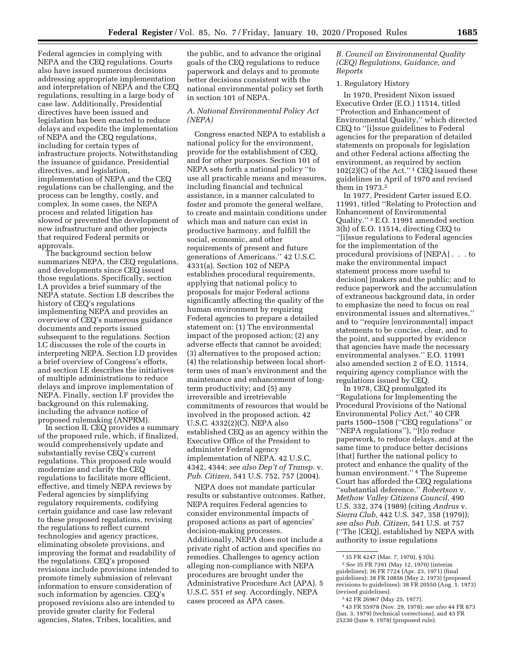Federal agencies in complying with NEPA and the CEQ regulations. Courts also have issued numerous decisions addressing appropriate implementation and interpretation of NEPA and the CEQ regulations, resulting in a large body of case law. Additionally, Presidential directives have been issued and legislation has been enacted to reduce delays and expedite the implementation of NEPA and the CEQ regulations, including for certain types of infrastructure projects. Notwithstanding the issuance of guidance, Presidential directives, and legislation, implementation of NEPA and the CEQ regulations can be challenging, and the process can be lengthy, costly, and complex. In some cases, the NEPA process and related litigation has slowed or prevented the development of new infrastructure and other projects that required Federal permits or approvals.

The background section below summarizes NEPA, the CEQ regulations, and developments since CEQ issued those regulations. Specifically, section I.A provides a brief summary of the NEPA statute. Section I.B describes the history of CEQ's regulations implementing NEPA and provides an overview of CEQ's numerous guidance documents and reports issued subsequent to the regulations. Section I.C discusses the role of the courts in interpreting NEPA. Section I.D provides a brief overview of Congress's efforts, and section I.E describes the initiatives of multiple administrations to reduce delays and improve implementation of NEPA. Finally, section I.F provides the background on this rulemaking, including the advance notice of proposed rulemaking (ANPRM).

In section II, CEQ provides a summary of the proposed rule, which, if finalized, would comprehensively update and substantially revise CEQ's current regulations. This proposed rule would modernize and clarify the CEQ regulations to facilitate more efficient, effective, and timely NEPA reviews by Federal agencies by simplifying regulatory requirements, codifying certain guidance and case law relevant to these proposed regulations, revising the regulations to reflect current technologies and agency practices, eliminating obsolete provisions, and improving the format and readability of the regulations. CEQ's proposed revisions include provisions intended to promote timely submission of relevant information to ensure consideration of such information by agencies. CEQ's proposed revisions also are intended to provide greater clarity for Federal agencies, States, Tribes, localities, and

the public, and to advance the original goals of the CEQ regulations to reduce paperwork and delays and to promote better decisions consistent with the national environmental policy set forth in section 101 of NEPA.

# *A. National Environmental Policy Act (NEPA)*

Congress enacted NEPA to establish a national policy for the environment, provide for the establishment of CEQ, and for other purposes. Section 101 of NEPA sets forth a national policy ''to use all practicable means and measures, including financial and technical assistance, in a manner calculated to foster and promote the general welfare, to create and maintain conditions under which man and nature can exist in productive harmony, and fulfill the social, economic, and other requirements of present and future generations of Americans.'' 42 U.S.C. 4331(a). Section 102 of NEPA establishes procedural requirements, applying that national policy to proposals for major Federal actions significantly affecting the quality of the human environment by requiring Federal agencies to prepare a detailed statement on: (1) The environmental impact of the proposed action; (2) any adverse effects that cannot be avoided; (3) alternatives to the proposed action; (4) the relationship between local shortterm uses of man's environment and the maintenance and enhancement of longterm productivity; and (5) any irreversible and irretrievable commitments of resources that would be involved in the proposed action. 42 U.S.C. 4332(2)(C). NEPA also established CEQ as an agency within the Executive Office of the President to administer Federal agency implementation of NEPA. 42 U.S.C. 4342, 4344; *see also Dep't of Transp.* v. *Pub. Citizen,* 541 U.S. 752, 757 (2004).

NEPA does not mandate particular results or substantive outcomes. Rather, NEPA requires Federal agencies to consider environmental impacts of proposed actions as part of agencies' decision-making processes. Additionally, NEPA does not include a private right of action and specifies no remedies. Challenges to agency action alleging non-compliance with NEPA procedures are brought under the Administrative Procedure Act (APA). 5 U.S.C. 551 *et seq.* Accordingly, NEPA cases proceed as APA cases.

## *B. Council on Environmental Quality (CEQ) Regulations, Guidance, and Reports*

# 1. Regulatory History

In 1970, President Nixon issued Executive Order (E.O.) 11514, titled ''Protection and Enhancement of Environmental Quality,'' which directed CEQ to ''[i]ssue guidelines to Federal agencies for the preparation of detailed statements on proposals for legislation and other Federal actions affecting the environment, as required by section  $102(2)(C)$  of the Act."<sup>1</sup> CEQ issued these guidelines in April of 1970 and revised them in 1973.2

In 1977, President Carter issued E.O. 11991, titled ''Relating to Protection and Enhancement of Environmental Quality.'' 3 E.O. 11991 amended section 3(h) of E.O. 11514, directing CEQ to ''[i]ssue regulations to Federal agencies for the implementation of the procedural provisions of [NEPA] . . . to make the environmental impact statement process more useful to decision[ ]makers and the public; and to reduce paperwork and the accumulation of extraneous background data, in order to emphasize the need to focus on real environmental issues and alternatives,'' and to ''require [environmental] impact statements to be concise, clear, and to the point, and supported by evidence that agencies have made the necessary environmental analyses.'' E.O. 11991 also amended section 2 of E.O. 11514, requiring agency compliance with the regulations issued by CEQ.

In 1978, CEQ promulgated its ''Regulations for Implementing the Procedural Provisions of the National Environmental Policy Act,'' 40 CFR parts 1500–1508 (''CEQ regulations'' or ''NEPA regulations''), ''[t]o reduce paperwork, to reduce delays, and at the same time to produce better decisions [that] further the national policy to protect and enhance the quality of the human environment.'' 4 The Supreme Court has afforded the CEQ regulations ''substantial deference.'' *Robertson* v. *Methow Valley Citizens Council,* 490 U.S. 332, 374 (1989) (citing *Andrus* v. *Sierra Club,* 442 U.S. 347, 358 (1979)); *see also Pub. Citizen,* 541 U.S. at 757 (''The [CEQ], established by NEPA with authority to issue regulations

3 42 FR 26967 (May 25, 1977).

<sup>1</sup> 35 FR 4247 (Mar. 7, 1970), § 3(h).

<sup>2</sup>*See* 35 FR 7391 (May 12, 1970) (interim guidelines); 36 FR 7724 (Apr. 23, 1971) (final guidelines); 38 FR 10856 (May 2, 1973) (proposed revisions to guidelines); 38 FR 20550 (Aug. 1, 1973) (revised guidelines).

<sup>4</sup> 43 FR 55978 (Nov. 29, 1978); *see also* 44 FR 873 (Jan. 3, 1979) (technical corrections), and 43 FR 25230 (June 9, 1978) (proposed rule).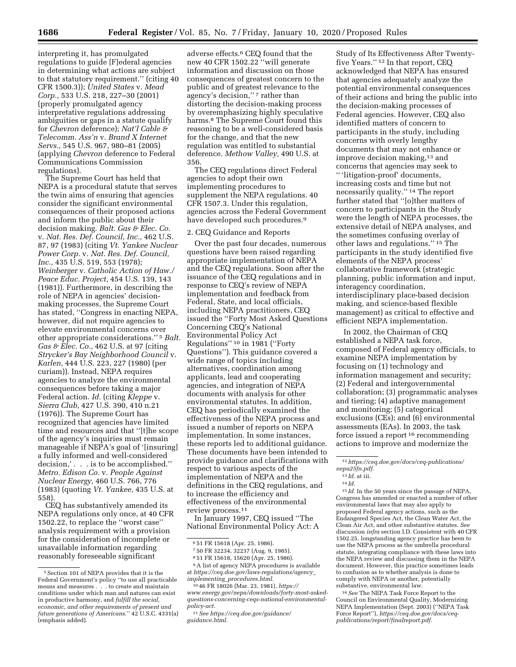interpreting it, has promulgated regulations to guide [F]ederal agencies in determining what actions are subject to that statutory requirement.'' (citing 40 CFR 1500.3)); *United States* v. *Mead Corp.,* 533 U.S. 218, 227–30 (2001) (properly promulgated agency interpretative regulations addressing ambiguities or gaps in a statute qualify for *Chevron* deference); *Nat'l Cable & Telecomm. Ass'n* v. *Brand X Internet Servs.,* 545 U.S. 967, 980–81 (2005) (applying *Chevron* deference to Federal Communications Commission regulations).

The Supreme Court has held that NEPA is a procedural statute that serves the twin aims of ensuring that agencies consider the significant environmental consequences of their proposed actions and inform the public about their decision making. *Balt. Gas & Elec. Co.*  v. *Nat. Res. Def. Council, Inc.,* 462 U.S. 87, 97 (1983) (citing *Vt. Yankee Nuclear Power Corp.* v. *Nat. Res. Def. Council, Inc.,* 435 U.S. 519, 553 (1978); *Weinberger* v. *Catholic Action of Haw./ Peace Educ. Project,* 454 U.S. 139, 143 (1981)). Furthermore, in describing the role of NEPA in agencies' decisionmaking processes, the Supreme Court has stated, ''Congress in enacting NEPA, however, did not require agencies to elevate environmental concerns over other appropriate considerations.'' 5 *Balt. Gas & Elec. Co.,* 462 U.S. at 97 (citing *Strycker's Bay Neighborhood Council* v. *Karlen,* 444 U.S. 223, 227 (1980) (per curiam)). Instead, NEPA requires agencies to analyze the environmental consequences before taking a major Federal action. *Id.* (citing *Kleppe* v. *Sierra Club,* 427 U.S. 390, 410 n.21 (1976)). The Supreme Court has recognized that agencies have limited time and resources and that ''[t]he scope of the agency's inquiries must remain manageable if NEPA's goal of '[insuring] a fully informed and well-considered decision,  $\ldots$  is to be accomplished." *Metro. Edison Co.* v. *People Against Nuclear Energy,* 460 U.S. 766, 776 (1983) (quoting *Vt. Yankee,* 435 U.S. at 558).

CEQ has substantively amended its NEPA regulations only once, at 40 CFR 1502.22, to replace the ''worst case'' analysis requirement with a provision for the consideration of incomplete or unavailable information regarding reasonably foreseeable significant

adverse effects.<sup>6</sup> CEQ found that the new 40 CFR 1502.22 ''will generate information and discussion on those consequences of greatest concern to the public and of greatest relevance to the agency's decision,"<sup>7</sup> rather than distorting the decision-making process by overemphasizing highly speculative harms.8 The Supreme Court found this reasoning to be a well-considered basis for the change, and that the new regulation was entitled to substantial deference. *Methow Valley,* 490 U.S. at 356.

The CEQ regulations direct Federal agencies to adopt their own implementing procedures to supplement the NEPA regulations. 40 CFR 1507.3. Under this regulation, agencies across the Federal Government have developed such procedures.9

#### 2. CEQ Guidance and Reports

Over the past four decades, numerous questions have been raised regarding appropriate implementation of NEPA and the CEQ regulations. Soon after the issuance of the CEQ regulations and in response to CEQ's review of NEPA implementation and feedback from Federal, State, and local officials, including NEPA practitioners, CEQ issued the ''Forty Most Asked Questions Concerning CEQ's National Environmental Policy Act Regulations'' 10 in 1981 (''Forty Questions''). This guidance covered a wide range of topics including alternatives, coordination among applicants, lead and cooperating agencies, and integration of NEPA documents with analysis for other environmental statutes. In addition, CEQ has periodically examined the effectiveness of the NEPA process and issued a number of reports on NEPA implementation. In some instances, these reports led to additional guidance. These documents have been intended to provide guidance and clarifications with respect to various aspects of the implementation of NEPA and the definitions in the CEQ regulations, and to increase the efficiency and effectiveness of the environmental review process.11

In January 1997, CEQ issued ''The National Environmental Policy Act: A

9A list of agency NEPA procedures is available at *[https://ceq.doe.gov/laws-regulations/agency](https://ceq.doe.gov/laws-regulations/agency_implementing_procedures.html)*\_ *implementing*\_*[procedures.html.](https://ceq.doe.gov/laws-regulations/agency_implementing_procedures.html)* 

11*See [https://ceq.doe.gov/guidance/](https://ceq.doe.gov/guidance/guidance.html) [guidance.html.](https://ceq.doe.gov/guidance/guidance.html)* 

Study of Its Effectiveness After Twentyfive Years.'' 12 In that report, CEQ acknowledged that NEPA has ensured that agencies adequately analyze the potential environmental consequences of their actions and bring the public into the decision-making processes of Federal agencies. However, CEQ also identified matters of concern to participants in the study, including concerns with overly lengthy documents that may not enhance or improve decision making,13 and concerns that agencies may seek to '' 'litigation-proof' documents, increasing costs and time but not necessarily quality.'' 14 The report further stated that ''[o]ther matters of concern to participants in the Study were the length of NEPA processes, the extensive detail of NEPA analyses, and the sometimes confusing overlay of other laws and regulations.'' 15 The participants in the study identified five elements of the NEPA process' collaborative framework (strategic planning, public information and input, interagency coordination, interdisciplinary place-based decision making, and science-based flexible management) as critical to effective and efficient NEPA implementation.

In 2002, the Chairman of CEQ established a NEPA task force, composed of Federal agency officials, to examine NEPA implementation by focusing on (1) technology and information management and security; (2) Federal and intergovernmental collaboration; (3) programmatic analyses and tiering; (4) adaptive management and monitoring; (5) categorical exclusions (CEs); and (6) environmental assessments (EAs). In 2003, the task force issued a report 16 recommending actions to improve and modernize the

15 *Id.* In the 50 years since the passage of NEPA, Congress has amended or enacted a number of other environmental laws that may also apply to proposed Federal agency actions, such as the Endangered Species Act, the Clean Water Act, the Clean Air Act, and other substantive statutes. *See*  discussion *infra* section I.D. Consistent with 40 CFR 1502.25, longstanding agency practice has been to use the NEPA process as the umbrella procedural statute, integrating compliance with these laws into the NEPA review and discussing them in the NEPA document. However, this practice sometimes leads to confusion as to whether analysis is done to comply with NEPA or another, potentially substantive, environmental law.

16*See* The NEPA Task Force Report to the Council on Environmental Quality, Modernizing NEPA Implementation (Sept. 2003) (''NEPA Task Force Report''), *[https://ceq.doe.gov/docs/ceq](https://ceq.doe.gov/docs/ceq-publications/report/finalreport.pdf)[publications/report/finalreport.pdf.](https://ceq.doe.gov/docs/ceq-publications/report/finalreport.pdf)* 

<sup>5</sup>Section 101 of NEPA provides that it is the Federal Government's policy ''to use all practicable means and measures . . . to create and maintain conditions under which man and natures can exist in productive harmony, and *fulfill the social, economic, and other requirements of present and future generations of Americans.*'' 42 U.S.C. 4331(a) (emphasis added).

<sup>6</sup> 51 FR 15618 (Apr. 25, 1986).

<sup>7</sup> 50 FR 32234, 32237 (Aug. 9, 1985).

<sup>8</sup> 51 FR 15618, 15620 (Apr. 25, 1986).

<sup>10</sup> 46 FR 18026 (Mar. 23, 1981), *[https://](https://www.energy.gov/nepa/downloads/forty-most-asked-questions-concerning-ceqs-national-environmental-policy-act) [www.energy.gov/nepa/downloads/forty-most-asked](https://www.energy.gov/nepa/downloads/forty-most-asked-questions-concerning-ceqs-national-environmental-policy-act)questions-concerning-ceqs-national-environmental[policy-act.](https://www.energy.gov/nepa/downloads/forty-most-asked-questions-concerning-ceqs-national-environmental-policy-act)* 

<sup>12</sup>*[https://ceq.doe.gov/docs/ceq-publications/](https://ceq.doe.gov/docs/ceq-publications/nepa25fn.pdf)  [nepa25fn.pdf.](https://ceq.doe.gov/docs/ceq-publications/nepa25fn.pdf)* 

<sup>13</sup> *Id.* at iii.

<sup>14</sup> *Id.*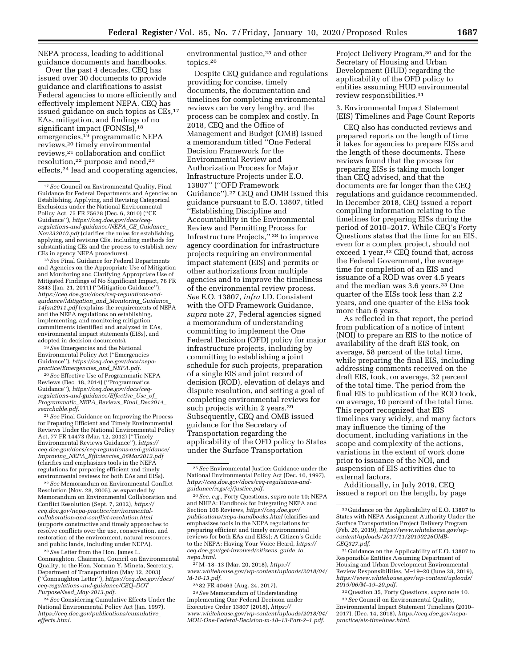NEPA process, leading to additional guidance documents and handbooks.

Over the past 4 decades, CEQ has issued over 30 documents to provide guidance and clarifications to assist Federal agencies to more efficiently and effectively implement NEPA. CEQ has issued guidance on such topics as CEs,17 EAs, mitigation, and findings of no significant impact (FONSIs),<sup>18</sup> emergencies,19 programmatic NEPA reviews,20 timely environmental reviews,21 collaboration and conflict resolution,<sup>22</sup> purpose and need,<sup>23</sup> effects,24 lead and cooperating agencies,

17*See* Council on Environmental Quality, Final Guidance for Federal Departments and Agencies on Establishing, Applying, and Revising Categorical Exclusions under the National Environmental Policy Act, 75 FR 75628 (Dec. 6, 2010) (''CE Guidance''), *[https://ceq.doe.gov/docs/ceq](https://ceq.doe.gov/docs/ceq-regulations-and-guidance/NEPA_CE_Guidance_Nov232010.pdf)[regulations-and-guidance/NEPA](https://ceq.doe.gov/docs/ceq-regulations-and-guidance/NEPA_CE_Guidance_Nov232010.pdf)*\_*CE*\_*Guidance*\_ *[Nov232010.pdf](https://ceq.doe.gov/docs/ceq-regulations-and-guidance/NEPA_CE_Guidance_Nov232010.pdf)* (clarifies the rules for establishing, applying, and revising CEs, including methods for substantiating CEs and the process to establish new CEs in agency NEPA procedures).

18*See* Final Guidance for Federal Departments and Agencies on the Appropriate Use of Mitigation and Monitoring and Clarifying Appropriate Use of Mitigated Findings of No Significant Impact, 76 FR 3843 (Jan. 21, 2011) (''Mitigation Guidance''), *[https://ceq.doe.gov/docs/ceq-regulations-and-](https://ceq.doe.gov/docs/ceq-regulations-and-guidance/Mitigation_and_Monitoring_Guidance_14Jan2011.pdf)[guidance/Mitigation](https://ceq.doe.gov/docs/ceq-regulations-and-guidance/Mitigation_and_Monitoring_Guidance_14Jan2011.pdf)*\_*and*\_*Monitoring*\_*Guidance*\_ *[14Jan2011.pdf](https://ceq.doe.gov/docs/ceq-regulations-and-guidance/Mitigation_and_Monitoring_Guidance_14Jan2011.pdf)* (explains the requirements of NEPA and the NEPA regulations on establishing, implementing, and monitoring mitigation commitments identified and analyzed in EAs, environmental impact statements (EISs), and adopted in decision documents).

19*See* Emergencies and the National Environmental Policy Act (''Emergencies Guidance''), *[https://ceq.doe.gov/docs/nepa](https://ceq.doe.gov/docs/nepa-practice/Emergencies_and_NEPA.pdf)[practice/Emergencies](https://ceq.doe.gov/docs/nepa-practice/Emergencies_and_NEPA.pdf)*\_*and*\_*NEPA.pdf.* 

20*See* Effective Use of Programmatic NEPA Reviews (Dec. 18, 2014) (''Programmatics Guidance''), *[https://ceq.doe.gov/docs/ceq](https://ceq.doe.gov/docs/ceq-regulations-and-guidance/Effective_Use_of_Programmatic_NEPA_Reviews_Final_Dec2014_searchable.pdf)[regulations-and-guidance/Effective](https://ceq.doe.gov/docs/ceq-regulations-and-guidance/Effective_Use_of_Programmatic_NEPA_Reviews_Final_Dec2014_searchable.pdf)*\_*Use*\_*of*\_ *[Programmatic](https://ceq.doe.gov/docs/ceq-regulations-and-guidance/Effective_Use_of_Programmatic_NEPA_Reviews_Final_Dec2014_searchable.pdf)*\_*NEPA*\_*Reviews*\_*Final*\_*Dec2014*\_ *[searchable.pdf.](https://ceq.doe.gov/docs/ceq-regulations-and-guidance/Effective_Use_of_Programmatic_NEPA_Reviews_Final_Dec2014_searchable.pdf)* 

21*See* Final Guidance on Improving the Process for Preparing Efficient and Timely Environmental Reviews Under the National Environmental Policy Act, 77 FR 14473 (Mar. 12, 2012) (''Timely Environmental Reviews Guidance''), *[https://](https://ceq.doe.gov/docs/ceq-regulations-and-guidance/Improving_NEPA_Efficiencies_06Mar2012.pdf) [ceq.doe.gov/docs/ceq-regulations-and-guidance/](https://ceq.doe.gov/docs/ceq-regulations-and-guidance/Improving_NEPA_Efficiencies_06Mar2012.pdf) Improving*\_*NEPA*\_*Efficiencies*\_*[06Mar2012.pdf](https://ceq.doe.gov/docs/ceq-regulations-and-guidance/Improving_NEPA_Efficiencies_06Mar2012.pdf)*  (clarifies and emphasizes tools in the NEPA regulations for preparing efficient and timely environmental reviews for both EAs and EISs).

22*See* Memorandum on Environmental Conflict Resolution (Nov. 28, 2005), as expanded by Memorandum on Environmental Collaboration and Conflict Resolution (Sept. 7, 2012), *[https://](https://ceq.doe.gov/nepa-practice/environmental-collaboration-and-conflict-resolution.html) [ceq.doe.gov/nepa-practice/environmental](https://ceq.doe.gov/nepa-practice/environmental-collaboration-and-conflict-resolution.html)[collaboration-and-conflict-resolution.html](https://ceq.doe.gov/nepa-practice/environmental-collaboration-and-conflict-resolution.html)*  (supports constructive and timely approaches to resolve conflicts over the use, conservation, and restoration of the environment, natural resources, and public lands, including under NEPA).

23*See* Letter from the Hon. James L. Connaughton, Chairman, Council on Environmental Quality, to the Hon. Norman Y. Mineta, Secretary, Department of Transportation (May 12, 2003) (''Connaughton Letter''), *[https://ceq.doe.gov/docs/](https://ceq.doe.gov/docs/ceq-regulations-and-guidance/CEQ-DOT_PurposeNeed_May-2013.pdf)  [ceq-regulations-and-guidance/CEQ–DOT](https://ceq.doe.gov/docs/ceq-regulations-and-guidance/CEQ-DOT_PurposeNeed_May-2013.pdf)*\_ *PurposeNeed*\_*[May-2013.pdf.](https://ceq.doe.gov/docs/ceq-regulations-and-guidance/CEQ-DOT_PurposeNeed_May-2013.pdf)* 

24*See* Considering Cumulative Effects Under the National Environmental Policy Act (Jan. 1997), *[https://ceq.doe.gov/publications/cumulative](https://ceq.doe.gov/publications/cumulative_effects.html)*\_ *[effects.html.](https://ceq.doe.gov/publications/cumulative_effects.html)* 

environmental justice,<sup>25</sup> and other topics.26

Despite CEQ guidance and regulations providing for concise, timely documents, the documentation and timelines for completing environmental reviews can be very lengthy, and the process can be complex and costly. In 2018, CEQ and the Office of Management and Budget (OMB) issued a memorandum titled ''One Federal Decision Framework for the Environmental Review and Authorization Process for Major Infrastructure Projects under E.O. 13807'' (''OFD Framework Guidance'').27 CEQ and OMB issued this guidance pursuant to E.O. 13807, titled ''Establishing Discipline and Accountability in the Environmental Review and Permitting Process for Infrastructure Projects,'' 28 to improve agency coordination for infrastructure projects requiring an environmental impact statement (EIS) and permits or other authorizations from multiple agencies and to improve the timeliness of the environmental review process. *See* E.O. 13807, *infra* I.D. Consistent with the OFD Framework Guidance, *supra* note 27, Federal agencies signed a memorandum of understanding committing to implement the One Federal Decision (OFD) policy for major infrastructure projects, including by committing to establishing a joint schedule for such projects, preparation of a single EIS and joint record of decision (ROD), elevation of delays and dispute resolution, and setting a goal of completing environmental reviews for such projects within 2 years.<sup>29</sup> Subsequently, CEQ and OMB issued guidance for the Secretary of Transportation regarding the applicability of the OFD policy to States under the Surface Transportation

27M–18–13 (Mar. 20, 2018), *[https://](https://www.whitehouse.gov/wp-content/uploads/2018/04/M-18-13.pdf) [www.whitehouse.gov/wp-content/uploads/2018/04/](https://www.whitehouse.gov/wp-content/uploads/2018/04/M-18-13.pdf) [M-18-13.pdf.](https://www.whitehouse.gov/wp-content/uploads/2018/04/M-18-13.pdf)* 

29*See* Memorandum of Understanding Implementing One Federal Decision under Executive Order 13807 (2018), *[https://](https://www.whitehouse.gov/wp-content/uploads/2018/04/MOU-One-Federal-Decision-m-18-13-Part-2-1.pdf) [www.whitehouse.gov/wp-content/uploads/2018/04/](https://www.whitehouse.gov/wp-content/uploads/2018/04/MOU-One-Federal-Decision-m-18-13-Part-2-1.pdf) [MOU-One-Federal-Decision-m-18–13-Part-2–1.pdf.](https://www.whitehouse.gov/wp-content/uploads/2018/04/MOU-One-Federal-Decision-m-18-13-Part-2-1.pdf)* 

Project Delivery Program,<sup>30</sup> and for the Secretary of Housing and Urban Development (HUD) regarding the applicability of the OFD policy to entities assuming HUD environmental review responsibilities.31

# 3. Environmental Impact Statement (EIS) Timelines and Page Count Reports

CEQ also has conducted reviews and prepared reports on the length of time it takes for agencies to prepare EISs and the length of these documents. These reviews found that the process for preparing EISs is taking much longer than CEQ advised, and that the documents are far longer than the CEQ regulations and guidance recommended. In December 2018, CEQ issued a report compiling information relating to the timelines for preparing EISs during the period of 2010–2017. While CEQ's Forty Questions states that the time for an EIS, even for a complex project, should not exceed 1 year,<sup>32</sup> CEQ found that, across the Federal Government, the average time for completion of an EIS and issuance of a ROD was over 4.5 years and the median was 3.6 years.33 One quarter of the EISs took less than 2.2 years, and one quarter of the EISs took more than 6 years.

As reflected in that report, the period from publication of a notice of intent (NOI) to prepare an EIS to the notice of availability of the draft EIS took, on average, 58 percent of the total time, while preparing the final EIS, including addressing comments received on the draft EIS, took, on average, 32 percent of the total time. The period from the final EIS to publication of the ROD took, on average, 10 percent of the total time. This report recognized that EIS timelines vary widely, and many factors may influence the timing of the document, including variations in the scope and complexity of the actions, variations in the extent of work done prior to issuance of the NOI, and suspension of EIS activities due to external factors.

Additionally, in July 2019, CEQ issued a report on the length, by page

31 Guidance on the Applicability of E.O. 13807 to Responsible Entities Assuming Department of Housing and Urban Development Environmental Review Responsibilities, M–19–20 (June 28, 2019), *[https://www.whitehouse.gov/wp-content/uploads/](https://www.whitehouse.gov/wp-content/uploads/2019/06/M-19-20.pdf) [2019/06/M–19–20.pdf.](https://www.whitehouse.gov/wp-content/uploads/2019/06/M-19-20.pdf)* 

32Question 35, Forty Questions, *supra* note 10. 33*See* Council on Environmental Quality, Environmental Impact Statement Timelines (2010– 2017), (Dec. 14, 2018), *[https://ceq.doe.gov/nepa](https://ceq.doe.gov/nepa-practice/eis-timelines.html)[practice/eis-timelines.html.](https://ceq.doe.gov/nepa-practice/eis-timelines.html)* 

<sup>25</sup>*See* Environmental Justice: Guidance under the National Environmental Policy Act (Dec. 10, 1997), *[https://ceq.doe.gov/docs/ceq-regulations-and](https://ceq.doe.gov/docs/ceq-regulations-and-guidance/regs/ej/justice.pdf)[guidance/regs/ej/justice.pdf.](https://ceq.doe.gov/docs/ceq-regulations-and-guidance/regs/ej/justice.pdf)* 

<sup>26</sup>*See, e.g.,* Forty Questions, *supra* note 10; NEPA and NHPA: Handbook for Integrating NEPA and Section 106 Reviews, *[https://ceq.doe.gov/](https://ceq.doe.gov/publications/nepa-handbooks.html) [publications/nepa-handbooks.html](https://ceq.doe.gov/publications/nepa-handbooks.html)* (clarifies and emphasizes tools in the NEPA regulations for preparing efficient and timely environmental reviews for both EAs and EISs); A Citizen's Guide to the NEPA: Having Your Voice Heard, *[https://](https://ceq.doe.gov/get-involved/citizens_guide_to_nepa.html) [ceq.doe.gov/get-involved/citizens](https://ceq.doe.gov/get-involved/citizens_guide_to_nepa.html)*\_*guide*\_*to*\_ *[nepa.html.](https://ceq.doe.gov/get-involved/citizens_guide_to_nepa.html)* 

<sup>28</sup> 82 FR 40463 (Aug. 24, 2017).

<sup>30</sup> Guidance on the Applicability of E.O. 13807 to States with NEPA Assignment Authority Under the Surface Transportation Project Delivery Program (Feb. 26, 2019), *[https://www.whitehouse.gov/wp](https://www.whitehouse.gov/wp-content/uploads/2017/11/20190226OMB-CEQ327.pdf)[content/uploads/2017/11/20190226OMB-](https://www.whitehouse.gov/wp-content/uploads/2017/11/20190226OMB-CEQ327.pdf)[CEQ327.pdf.](https://www.whitehouse.gov/wp-content/uploads/2017/11/20190226OMB-CEQ327.pdf)*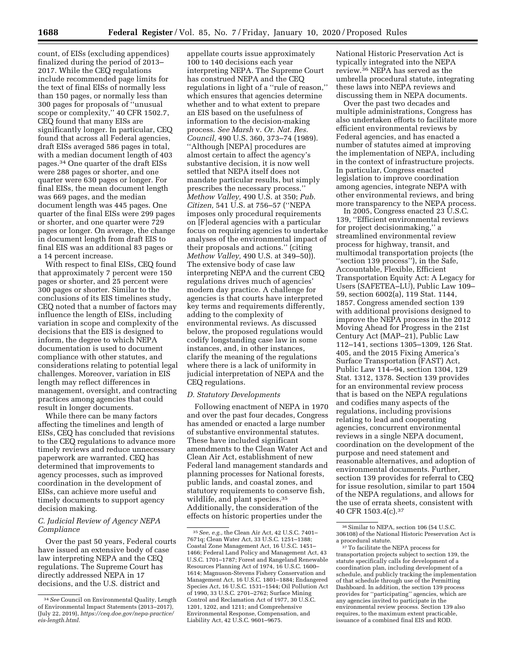count, of EISs (excluding appendices) finalized during the period of 2013– 2017. While the CEQ regulations include recommended page limits for the text of final EISs of normally less than 150 pages, or normally less than 300 pages for proposals of ''unusual scope or complexity,'' 40 CFR 1502.7, CEQ found that many EISs are significantly longer. In particular, CEQ found that across all Federal agencies, draft EISs averaged 586 pages in total, with a median document length of 403 pages.34 One quarter of the draft EISs were 288 pages or shorter, and one quarter were 630 pages or longer. For final EISs, the mean document length was 669 pages, and the median document length was 445 pages. One quarter of the final EISs were 299 pages or shorter, and one quarter were 729 pages or longer. On average, the change in document length from draft EIS to final EIS was an additional 83 pages or a 14 percent increase.

With respect to final EISs, CEQ found that approximately 7 percent were 150 pages or shorter, and 25 percent were 300 pages or shorter. Similar to the conclusions of its EIS timelines study, CEQ noted that a number of factors may influence the length of EISs, including variation in scope and complexity of the decisions that the EIS is designed to inform, the degree to which NEPA documentation is used to document compliance with other statutes, and considerations relating to potential legal challenges. Moreover, variation in EIS length may reflect differences in management, oversight, and contracting practices among agencies that could result in longer documents.

While there can be many factors affecting the timelines and length of EISs, CEQ has concluded that revisions to the CEQ regulations to advance more timely reviews and reduce unnecessary paperwork are warranted. CEQ has determined that improvements to agency processes, such as improved coordination in the development of EISs, can achieve more useful and timely documents to support agency decision making.

# *C. Judicial Review of Agency NEPA Compliance*

Over the past 50 years, Federal courts have issued an extensive body of case law interpreting NEPA and the CEQ regulations. The Supreme Court has directly addressed NEPA in 17 decisions, and the U.S. district and

appellate courts issue approximately 100 to 140 decisions each year interpreting NEPA. The Supreme Court has construed NEPA and the CEQ regulations in light of a ''rule of reason,'' which ensures that agencies determine whether and to what extent to prepare an EIS based on the usefulness of information to the decision-making process. *See Marsh* v. *Or. Nat. Res. Council,* 490 U.S. 360, 373–74 (1989). ''Although [NEPA] procedures are almost certain to affect the agency's substantive decision, it is now well settled that NEPA itself does not mandate particular results, but simply prescribes the necessary process.'' *Methow Valley,* 490 U.S. at 350; *Pub. Citizen,* 541 U.S. at 756–57 (''NEPA imposes only procedural requirements on [F]ederal agencies with a particular focus on requiring agencies to undertake analyses of the environmental impact of their proposals and actions.'' (citing *Methow Valley,* 490 U.S. at 349–50)). The extensive body of case law interpreting NEPA and the current CEQ regulations drives much of agencies' modern day practice. A challenge for agencies is that courts have interpreted key terms and requirements differently, adding to the complexity of environmental reviews. As discussed below, the proposed regulations would codify longstanding case law in some instances, and, in other instances, clarify the meaning of the regulations where there is a lack of uniformity in judicial interpretation of NEPA and the CEQ regulations.

#### *D. Statutory Developments*

Following enactment of NEPA in 1970 and over the past four decades, Congress has amended or enacted a large number of substantive environmental statutes. These have included significant amendments to the Clean Water Act and Clean Air Act, establishment of new Federal land management standards and planning processes for National forests, public lands, and coastal zones, and statutory requirements to conserve fish, wildlife, and plant species.<sup>35</sup> Additionally, the consideration of the effects on historic properties under the

National Historic Preservation Act is typically integrated into the NEPA review.36 NEPA has served as the umbrella procedural statute, integrating these laws into NEPA reviews and discussing them in NEPA documents.

Over the past two decades and multiple administrations, Congress has also undertaken efforts to facilitate more efficient environmental reviews by Federal agencies, and has enacted a number of statutes aimed at improving the implementation of NEPA, including in the context of infrastructure projects. In particular, Congress enacted legislation to improve coordination among agencies, integrate NEPA with other environmental reviews, and bring more transparency to the NEPA process.

In 2005, Congress enacted 23 U.S.C. 139, ''Efficient environmental reviews for project decisionmaking,'' a streamlined environmental review process for highway, transit, and multimodal transportation projects (the ''section 139 process''), in the Safe, Accountable, Flexible, Efficient Transportation Equity Act: A Legacy for Users (SAFETEA–LU), Public Law 109– 59, section 6002(a), 119 Stat. 1144, 1857. Congress amended section 139 with additional provisions designed to improve the NEPA process in the 2012 Moving Ahead for Progress in the 21st Century Act (MAP–21), Public Law 112–141, sections 1305–1309, 126 Stat. 405, and the 2015 Fixing America's Surface Transportation (FAST) Act, Public Law 114–94, section 1304, 129 Stat. 1312, 1378. Section 139 provides for an environmental review process that is based on the NEPA regulations and codifies many aspects of the regulations, including provisions relating to lead and cooperating agencies, concurrent environmental reviews in a single NEPA document, coordination on the development of the purpose and need statement and reasonable alternatives, and adoption of environmental documents. Further, section 139 provides for referral to CEQ for issue resolution, similar to part 1504 of the NEPA regulations, and allows for the use of errata sheets, consistent with 40 CFR 1503.4(c).37

<sup>34</sup>*See* Council on Environmental Quality, Length of Environmental Impact Statements (2013–2017), (July 22, 2019), *[https://ceq.doe.gov/nepa-practice/](https://ceq.doe.gov/nepa-practice/eis-length.html) [eis-length.html.](https://ceq.doe.gov/nepa-practice/eis-length.html)* 

<sup>35</sup>*See, e.g.,* the Clean Air Act, 42 U.S.C. 7401– 7671q; Clean Water Act, 33 U.S.C. 1251–1388; Coastal Zone Management Act, 16 U.S.C. 1451– 1466; Federal Land Policy and Management Act, 43 U.S.C. 1701–1787; Forest and Rangeland Renewable Resources Planning Act of 1974, 16 U.S.C. 1600– 1614; Magnuson-Stevens Fishery Conservation and Management Act, 16 U.S.C. 1801–1884; Endangered Species Act, 16 U.S.C. 1531–1544; Oil Pollution Act of 1990, 33 U.S.C. 2701–2762; Surface Mining Control and Reclamation Act of 1977, 30 U.S.C. 1201, 1202, and 1211; and Comprehensive Environmental Response, Compensation, and Liability Act, 42 U.S.C. 9601–9675.

<sup>&</sup>lt;sup>36</sup> Similar to NEPA, section 106 (54 U.S.C. 306108) of the National Historic Preservation Act is

 $\frac{1}{37}$  To facilitate the NEPA process for transportation projects subject to section 139, the statute specifically calls for development of a coordination plan, including development of a schedule, and publicly tracking the implementation of that schedule through use of the Permitting Dashboard. In addition, the section 139 process provides for ''participating'' agencies, which are any agencies invited to participate in the environmental review process. Section 139 also requires, to the maximum extent practicable, issuance of a combined final EIS and ROD.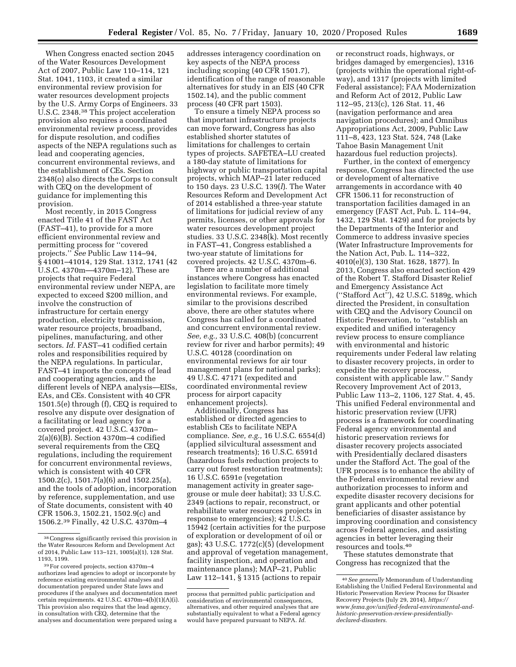When Congress enacted section 2045 of the Water Resources Development Act of 2007, Public Law 110–114, 121 Stat. 1041, 1103, it created a similar environmental review provision for water resources development projects by the U.S. Army Corps of Engineers. 33 U.S.C. 2348.38 This project acceleration provision also requires a coordinated environmental review process, provides for dispute resolution, and codifies aspects of the NEPA regulations such as lead and cooperating agencies, concurrent environmental reviews, and the establishment of CEs. Section 2348(o) also directs the Corps to consult with CEQ on the development of guidance for implementing this provision.

Most recently, in 2015 Congress enacted Title 41 of the FAST Act (FAST–41), to provide for a more efficient environmental review and permitting process for ''covered projects.'' *See* Public Law 114–94, § 41001–41014, 129 Stat. 1312, 1741 (42 U.S.C. 4370m—4370m–12). These are projects that require Federal environmental review under NEPA, are expected to exceed \$200 million, and involve the construction of infrastructure for certain energy production, electricity transmission, water resource projects, broadband, pipelines, manufacturing, and other sectors. *Id.* FAST-41 codified certain roles and responsibilities required by the NEPA regulations. In particular, FAST–41 imports the concepts of lead and cooperating agencies, and the different levels of NEPA analysis—EISs, EAs, and CEs. Consistent with 40 CFR 1501.5(e) through (f), CEQ is required to resolve any dispute over designation of a facilitating or lead agency for a covered project. 42 U.S.C. 4370m– 2(a)(6)(B). Section 4370m–4 codified several requirements from the CEQ regulations, including the requirement for concurrent environmental reviews, which is consistent with 40 CFR 1500.2(c), 1501.7(a)(6) and 1502.25(a), and the tools of adoption, incorporation by reference, supplementation, and use of State documents, consistent with 40 CFR 1506.3, 1502.21, 1502.9(c) and 1506.2.39 Finally, 42 U.S.C. 4370m–4

addresses interagency coordination on key aspects of the NEPA process including scoping (40 CFR 1501.7), identification of the range of reasonable alternatives for study in an EIS (40 CFR 1502.14), and the public comment process (40 CFR part 1503).

To ensure a timely NEPA process so that important infrastructure projects can move forward, Congress has also established shorter statutes of limitations for challenges to certain types of projects. SAFETEA–LU created a 180-day statute of limitations for highway or public transportation capital projects, which MAP–21 later reduced to 150 days. 23 U.S.C. 139(*l*). The Water Resources Reform and Development Act of 2014 established a three-year statute of limitations for judicial review of any permits, licenses, or other approvals for water resources development project studies. 33 U.S.C. 2348(k). Most recently in FAST–41, Congress established a two-year statute of limitations for covered projects. 42 U.S.C. 4370m–6.

There are a number of additional instances where Congress has enacted legislation to facilitate more timely environmental reviews. For example, similar to the provisions described above, there are other statutes where Congress has called for a coordinated and concurrent environmental review. *See, e.g.,* 33 U.S.C. 408(b) (concurrent review for river and harbor permits); 49 U.S.C. 40128 (coordination on environmental reviews for air tour management plans for national parks); 49 U.S.C. 47171 (expedited and coordinated environmental review process for airport capacity enhancement projects).

Additionally, Congress has established or directed agencies to establish CEs to facilitate NEPA compliance. *See, e.g.,* 16 U.S.C. 6554(d) (applied silvicultural assessment and research treatments); 16 U.S.C. 6591d (hazardous fuels reduction projects to carry out forest restoration treatments); 16 U.S.C. 6591e (vegetation management activity in greater sagegrouse or mule deer habitat); 33 U.S.C. 2349 (actions to repair, reconstruct, or rehabilitate water resources projects in response to emergencies); 42 U.S.C. 15942 (certain activities for the purpose of exploration or development of oil or gas); 43 U.S.C. 1772(c)(5) (development and approval of vegetation management, facility inspection, and operation and maintenance plans); MAP–21, Public Law 112–141, § 1315 (actions to repair

or reconstruct roads, highways, or bridges damaged by emergencies), 1316 (projects within the operational right-ofway), and 1317 (projects with limited Federal assistance); FAA Modernization and Reform Act of 2012, Public Law 112–95, 213(c), 126 Stat. 11, 46 (navigation performance and area navigation procedures); and Omnibus Appropriations Act, 2009, Public Law 111–8, 423, 123 Stat. 524, 748 (Lake Tahoe Basin Management Unit hazardous fuel reduction projects).

Further, in the context of emergency response, Congress has directed the use or development of alternative arrangements in accordance with 40 CFR 1506.11 for reconstruction of transportation facilities damaged in an emergency (FAST Act, Pub. L. 114–94, 1432, 129 Stat. 1429) and for projects by the Departments of the Interior and Commerce to address invasive species (Water Infrastructure Improvements for the Nation Act, Pub. L. 114–322, 4010(e)(3), 130 Stat. 1628, 1877). In 2013, Congress also enacted section 429 of the Robert T. Stafford Disaster Relief and Emergency Assistance Act (''Stafford Act''), 42 U.S.C. 5189g, which directed the President, in consultation with CEQ and the Advisory Council on Historic Preservation, to ''establish an expedited and unified interagency review process to ensure compliance with environmental and historic requirements under Federal law relating to disaster recovery projects, in order to expedite the recovery process, consistent with applicable law.'' Sandy Recovery Improvement Act of 2013, Public Law 113–2, 1106, 127 Stat. 4, 45. This unified Federal environmental and historic preservation review (UFR) process is a framework for coordinating Federal agency environmental and historic preservation reviews for disaster recovery projects associated with Presidentially declared disasters under the Stafford Act. The goal of the UFR process is to enhance the ability of the Federal environmental review and authorization processes to inform and expedite disaster recovery decisions for grant applicants and other potential beneficiaries of disaster assistance by improving coordination and consistency across Federal agencies, and assisting agencies in better leveraging their resources and tools.40

These statutes demonstrate that Congress has recognized that the

<sup>38</sup>Congress significantly revised this provision in the Water Resources Reform and Development Act of 2014, Public Law 113–121, 1005(a)(1), 128 Stat. 1193, 1199.

<sup>39</sup>For covered projects, section 4370m–4 authorizes lead agencies to adopt or incorporate by reference existing environmental analyses and documentation prepared under State laws and procedures if the analyses and documentation meet certain requirements. 42 U.S.C. 4370m–4(b)(1)(A)(i). This provision also requires that the lead agency, in consultation with CEQ, determine that the analyses and documentation were prepared using a

process that permitted public participation and consideration of environmental consequences, alternatives, and other required analyses that are substantially equivalent to what a Federal agency would have prepared pursuant to NEPA. *Id.* 

<sup>40</sup>*See generally* Memorandum of Understanding Establishing the Unified Federal Environmental and Historic Preservation Review Process for Disaster Recovery Projects (July 29, 2014), *[https://](https://www.fema.gov/unified-federal-environmental-and-historic-preservation-review-presidentially-declared-disasters) [www.fema.gov/unified-federal-environmental-and](https://www.fema.gov/unified-federal-environmental-and-historic-preservation-review-presidentially-declared-disasters)[historic-preservation-review-presidentially](https://www.fema.gov/unified-federal-environmental-and-historic-preservation-review-presidentially-declared-disasters)[declared-disasters.](https://www.fema.gov/unified-federal-environmental-and-historic-preservation-review-presidentially-declared-disasters)*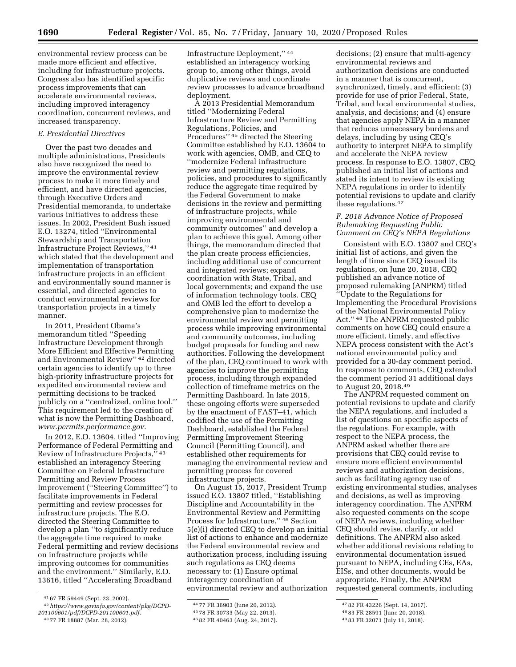environmental review process can be made more efficient and effective, including for infrastructure projects. Congress also has identified specific process improvements that can accelerate environmental reviews, including improved interagency coordination, concurrent reviews, and increased transparency.

# *E. Presidential Directives*

Over the past two decades and multiple administrations, Presidents also have recognized the need to improve the environmental review process to make it more timely and efficient, and have directed agencies, through Executive Orders and Presidential memoranda, to undertake various initiatives to address these issues. In 2002, President Bush issued E.O. 13274, titled ''Environmental Stewardship and Transportation Infrastructure Project Reviews,'' 41 which stated that the development and implementation of transportation infrastructure projects in an efficient and environmentally sound manner is essential, and directed agencies to conduct environmental reviews for transportation projects in a timely manner.

In 2011, President Obama's memorandum titled ''Speeding Infrastructure Development through More Efficient and Effective Permitting and Environmental Review'' 42 directed certain agencies to identify up to three high-priority infrastructure projects for expedited environmental review and permitting decisions to be tracked publicly on a ''centralized, online tool.'' This requirement led to the creation of what is now the Permitting Dashboard, *[www.permits.performance.gov.](http://www.permits.performance.gov)* 

In 2012, E.O. 13604, titled ''Improving Performance of Federal Permitting and Review of Infrastructure Projects,'' 43 established an interagency Steering Committee on Federal Infrastructure Permitting and Review Process Improvement (''Steering Committee'') to facilitate improvements in Federal permitting and review processes for infrastructure projects. The E.O. directed the Steering Committee to develop a plan ''to significantly reduce the aggregate time required to make Federal permitting and review decisions on infrastructure projects while improving outcomes for communities and the environment.'' Similarly, E.O. 13616, titled ''Accelerating Broadband

Infrastructure Deployment,'' 44 established an interagency working group to, among other things, avoid duplicative reviews and coordinate review processes to advance broadband deployment.

A 2013 Presidential Memorandum titled ''Modernizing Federal Infrastructure Review and Permitting Regulations, Policies, and Procedures'' 45 directed the Steering Committee established by E.O. 13604 to work with agencies, OMB, and CEQ to ''modernize Federal infrastructure review and permitting regulations, policies, and procedures to significantly reduce the aggregate time required by the Federal Government to make decisions in the review and permitting of infrastructure projects, while improving environmental and community outcomes'' and develop a plan to achieve this goal. Among other things, the memorandum directed that the plan create process efficiencies, including additional use of concurrent and integrated reviews; expand coordination with State, Tribal, and local governments; and expand the use of information technology tools. CEQ and OMB led the effort to develop a comprehensive plan to modernize the environmental review and permitting process while improving environmental and community outcomes, including budget proposals for funding and new authorities. Following the development of the plan, CEQ continued to work with agencies to improve the permitting process, including through expanded collection of timeframe metrics on the Permitting Dashboard. In late 2015, these ongoing efforts were superseded by the enactment of FAST–41, which codified the use of the Permitting Dashboard, established the Federal Permitting Improvement Steering Council (Permitting Council), and established other requirements for managing the environmental review and permitting process for covered infrastructure projects.

On August 15, 2017, President Trump issued E.O. 13807 titled, ''Establishing Discipline and Accountability in the Environmental Review and Permitting Process for Infrastructure.'' 46 Section 5(e)(i) directed CEQ to develop an initial list of actions to enhance and modernize the Federal environmental review and authorization process, including issuing such regulations as CEQ deems necessary to: (1) Ensure optimal interagency coordination of environmental review and authorization

decisions; (2) ensure that multi-agency environmental reviews and authorization decisions are conducted in a manner that is concurrent, synchronized, timely, and efficient; (3) provide for use of prior Federal, State, Tribal, and local environmental studies, analysis, and decisions; and (4) ensure that agencies apply NEPA in a manner that reduces unnecessary burdens and delays, including by using CEQ's authority to interpret NEPA to simplify and accelerate the NEPA review process. In response to E.O. 13807, CEQ published an initial list of actions and stated its intent to review its existing NEPA regulations in order to identify potential revisions to update and clarify these regulations.47

## *F. 2018 Advance Notice of Proposed Rulemaking Requesting Public Comment on CEQ's NEPA Regulations*

Consistent with E.O. 13807 and CEQ's initial list of actions, and given the length of time since CEQ issued its regulations, on June 20, 2018, CEQ published an advance notice of proposed rulemaking (ANPRM) titled ''Update to the Regulations for Implementing the Procedural Provisions of the National Environmental Policy Act.'' 48 The ANPRM requested public comments on how CEQ could ensure a more efficient, timely, and effective NEPA process consistent with the Act's national environmental policy and provided for a 30-day comment period. In response to comments, CEQ extended the comment period 31 additional days to August 20, 2018.49

The ANPRM requested comment on potential revisions to update and clarify the NEPA regulations, and included a list of questions on specific aspects of the regulations. For example, with respect to the NEPA process, the ANPRM asked whether there are provisions that CEQ could revise to ensure more efficient environmental reviews and authorization decisions, such as facilitating agency use of existing environmental studies, analyses and decisions, as well as improving interagency coordination. The ANPRM also requested comments on the scope of NEPA reviews, including whether CEQ should revise, clarify, or add definitions. The ANPRM also asked whether additional revisions relating to environmental documentation issued pursuant to NEPA, including CEs, EAs, EISs, and other documents, would be appropriate. Finally, the ANPRM requested general comments, including

<sup>41</sup> 67 FR 59449 (Sept. 23, 2002).

<sup>42</sup>*[https://www.govinfo.gov/content/pkg/DCPD-](https://www.govinfo.gov/content/pkg/DCPD-201100601/pdf/DCPD-201100601.pdf)[201100601/pdf/DCPD-201100601.pdf.](https://www.govinfo.gov/content/pkg/DCPD-201100601/pdf/DCPD-201100601.pdf)* 

<sup>43</sup> 77 FR 18887 (Mar. 28, 2012).

<sup>44</sup> 77 FR 36903 (June 20, 2012).

<sup>45</sup> 78 FR 30733 (May 22, 2013).

<sup>46</sup> 82 FR 40463 (Aug. 24, 2017).

<sup>47</sup> 82 FR 43226 (Sept. 14, 2017).

<sup>48</sup> 83 FR 28591 (June 20, 2018).

<sup>49</sup> 83 FR 32071 (July 11, 2018).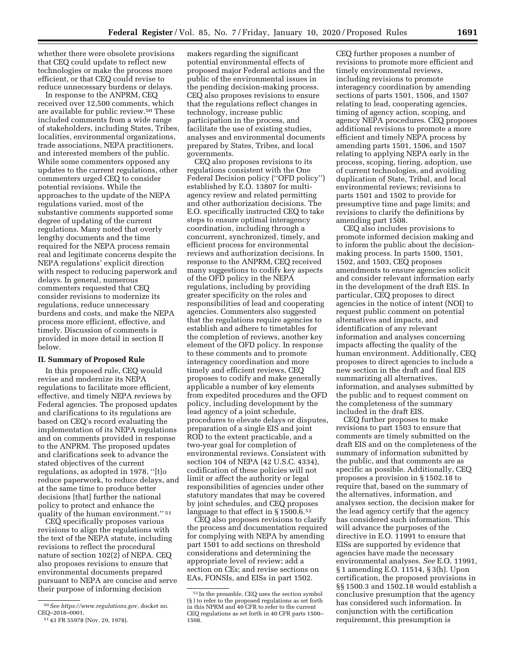whether there were obsolete provisions that CEQ could update to reflect new technologies or make the process more efficient, or that CEQ could revise to reduce unnecessary burdens or delays.

In response to the ANPRM, CEQ received over 12,500 comments, which are available for public review.50 These included comments from a wide range of stakeholders, including States, Tribes, localities, environmental organizations, trade associations, NEPA practitioners, and interested members of the public. While some commenters opposed any updates to the current regulations, other commenters urged CEQ to consider potential revisions. While the approaches to the update of the NEPA regulations varied, most of the substantive comments supported some degree of updating of the current regulations. Many noted that overly lengthy documents and the time required for the NEPA process remain real and legitimate concerns despite the NEPA regulations' explicit direction with respect to reducing paperwork and delays. In general, numerous commenters requested that CEQ consider revisions to modernize its regulations, reduce unnecessary burdens and costs, and make the NEPA process more efficient, effective, and timely. Discussion of comments is provided in more detail in section II below.

## **II. Summary of Proposed Rule**

In this proposed rule, CEQ would revise and modernize its NEPA regulations to facilitate more efficient, effective, and timely NEPA reviews by Federal agencies. The proposed updates and clarifications to its regulations are based on CEQ's record evaluating the implementation of its NEPA regulations and on comments provided in response to the ANPRM. The proposed updates and clarifications seek to advance the stated objectives of the current regulations, as adopted in 1978, ''[t]o reduce paperwork, to reduce delays, and at the same time to produce better decisions [that] further the national policy to protect and enhance the quality of the human environment.'' 51

CEQ specifically proposes various revisions to align the regulations with the text of the NEPA statute, including revisions to reflect the procedural nature of section 102(2) of NEPA. CEQ also proposes revisions to ensure that environmental documents prepared pursuant to NEPA are concise and serve their purpose of informing decision

makers regarding the significant potential environmental effects of proposed major Federal actions and the public of the environmental issues in the pending decision-making process. CEQ also proposes revisions to ensure that the regulations reflect changes in technology, increase public participation in the process, and facilitate the use of existing studies, analyses and environmental documents prepared by States, Tribes, and local governments.

CEQ also proposes revisions to its regulations consistent with the One Federal Decision policy (''OFD policy'') established by E.O. 13807 for multiagency review and related permitting and other authorization decisions. The E.O. specifically instructed CEQ to take steps to ensure optimal interagency coordination, including through a concurrent, synchronized, timely, and efficient process for environmental reviews and authorization decisions. In response to the ANPRM, CEQ received many suggestions to codify key aspects of the OFD policy in the NEPA regulations, including by providing greater specificity on the roles and responsibilities of lead and cooperating agencies. Commenters also suggested that the regulations require agencies to establish and adhere to timetables for the completion of reviews, another key element of the OFD policy. In response to these comments and to promote interagency coordination and more timely and efficient reviews, CEQ proposes to codify and make generally applicable a number of key elements from expedited procedures and the OFD policy, including development by the lead agency of a joint schedule, procedures to elevate delays or disputes, preparation of a single EIS and joint ROD to the extent practicable, and a two-year goal for completion of environmental reviews. Consistent with section 104 of NEPA (42 U.S.C. 4334), codification of these policies will not limit or affect the authority or legal responsibilities of agencies under other statutory mandates that may be covered by joint schedules, and CEQ proposes language to that effect in § 1500.6.<sup>52</sup>

CEQ also proposes revisions to clarify the process and documentation required for complying with NEPA by amending part 1501 to add sections on threshold considerations and determining the appropriate level of review; add a section on CEs; and revise sections on EAs, FONSIs, and EISs in part 1502.

CEQ further proposes a number of revisions to promote more efficient and timely environmental reviews, including revisions to promote interagency coordination by amending sections of parts 1501, 1506, and 1507 relating to lead, cooperating agencies, timing of agency action, scoping, and agency NEPA procedures. CEQ proposes additional revisions to promote a more efficient and timely NEPA process by amending parts 1501, 1506, and 1507 relating to applying NEPA early in the process, scoping, tiering, adoption, use of current technologies, and avoiding duplication of State, Tribal, and local environmental reviews; revisions to parts 1501 and 1502 to provide for presumptive time and page limits; and revisions to clarify the definitions by amending part 1508.

CEQ also includes provisions to promote informed decision making and to inform the public about the decisionmaking process. In parts 1500, 1501, 1502, and 1503, CEQ proposes amendments to ensure agencies solicit and consider relevant information early in the development of the draft EIS. In particular, CEQ proposes to direct agencies in the notice of intent (NOI) to request public comment on potential alternatives and impacts, and identification of any relevant information and analyses concerning impacts affecting the quality of the human environment. Additionally, CEQ proposes to direct agencies to include a new section in the draft and final EIS summarizing all alternatives, information, and analyses submitted by the public and to request comment on the completeness of the summary included in the draft EIS.

CEQ further proposes to make revisions to part 1503 to ensure that comments are timely submitted on the draft EIS and on the completeness of the summary of information submitted by the public, and that comments are as specific as possible. Additionally, CEQ proposes a provision in § 1502.18 to require that, based on the summary of the alternatives, information, and analyses section, the decision maker for the lead agency certify that the agency has considered such information. This will advance the purposes of the directive in E.O. 11991 to ensure that EISs are supported by evidence that agencies have made the necessary environmental analyses. *See* E.O. 11991, § 1 amending E.O. 11514, § 3(h). Upon certification, the proposed provisions in §§ 1500.3 and 1502.18 would establish a conclusive presumption that the agency has considered such information. In conjunction with the certification requirement, this presumption is

<sup>50</sup>*See [https://www.regulations.gov,](https://www.regulations.gov)* docket no. CEQ–2018–0001.

<sup>51</sup> 43 FR 55978 (Nov. 29, 1978).

<sup>52</sup> In the preamble, CEQ uses the section symbol (§ ) to refer to the proposed regulations as set forth in this NPRM and 40 CFR to refer to the current CEQ regulations as set forth in 40 CFR parts 1500– 1508.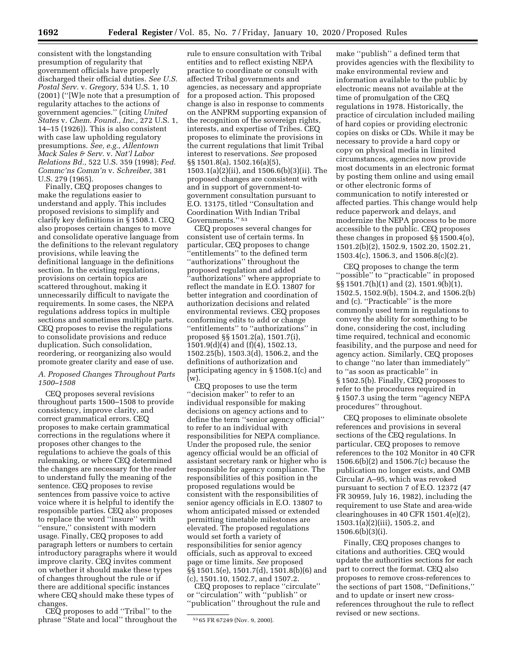consistent with the longstanding presumption of regularity that government officials have properly discharged their official duties. *See U.S. Postal Serv.* v. *Gregory,* 534 U.S. 1, 10 (2001) (''[W]e note that a presumption of regularity attaches to the actions of government agencies.'' (citing *United States* v. *Chem. Found., Inc.,* 272 U.S. 1, 14–15 (1926)). This is also consistent with case law upholding regulatory presumptions. *See, e.g., Allentown Mack Sales & Serv.* v. *Nat'l Labor Relations Bd.,* 522 U.S. 359 (1998); *Fed. Commc'ns Comm'n* v. *Schreiber,* 381 U.S. 279 (1965).

Finally, CEQ proposes changes to make the regulations easier to understand and apply. This includes proposed revisions to simplify and clarify key definitions in § 1508.1. CEQ also proposes certain changes to move and consolidate operative language from the definitions to the relevant regulatory provisions, while leaving the definitional language in the definitions section. In the existing regulations, provisions on certain topics are scattered throughout, making it unnecessarily difficult to navigate the requirements. In some cases, the NEPA regulations address topics in multiple sections and sometimes multiple parts. CEQ proposes to revise the regulations to consolidate provisions and reduce duplication. Such consolidation, reordering, or reorganizing also would promote greater clarity and ease of use.

# *A. Proposed Changes Throughout Parts 1500–1508*

CEQ proposes several revisions throughout parts 1500–1508 to provide consistency, improve clarity, and correct grammatical errors. CEQ proposes to make certain grammatical corrections in the regulations where it proposes other changes to the regulations to achieve the goals of this rulemaking, or where CEQ determined the changes are necessary for the reader to understand fully the meaning of the sentence. CEQ proposes to revise sentences from passive voice to active voice where it is helpful to identify the responsible parties. CEQ also proposes to replace the word ''insure'' with ''ensure,'' consistent with modern usage. Finally, CEQ proposes to add paragraph letters or numbers to certain introductory paragraphs where it would improve clarity. CEQ invites comment on whether it should make these types of changes throughout the rule or if there are additional specific instances where CEQ should make these types of changes.

CEQ proposes to add ''Tribal'' to the phrase ''State and local'' throughout the

rule to ensure consultation with Tribal entities and to reflect existing NEPA practice to coordinate or consult with affected Tribal governments and agencies, as necessary and appropriate for a proposed action. This proposed change is also in response to comments on the ANPRM supporting expansion of the recognition of the sovereign rights, interests, and expertise of Tribes. CEQ proposes to eliminate the provisions in the current regulations that limit Tribal interest to reservations. *See* proposed §§ 1501.8(a), 1502.16(a)(5), 1503.1(a)(2)(ii), and 1506.6(b)(3)(ii). The proposed changes are consistent with and in support of government-togovernment consultation pursuant to E.O. 13175, titled ''Consultation and Coordination With Indian Tribal Governments.'' 53

CEQ proposes several changes for consistent use of certain terms. In particular, CEQ proposes to change 'entitlements'' to the defined term ''authorizations'' throughout the proposed regulation and added 'authorizations" where appropriate to reflect the mandate in E.O. 13807 for better integration and coordination of authorization decisions and related environmental reviews. CEQ proposes conforming edits to add or change ''entitlements'' to ''authorizations'' in proposed §§ 1501.2(a), 1501.7(i), 1501.9(d)(4) and (f)(4), 1502.13, 1502.25(b), 1503.3(d), 1506.2, and the definitions of authorization and participating agency in § 1508.1(c) and  $(w)$ 

CEQ proposes to use the term ''decision maker'' to refer to an individual responsible for making decisions on agency actions and to define the term ''senior agency official'' to refer to an individual with responsibilities for NEPA compliance. Under the proposed rule, the senior agency official would be an official of assistant secretary rank or higher who is responsible for agency compliance. The responsibilities of this position in the proposed regulations would be consistent with the responsibilities of senior agency officials in E.O. 13807 to whom anticipated missed or extended permitting timetable milestones are elevated. The proposed regulations would set forth a variety of responsibilities for senior agency officials, such as approval to exceed page or time limits. *See* proposed §§ 1501.5(e), 1501.7(d), 1501.8(b)(6) and (c), 1501.10, 1502.7, and 1507.2.

CEQ proposes to replace ''circulate'' or ''circulation'' with ''publish'' or ''publication'' throughout the rule and

make ''publish'' a defined term that provides agencies with the flexibility to make environmental review and information available to the public by electronic means not available at the time of promulgation of the CEQ regulations in 1978. Historically, the practice of circulation included mailing of hard copies or providing electronic copies on disks or CDs. While it may be necessary to provide a hard copy or copy on physical media in limited circumstances, agencies now provide most documents in an electronic format by posting them online and using email or other electronic forms of communication to notify interested or affected parties. This change would help reduce paperwork and delays, and modernize the NEPA process to be more accessible to the public. CEQ proposes these changes in proposed §§ 1500.4(o), 1501.2(b)(2), 1502.9, 1502.20, 1502.21, 1503.4(c), 1506.3, and 1506.8(c)(2).

CEQ proposes to change the term ''possible'' to ''practicable'' in proposed §§ 1501.7(h)(1) and (2), 1501.9(b)(1), 1502.5, 1502.9(b), 1504.2, and 1506.2(b) and (c). ''Practicable'' is the more commonly used term in regulations to convey the ability for something to be done, considering the cost, including time required, technical and economic feasibility, and the purpose and need for agency action. Similarly, CEQ proposes to change ''no later than immediately'' to ''as soon as practicable'' in § 1502.5(b). Finally, CEQ proposes to refer to the procedures required in § 1507.3 using the term ''agency NEPA procedures'' throughout.

CEQ proposes to eliminate obsolete references and provisions in several sections of the CEQ regulations. In particular, CEQ proposes to remove references to the 102 Monitor in 40 CFR 1506.6(b)(2) and 1506.7(c) because the publication no longer exists, and OMB Circular A–95, which was revoked pursuant to section 7 of E.O. 12372 (47 FR 30959, July 16, 1982), including the requirement to use State and area-wide clearinghouses in 40 CFR 1501.4(e)(2), 1503.1(a)(2)(iii), 1505.2, and 1506.6(b)(3)(i).

Finally, CEQ proposes changes to citations and authorities. CEQ would update the authorities sections for each part to correct the format. CEQ also proposes to remove cross-references to the sections of part 1508, ''Definitions,'' and to update or insert new crossreferences throughout the rule to reflect revised or new sections.

<sup>53</sup> 65 FR 67249 (Nov. 9, 2000).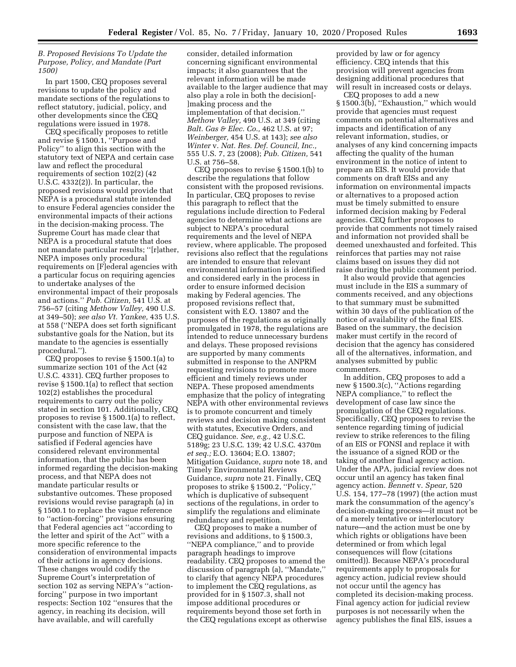# *B. Proposed Revisions To Update the Purpose, Policy, and Mandate (Part 1500)*

In part 1500, CEQ proposes several revisions to update the policy and mandate sections of the regulations to reflect statutory, judicial, policy, and other developments since the CEQ regulations were issued in 1978.

CEQ specifically proposes to retitle and revise § 1500.1, ''Purpose and Policy'' to align this section with the statutory text of NEPA and certain case law and reflect the procedural requirements of section 102(2) (42 U.S.C. 4332(2)). In particular, the proposed revisions would provide that NEPA is a procedural statute intended to ensure Federal agencies consider the environmental impacts of their actions in the decision-making process. The Supreme Court has made clear that NEPA is a procedural statute that does not mandate particular results; ''[r]ather, NEPA imposes only procedural requirements on [F]ederal agencies with a particular focus on requiring agencies to undertake analyses of the environmental impact of their proposals and actions.'' *Pub. Citizen,* 541 U.S. at 756–57 (citing *Methow Valley,* 490 U.S. at 349–50); *see also Vt. Yankee,* 435 U.S. at 558 (''NEPA does set forth significant substantive goals for the Nation, but its mandate to the agencies is essentially procedural.'').

CEQ proposes to revise § 1500.1(a) to summarize section 101 of the Act (42 U.S.C. 4331). CEQ further proposes to revise § 1500.1(a) to reflect that section 102(2) establishes the procedural requirements to carry out the policy stated in section 101. Additionally, CEQ proposes to revise § 1500.1(a) to reflect, consistent with the case law, that the purpose and function of NEPA is satisfied if Federal agencies have considered relevant environmental information, that the public has been informed regarding the decision-making process, and that NEPA does not mandate particular results or substantive outcomes. These proposed revisions would revise paragraph (a) in § 1500.1 to replace the vague reference to ''action-forcing'' provisions ensuring that Federal agencies act ''according to the letter and spirit of the Act'' with a more specific reference to the consideration of environmental impacts of their actions in agency decisions. These changes would codify the Supreme Court's interpretation of section 102 as serving NEPA's ''actionforcing'' purpose in two important respects: Section 102 ''ensures that the agency, in reaching its decision, will have available, and will carefully

consider, detailed information concerning significant environmental impacts; it also guarantees that the relevant information will be made available to the larger audience that may also play a role in both the decision[- ]making process and the implementation of that decision.'' *Methow Valley,* 490 U.S. at 349 (citing *Balt. Gas & Elec. Co.,* 462 U.S. at 97; *Weinberger,* 454 U.S. at 143); *see also Winter* v. *Nat. Res. Def. Council, Inc.,*  555 U.S. 7, 23 (2008); *Pub. Citizen,* 541 U.S. at 756–58.

CEQ proposes to revise § 1500.1(b) to describe the regulations that follow consistent with the proposed revisions. In particular, CEQ proposes to revise this paragraph to reflect that the regulations include direction to Federal agencies to determine what actions are subject to NEPA's procedural requirements and the level of NEPA review, where applicable. The proposed revisions also reflect that the regulations are intended to ensure that relevant environmental information is identified and considered early in the process in order to ensure informed decision making by Federal agencies. The proposed revisions reflect that, consistent with E.O. 13807 and the purposes of the regulations as originally promulgated in 1978, the regulations are intended to reduce unnecessary burdens and delays. These proposed revisions are supported by many comments submitted in response to the ANPRM requesting revisions to promote more efficient and timely reviews under NEPA. These proposed amendments emphasize that the policy of integrating NEPA with other environmental reviews is to promote concurrent and timely reviews and decision making consistent with statutes, Executive Orders, and CEQ guidance. *See, e.g.,* 42 U.S.C. 5189g; 23 U.S.C. 139; 42 U.S.C. 4370m *et seq.;* E.O. 13604; E.O. 13807; Mitigation Guidance, *supra* note 18, and Timely Environmental Reviews Guidance, *supra* note 21. Finally, CEQ proposes to strike § 1500.2, ''Policy,'' which is duplicative of subsequent sections of the regulations, in order to simplify the regulations and eliminate redundancy and repetition.

CEQ proposes to make a number of revisions and additions, to § 1500.3, ''NEPA compliance,'' and to provide paragraph headings to improve readability. CEQ proposes to amend the discussion of paragraph (a), ''Mandate,'' to clarify that agency NEPA procedures to implement the CEQ regulations, as provided for in § 1507.3, shall not impose additional procedures or requirements beyond those set forth in the CEQ regulations except as otherwise

provided by law or for agency efficiency. CEQ intends that this provision will prevent agencies from designing additional procedures that will result in increased costs or delays.

CEQ proposes to add a new § 1500.3(b), ''Exhaustion,'' which would provide that agencies must request comments on potential alternatives and impacts and identification of any relevant information, studies, or analyses of any kind concerning impacts affecting the quality of the human environment in the notice of intent to prepare an EIS. It would provide that comments on draft EISs and any information on environmental impacts or alternatives to a proposed action must be timely submitted to ensure informed decision making by Federal agencies. CEQ further proposes to provide that comments not timely raised and information not provided shall be deemed unexhausted and forfeited. This reinforces that parties may not raise claims based on issues they did not raise during the public comment period.

It also would provide that agencies must include in the EIS a summary of comments received, and any objections to that summary must be submitted within 30 days of the publication of the notice of availability of the final EIS. Based on the summary, the decision maker must certify in the record of decision that the agency has considered all of the alternatives, information, and analyses submitted by public commenters.

In addition, CEQ proposes to add a new § 1500.3(c), ''Actions regarding NEPA compliance,'' to reflect the development of case law since the promulgation of the CEQ regulations. Specifically, CEQ proposes to revise the sentence regarding timing of judicial review to strike references to the filing of an EIS or FONSI and replace it with the issuance of a signed ROD or the taking of another final agency action. Under the APA, judicial review does not occur until an agency has taken final agency action. *Bennett* v. *Spear,* 520 U.S. 154, 177–78 (1997) (the action must mark the consummation of the agency's decision-making process—it must not be of a merely tentative or interlocutory nature—and the action must be one by which rights or obligations have been determined or from which legal consequences will flow (citations omitted)). Because NEPA's procedural requirements apply to proposals for agency action, judicial review should not occur until the agency has completed its decision-making process. Final agency action for judicial review purposes is not necessarily when the agency publishes the final EIS, issues a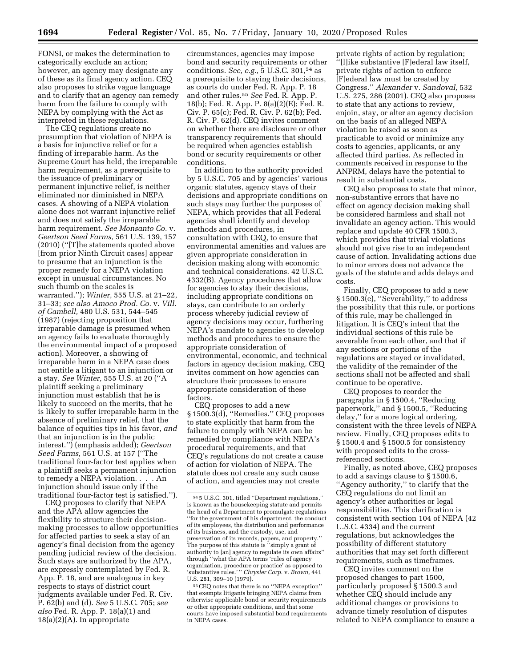FONSI, or makes the determination to categorically exclude an action; however, an agency may designate any of these as its final agency action. CEQ also proposes to strike vague language and to clarify that an agency can remedy harm from the failure to comply with NEPA by complying with the Act as interpreted in these regulations.

The CEQ regulations create no presumption that violation of NEPA is a basis for injunctive relief or for a finding of irreparable harm. As the Supreme Court has held, the irreparable harm requirement, as a prerequisite to the issuance of preliminary or permanent injunctive relief, is neither eliminated nor diminished in NEPA cases. A showing of a NEPA violation alone does not warrant injunctive relief and does not satisfy the irreparable harm requirement. *See Monsanto Co.* v. *Geertson Seed Farms,* 561 U.S. 139, 157 (2010) (''[T]he statements quoted above [from prior Ninth Circuit cases] appear to presume that an injunction is the proper remedy for a NEPA violation except in unusual circumstances. No such thumb on the scales is warranted.''); *Winter,* 555 U.S. at 21–22, 31–33; *see also Amoco Prod. Co.* v. *Vill. of Gambell,* 480 U.S. 531, 544–545 (1987) (rejecting proposition that irreparable damage is presumed when an agency fails to evaluate thoroughly the environmental impact of a proposed action). Moreover, a showing of irreparable harm in a NEPA case does not entitle a litigant to an injunction or a stay. *See Winter,* 555 U.S. at 20 (''A plaintiff seeking a preliminary injunction must establish that he is likely to succeed on the merits, that he is likely to suffer irreparable harm in the absence of preliminary relief, that the balance of equities tips in his favor, *and*  that an injunction is in the public interest.'') (emphasis added); *Geertson Seed Farms,* 561 U.S. at 157 (''The traditional four-factor test applies when a plaintiff seeks a permanent injunction to remedy a NEPA violation. . . . An injunction should issue only if the traditional four-factor test is satisfied.'').

CEQ proposes to clarify that NEPA and the APA allow agencies the flexibility to structure their decisionmaking processes to allow opportunities for affected parties to seek a stay of an agency's final decision from the agency pending judicial review of the decision. Such stays are authorized by the APA, are expressly contemplated by Fed. R. App. P. 18, and are analogous in key respects to stays of district court judgments available under Fed. R. Civ. P. 62(b) and (d). *See* 5 U.S.C. 705; *see also* Fed. R. App. P. 18(a)(1) and 18(a)(2)(A). In appropriate

circumstances, agencies may impose bond and security requirements or other conditions. *See, e.g.,* 5 U.S.C. 301,54 as a prerequisite to staying their decisions, as courts do under Fed. R. App. P. 18 and other rules.55 *See* Fed. R. App. P. 18(b); Fed. R. App. P. 8(a)(2)(E); Fed. R. Civ. P. 65(c); Fed. R. Civ. P. 62(b); Fed. R. Civ. P. 62(d). CEQ invites comment on whether there are disclosure or other transparency requirements that should be required when agencies establish bond or security requirements or other conditions.

In addition to the authority provided by 5 U.S.C. 705 and by agencies' various organic statutes, agency stays of their decisions and appropriate conditions on such stays may further the purposes of NEPA, which provides that all Federal agencies shall identify and develop methods and procedures, in consultation with CEQ, to ensure that environmental amenities and values are given appropriate consideration in decision making along with economic and technical considerations. 42 U.S.C. 4332(B). Agency procedures that allow for agencies to stay their decisions, including appropriate conditions on stays, can contribute to an orderly process whereby judicial review of agency decisions may occur, furthering NEPA's mandate to agencies to develop methods and procedures to ensure the appropriate consideration of environmental, economic, and technical factors in agency decision making. CEQ invites comment on how agencies can structure their processes to ensure appropriate consideration of these factors.

CEQ proposes to add a new § 1500.3(d), ''Remedies.'' CEQ proposes to state explicitly that harm from the failure to comply with NEPA can be remedied by compliance with NEPA's procedural requirements, and that CEQ's regulations do not create a cause of action for violation of NEPA. The statute does not create any such cause of action, and agencies may not create

private rights of action by regulation; ''[l]ike substantive [F]ederal law itself, private rights of action to enforce [F]ederal law must be created by Congress.'' *Alexander* v. *Sandoval,* 532 U.S. 275, 286 (2001). CEQ also proposes to state that any actions to review, enjoin, stay, or alter an agency decision on the basis of an alleged NEPA violation be raised as soon as practicable to avoid or minimize any costs to agencies, applicants, or any affected third parties. As reflected in comments received in response to the ANPRM, delays have the potential to result in substantial costs.

CEQ also proposes to state that minor, non-substantive errors that have no effect on agency decision making shall be considered harmless and shall not invalidate an agency action. This would replace and update 40 CFR 1500.3, which provides that trivial violations should not give rise to an independent cause of action. Invalidating actions due to minor errors does not advance the goals of the statute and adds delays and costs.

Finally, CEQ proposes to add a new § 1500.3(e), ''Severability,'' to address the possibility that this rule, or portions of this rule, may be challenged in litigation. It is CEQ's intent that the individual sections of this rule be severable from each other, and that if any sections or portions of the regulations are stayed or invalidated, the validity of the remainder of the sections shall not be affected and shall continue to be operative.

CEQ proposes to reorder the paragraphs in § 1500.4, ''Reducing paperwork,'' and § 1500.5, ''Reducing delay,'' for a more logical ordering, consistent with the three levels of NEPA review. Finally, CEQ proposes edits to § 1500.4 and § 1500.5 for consistency with proposed edits to the crossreferenced sections.

Finally, as noted above, CEQ proposes to add a savings clause to § 1500.6, ''Agency authority,'' to clarify that the CEQ regulations do not limit an agency's other authorities or legal responsibilities. This clarification is consistent with section 104 of NEPA (42 U.S.C. 4334) and the current regulations, but acknowledges the possibility of different statutory authorities that may set forth different requirements, such as timeframes.

CEQ invites comment on the proposed changes to part 1500, particularly proposed § 1500.3 and whether CEQ should include any additional changes or provisions to advance timely resolution of disputes related to NEPA compliance to ensure a

<sup>54</sup> 5 U.S.C. 301, titled ''Department regulations,'' is known as the housekeeping statute and permits the head of a Department to promulgate regulations ''for the government of his department, the conduct of its employees, the distribution and performance of its business, and the custody, use, and preservation of its records, papers, and property.'' The purpose of this statute is ''simply a grant of authority to [an] agency to regulate its own affairs'' through ''what the APA terms 'rules of agency organization, procedure or practice' as opposed to 'substantive rules.' '' *Chrysler Corp.* v. *Brown,* 441 U.S. 281, 309–10 (1979).

<sup>55</sup>CEQ notes that there is no ''NEPA exception'' that exempts litigants bringing NEPA claims from otherwise applicable bond or security requirements or other appropriate conditions, and that some courts have imposed substantial bond requirements in NEPA cases.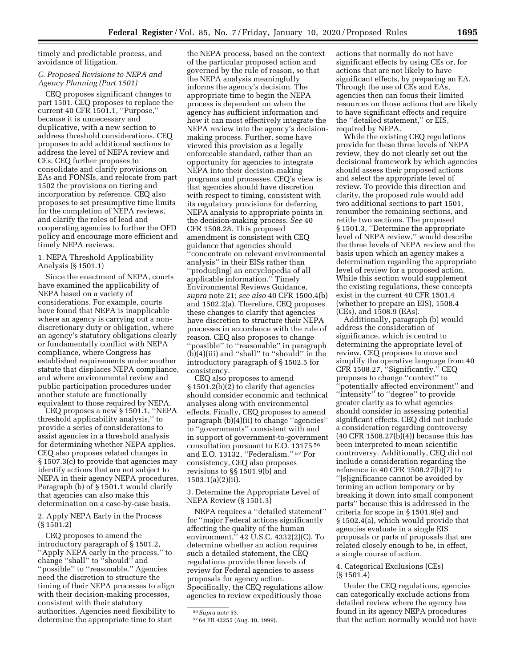timely and predictable process, and avoidance of litigation.

# *C. Proposed Revisions to NEPA and Agency Planning (Part 1501)*

CEQ proposes significant changes to part 1501. CEQ proposes to replace the current 40 CFR 1501.1, ''Purpose,'' because it is unnecessary and duplicative, with a new section to address threshold considerations. CEQ proposes to add additional sections to address the level of NEPA review and CEs. CEQ further proposes to consolidate and clarify provisions on EAs and FONSIs, and relocate from part 1502 the provisions on tiering and incorporation by reference. CEQ also proposes to set presumptive time limits for the completion of NEPA reviews, and clarify the roles of lead and cooperating agencies to further the OFD policy and encourage more efficient and timely NEPA reviews.

1. NEPA Threshold Applicability Analysis (§ 1501.1)

Since the enactment of NEPA, courts have examined the applicability of NEPA based on a variety of considerations. For example, courts have found that NEPA is inapplicable where an agency is carrying out a nondiscretionary duty or obligation, where an agency's statutory obligations clearly or fundamentally conflict with NEPA compliance, where Congress has established requirements under another statute that displaces NEPA compliance, and where environmental review and public participation procedures under another statute are functionally equivalent to those required by NEPA.

CEQ proposes a new § 1501.1, ''NEPA threshold applicability analysis,'' to provide a series of considerations to assist agencies in a threshold analysis for determining whether NEPA applies. CEQ also proposes related changes in § 1507.3(c) to provide that agencies may identify actions that are not subject to NEPA in their agency NEPA procedures. Paragraph (b) of § 1501.1 would clarify that agencies can also make this determination on a case-by-case basis.

2. Apply NEPA Early in the Process (§ 1501.2)

CEQ proposes to amend the introductory paragraph of § 1501.2, ''Apply NEPA early in the process,'' to change ''shall'' to ''should'' and ''possible'' to ''reasonable.'' Agencies need the discretion to structure the timing of their NEPA processes to align with their decision-making processes, consistent with their statutory authorities. Agencies need flexibility to determine the appropriate time to start

the NEPA process, based on the context of the particular proposed action and governed by the rule of reason, so that the NEPA analysis meaningfully informs the agency's decision. The appropriate time to begin the NEPA process is dependent on when the agency has sufficient information and how it can most effectively integrate the NEPA review into the agency's decisionmaking process. Further, some have viewed this provision as a legally enforceable standard, rather than an opportunity for agencies to integrate NEPA into their decision-making programs and processes. CEQ's view is that agencies should have discretion with respect to timing, consistent with its regulatory provisions for deferring NEPA analysis to appropriate points in the decision-making process. *See* 40 CFR 1508.28. This proposed amendment is consistent with CEQ guidance that agencies should ''concentrate on relevant environmental analysis'' in their EISs rather than ''produc[ing] an encyclopedia of all applicable information.'' Timely Environmental Reviews Guidance, *supra* note 21; *see also* 40 CFR 1500.4(b) and 1502.2(a). Therefore, CEQ proposes these changes to clarify that agencies have discretion to structure their NEPA processes in accordance with the rule of reason. CEQ also proposes to change ''possible'' to ''reasonable'' in paragraph  $(b)(4)(iii)$  and "shall" to "should" in the introductory paragraph of § 1502.5 for consistency.

CEQ also proposes to amend § 1501.2(b)(2) to clarify that agencies should consider economic and technical analyses along with environmental effects. Finally, CEQ proposes to amend paragraph (b)(4)(ii) to change ''agencies'' to ''governments'' consistent with and in support of government-to-government consultation pursuant to E.O. 13175 56 and E.O. 13132, ''Federalism.'' 57 For consistency, CEQ also proposes revisions to §§ 1501.9(b) and  $1503.1(a)(2)(ii)$ .

3. Determine the Appropriate Level of NEPA Review (§ 1501.3)

NEPA requires a ''detailed statement'' for ''major Federal actions significantly affecting the quality of the human environment.'' 42 U.S.C. 4332(2)(C). To determine whether an action requires such a detailed statement, the CEQ regulations provide three levels of review for Federal agencies to assess proposals for agency action. Specifically, the CEQ regulations allow agencies to review expeditiously those

actions that normally do not have significant effects by using CEs or, for actions that are not likely to have significant effects, by preparing an EA. Through the use of CEs and EAs, agencies then can focus their limited resources on those actions that are likely to have significant effects and require the ''detailed statement,'' or EIS, required by NEPA.

While the existing CEQ regulations provide for these three levels of NEPA review, they do not clearly set out the decisional framework by which agencies should assess their proposed actions and select the appropriate level of review. To provide this direction and clarity, the proposed rule would add two additional sections to part 1501, renumber the remaining sections, and retitle two sections. The proposed § 1501.3, ''Determine the appropriate level of NEPA review,'' would describe the three levels of NEPA review and the basis upon which an agency makes a determination regarding the appropriate level of review for a proposed action. While this section would supplement the existing regulations, these concepts exist in the current 40 CFR 1501.4 (whether to prepare an EIS), 1508.4 (CEs), and 1508.9 (EAs).

Additionally, paragraph (b) would address the consideration of significance, which is central to determining the appropriate level of review. CEQ proposes to move and simplify the operative language from 40 CFR 1508.27, ''Significantly.'' CEQ proposes to change ''context'' to ''potentially affected environment'' and "intensity" to "degree" to provide greater clarity as to what agencies should consider in assessing potential significant effects. CEQ did not include a consideration regarding controversy (40 CFR 1508.27(b)(4)) because this has been interpreted to mean scientific controversy. Additionally, CEQ did not include a consideration regarding the reference in 40 CFR 1508.27(b)(7) to ''[s]ignificance cannot be avoided by terming an action temporary or by breaking it down into small component parts'' because this is addressed in the criteria for scope in § 1501.9(e) and § 1502.4(a), which would provide that agencies evaluate in a single EIS proposals or parts of proposals that are related closely enough to be, in effect, a single course of action.

## 4. Categorical Exclusions (CEs) (§ 1501.4)

Under the CEQ regulations, agencies can categorically exclude actions from detailed review where the agency has found in its agency NEPA procedures that the action normally would not have

<sup>56</sup>*Supra* note 53.

<sup>57</sup> 64 FR 43255 (Aug. 10, 1999).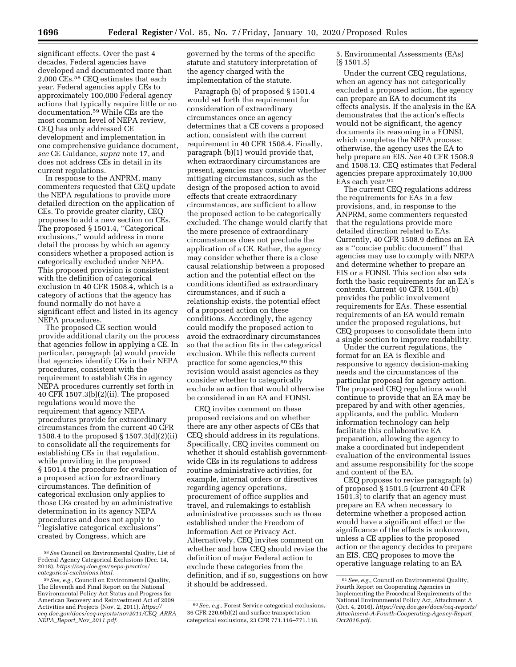significant effects. Over the past 4 decades, Federal agencies have developed and documented more than 2,000 CEs.58 CEQ estimates that each year, Federal agencies apply CEs to approximately 100,000 Federal agency actions that typically require little or no documentation.59 While CEs are the most common level of NEPA review, CEQ has only addressed CE development and implementation in one comprehensive guidance document, *see* CE Guidance, *supra* note 17, and does not address CEs in detail in its current regulations.

In response to the ANPRM, many commenters requested that CEQ update the NEPA regulations to provide more detailed direction on the application of CEs. To provide greater clarity, CEQ proposes to add a new section on CEs. The proposed § 1501.4, ''Categorical exclusions,'' would address in more detail the process by which an agency considers whether a proposed action is categorically excluded under NEPA. This proposed provision is consistent with the definition of categorical exclusion in 40 CFR 1508.4, which is a category of actions that the agency has found normally do not have a significant effect and listed in its agency NEPA procedures.

The proposed CE section would provide additional clarity on the process that agencies follow in applying a CE. In particular, paragraph (a) would provide that agencies identify CEs in their NEPA procedures, consistent with the requirement to establish CEs in agency NEPA procedures currently set forth in 40 CFR 1507.3(b)(2)(ii). The proposed regulations would move the requirement that agency NEPA procedures provide for extraordinary circumstances from the current 40 CFR 1508.4 to the proposed § 1507.3(d)(2)(ii) to consolidate all the requirements for establishing CEs in that regulation, while providing in the proposed § 1501.4 the procedure for evaluation of a proposed action for extraordinary circumstances. The definition of categorical exclusion only applies to those CEs created by an administrative determination in its agency NEPA procedures and does not apply to ''legislative categorical exclusions'' created by Congress, which are

governed by the terms of the specific statute and statutory interpretation of the agency charged with the implementation of the statute.

Paragraph (b) of proposed § 1501.4 would set forth the requirement for consideration of extraordinary circumstances once an agency determines that a CE covers a proposed action, consistent with the current requirement in 40 CFR 1508.4. Finally, paragraph (b)(1) would provide that, when extraordinary circumstances are present, agencies may consider whether mitigating circumstances, such as the design of the proposed action to avoid effects that create extraordinary circumstances, are sufficient to allow the proposed action to be categorically excluded. The change would clarify that the mere presence of extraordinary circumstances does not preclude the application of a CE. Rather, the agency may consider whether there is a close causal relationship between a proposed action and the potential effect on the conditions identified as extraordinary circumstances, and if such a relationship exists, the potential effect of a proposed action on these conditions. Accordingly, the agency could modify the proposed action to avoid the extraordinary circumstances so that the action fits in the categorical exclusion. While this reflects current practice for some agencies,60 this revision would assist agencies as they consider whether to categorically exclude an action that would otherwise be considered in an EA and FONSI.

CEQ invites comment on these proposed revisions and on whether there are any other aspects of CEs that CEQ should address in its regulations. Specifically, CEQ invites comment on whether it should establish governmentwide CEs in its regulations to address routine administrative activities, for example, internal orders or directives regarding agency operations, procurement of office supplies and travel, and rulemakings to establish administrative processes such as those established under the Freedom of Information Act or Privacy Act. Alternatively, CEQ invites comment on whether and how CEQ should revise the definition of major Federal action to exclude these categories from the definition, and if so, suggestions on how it should be addressed.

5. Environmental Assessments (EAs) (§ 1501.5)

Under the current CEQ regulations, when an agency has not categorically excluded a proposed action, the agency can prepare an EA to document its effects analysis. If the analysis in the EA demonstrates that the action's effects would not be significant, the agency documents its reasoning in a FONSI, which completes the NEPA process; otherwise, the agency uses the EA to help prepare an EIS. *See* 40 CFR 1508.9 and 1508.13. CEQ estimates that Federal agencies prepare approximately 10,000 EAs each year.<sup>61</sup>

The current CEQ regulations address the requirements for EAs in a few provisions, and, in response to the ANPRM, some commenters requested that the regulations provide more detailed direction related to EAs. Currently, 40 CFR 1508.9 defines an EA as a ''concise public document'' that agencies may use to comply with NEPA and determine whether to prepare an EIS or a FONSI. This section also sets forth the basic requirements for an EA's contents. Current 40 CFR 1501.4(b) provides the public involvement requirements for EAs. These essential requirements of an EA would remain under the proposed regulations, but CEQ proposes to consolidate them into a single section to improve readability.

Under the current regulations, the format for an EA is flexible and responsive to agency decision-making needs and the circumstances of the particular proposal for agency action. The proposed CEQ regulations would continue to provide that an EA may be prepared by and with other agencies, applicants, and the public. Modern information technology can help facilitate this collaborative EA preparation, allowing the agency to make a coordinated but independent evaluation of the environmental issues and assume responsibility for the scope and content of the EA.

CEQ proposes to revise paragraph (a) of proposed § 1501.5 (current 40 CFR 1501.3) to clarify that an agency must prepare an EA when necessary to determine whether a proposed action would have a significant effect or the significance of the effects is unknown, unless a CE applies to the proposed action or the agency decides to prepare an EIS. CEQ proposes to move the operative language relating to an EA

<sup>58</sup>*See* Council on Environmental Quality, List of Federal Agency Categorical Exclusions (Dec. 14, 2018), *[https://ceq.doe.gov/nepa-practice/](https://ceq.doe.gov/nepa-practice/categorical-exclusions.html)  [categorical-exclusions.html.](https://ceq.doe.gov/nepa-practice/categorical-exclusions.html)* 

<sup>59</sup>*See, e.g.,* Council on Environmental Quality, The Eleventh and Final Report on the National Environmental Policy Act Status and Progress for American Recovery and Reinvestment Act of 2009 Activities and Projects (Nov. 2, 2011), *[https://](https://ceq.doe.gov/docs/ceq-reports/nov2011/CEQ_ARRA_NEPA_Report_Nov_2011.pdf) [ceq.doe.gov/docs/ceq-reports/nov2011/CEQ](https://ceq.doe.gov/docs/ceq-reports/nov2011/CEQ_ARRA_NEPA_Report_Nov_2011.pdf)*\_*ARRA*\_ *NEPA*\_*Report*\_*Nov*\_*[2011.pdf.](https://ceq.doe.gov/docs/ceq-reports/nov2011/CEQ_ARRA_NEPA_Report_Nov_2011.pdf)* 

<sup>60</sup>*See, e.g.,* Forest Service categorical exclusions, 36 CFR 220.6(b)(2) and surface transportation categorical exclusions, 23 CFR 771.116–771.118.

<sup>61</sup>*See, e.g.,* Council on Environmental Quality, Fourth Report on Cooperating Agencies in Implementing the Procedural Requirements of the National Environmental Policy Act, Attachment A (Oct. 4, 2016), *[https://ceq.doe.gov/docs/ceq-reports/](https://ceq.doe.gov/docs/ceq-reports/Attachment-A-Fourth-Cooperating-Agency-Report_Oct2016.pdf)  [Attachment-A-Fourth-Cooperating-Agency-Report](https://ceq.doe.gov/docs/ceq-reports/Attachment-A-Fourth-Cooperating-Agency-Report_Oct2016.pdf)*\_ *[Oct2016.pdf.](https://ceq.doe.gov/docs/ceq-reports/Attachment-A-Fourth-Cooperating-Agency-Report_Oct2016.pdf)*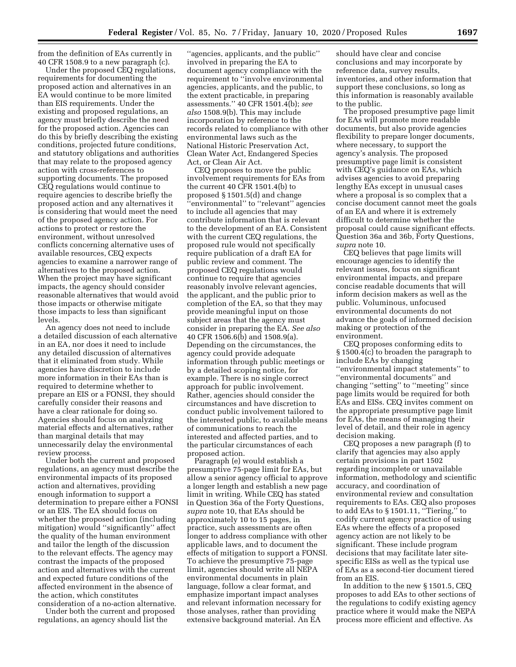from the definition of EAs currently in 40 CFR 1508.9 to a new paragraph (c).

Under the proposed CEQ regulations, requirements for documenting the proposed action and alternatives in an EA would continue to be more limited than EIS requirements. Under the existing and proposed regulations, an agency must briefly describe the need for the proposed action. Agencies can do this by briefly describing the existing conditions, projected future conditions, and statutory obligations and authorities that may relate to the proposed agency action with cross-references to supporting documents. The proposed CEQ regulations would continue to require agencies to describe briefly the proposed action and any alternatives it is considering that would meet the need of the proposed agency action. For actions to protect or restore the environment, without unresolved conflicts concerning alternative uses of available resources, CEQ expects agencies to examine a narrower range of alternatives to the proposed action. When the project may have significant impacts, the agency should consider reasonable alternatives that would avoid those impacts or otherwise mitigate those impacts to less than significant levels.

An agency does not need to include a detailed discussion of each alternative in an EA, nor does it need to include any detailed discussion of alternatives that it eliminated from study. While agencies have discretion to include more information in their EAs than is required to determine whether to prepare an EIS or a FONSI, they should carefully consider their reasons and have a clear rationale for doing so. Agencies should focus on analyzing material effects and alternatives, rather than marginal details that may unnecessarily delay the environmental review process.

Under both the current and proposed regulations, an agency must describe the environmental impacts of its proposed action and alternatives, providing enough information to support a determination to prepare either a FONSI or an EIS. The EA should focus on whether the proposed action (including mitigation) would ''significantly'' affect the quality of the human environment and tailor the length of the discussion to the relevant effects. The agency may contrast the impacts of the proposed action and alternatives with the current and expected future conditions of the affected environment in the absence of the action, which constitutes consideration of a no-action alternative.

Under both the current and proposed regulations, an agency should list the

''agencies, applicants, and the public'' involved in preparing the EA to document agency compliance with the requirement to ''involve environmental agencies, applicants, and the public, to the extent practicable, in preparing assessments.'' 40 CFR 1501.4(b); *see also* 1508.9(b). This may include incorporation by reference to the records related to compliance with other environmental laws such as the National Historic Preservation Act, Clean Water Act, Endangered Species Act, or Clean Air Act.

CEQ proposes to move the public involvement requirements for EAs from the current 40 CFR 1501.4(b) to proposed § 1501.5(d) and change ''environmental'' to ''relevant'' agencies to include all agencies that may contribute information that is relevant to the development of an EA. Consistent with the current CEQ regulations, the proposed rule would not specifically require publication of a draft EA for public review and comment. The proposed CEQ regulations would continue to require that agencies reasonably involve relevant agencies, the applicant, and the public prior to completion of the EA, so that they may provide meaningful input on those subject areas that the agency must consider in preparing the EA. *See also*  40 CFR 1506.6(b) and 1508.9(a). Depending on the circumstances, the agency could provide adequate information through public meetings or by a detailed scoping notice, for example. There is no single correct approach for public involvement. Rather, agencies should consider the circumstances and have discretion to conduct public involvement tailored to the interested public, to available means of communications to reach the interested and affected parties, and to the particular circumstances of each proposed action.

Paragraph (e) would establish a presumptive 75-page limit for EAs, but allow a senior agency official to approve a longer length and establish a new page limit in writing. While CEQ has stated in Question 36a of the Forty Questions, *supra* note 10, that EAs should be approximately 10 to 15 pages, in practice, such assessments are often longer to address compliance with other applicable laws, and to document the effects of mitigation to support a FONSI. To achieve the presumptive 75-page limit, agencies should write all NEPA environmental documents in plain language, follow a clear format, and emphasize important impact analyses and relevant information necessary for those analyses, rather than providing extensive background material. An EA

should have clear and concise conclusions and may incorporate by reference data, survey results, inventories, and other information that support these conclusions, so long as this information is reasonably available to the public.

The proposed presumptive page limit for EAs will promote more readable documents, but also provide agencies flexibility to prepare longer documents, where necessary, to support the agency's analysis. The proposed presumptive page limit is consistent with CEQ's guidance on EAs, which advises agencies to avoid preparing lengthy EAs except in unusual cases where a proposal is so complex that a concise document cannot meet the goals of an EA and where it is extremely difficult to determine whether the proposal could cause significant effects. Question 36a and 36b, Forty Questions, *supra* note 10.

CEQ believes that page limits will encourage agencies to identify the relevant issues, focus on significant environmental impacts, and prepare concise readable documents that will inform decision makers as well as the public. Voluminous, unfocused environmental documents do not advance the goals of informed decision making or protection of the environment.

CEQ proposes conforming edits to § 1500.4(c) to broaden the paragraph to include EAs by changing ''environmental impact statements'' to ''environmental documents'' and changing ''setting'' to ''meeting'' since page limits would be required for both EAs and EISs. CEQ invites comment on the appropriate presumptive page limit for EAs, the means of managing their level of detail, and their role in agency decision making.

CEQ proposes a new paragraph (f) to clarify that agencies may also apply certain provisions in part 1502 regarding incomplete or unavailable information, methodology and scientific accuracy, and coordination of environmental review and consultation requirements to EAs. CEQ also proposes to add EAs to § 1501.11, ''Tiering,'' to codify current agency practice of using EAs where the effects of a proposed agency action are not likely to be significant. These include program decisions that may facilitate later sitespecific EISs as well as the typical use of EAs as a second-tier document tiered from an EIS.

In addition to the new § 1501.5, CEQ proposes to add EAs to other sections of the regulations to codify existing agency practice where it would make the NEPA process more efficient and effective. As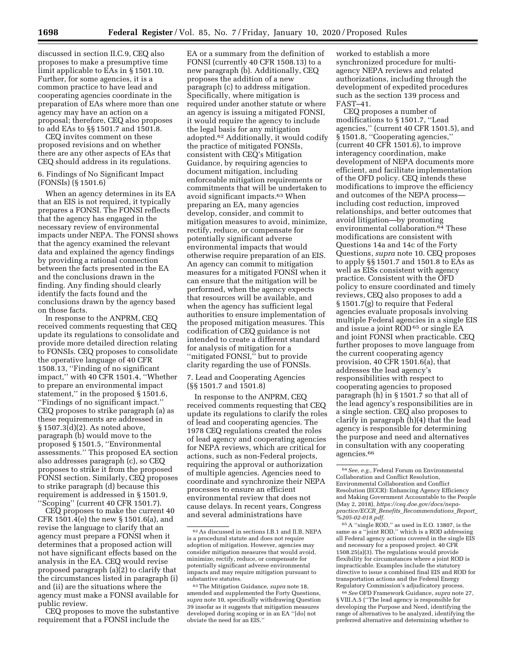discussed in section II.C.9, CEQ also proposes to make a presumptive time limit applicable to EAs in § 1501.10. Further, for some agencies, it is a common practice to have lead and cooperating agencies coordinate in the preparation of EAs where more than one agency may have an action on a proposal; therefore, CEQ also proposes to add EAs to §§ 1501.7 and 1501.8.

CEQ invites comment on these proposed revisions and on whether there are any other aspects of EAs that CEQ should address in its regulations.

6. Findings of No Significant Impact (FONSIs) (§ 1501.6)

When an agency determines in its EA that an EIS is not required, it typically prepares a FONSI. The FONSI reflects that the agency has engaged in the necessary review of environmental impacts under NEPA. The FONSI shows that the agency examined the relevant data and explained the agency findings by providing a rational connection between the facts presented in the EA and the conclusions drawn in the finding. Any finding should clearly identify the facts found and the conclusions drawn by the agency based on those facts.

In response to the ANPRM, CEQ received comments requesting that CEQ update its regulations to consolidate and provide more detailed direction relating to FONSIs. CEQ proposes to consolidate the operative language of 40 CFR 1508.13, ''Finding of no significant impact,'' with 40 CFR 1501.4, ''Whether to prepare an environmental impact statement,'' in the proposed § 1501.6, ''Findings of no significant impact.'' CEQ proposes to strike paragraph (a) as these requirements are addressed in § 1507.3(d)(2). As noted above, paragraph (b) would move to the proposed § 1501.5, ''Environmental assessments.'' This proposed EA section also addresses paragraph (c), so CEQ proposes to strike it from the proposed FONSI section. Similarly, CEQ proposes to strike paragraph (d) because this requirement is addressed in § 1501.9, ''Scoping'' (current 40 CFR 1501.7).

CEQ proposes to make the current 40 CFR 1501.4(e) the new § 1501.6(a), and revise the language to clarify that an agency must prepare a FONSI when it determines that a proposed action will not have significant effects based on the analysis in the EA. CEQ would revise proposed paragraph (a)(2) to clarify that the circumstances listed in paragraph (i) and (ii) are the situations where the agency must make a FONSI available for public review.

CEQ proposes to move the substantive requirement that a FONSI include the

EA or a summary from the definition of FONSI (currently 40 CFR 1508.13) to a new paragraph (b). Additionally, CEQ proposes the addition of a new paragraph (c) to address mitigation. Specifically, where mitigation is required under another statute or where an agency is issuing a mitigated FONSI, it would require the agency to include the legal basis for any mitigation adopted.62 Additionally, it would codify the practice of mitigated FONSIs, consistent with CEQ's Mitigation Guidance, by requiring agencies to document mitigation, including enforceable mitigation requirements or commitments that will be undertaken to avoid significant impacts.63 When preparing an EA, many agencies develop, consider, and commit to mitigation measures to avoid, minimize, rectify, reduce, or compensate for potentially significant adverse environmental impacts that would otherwise require preparation of an EIS. An agency can commit to mitigation measures for a mitigated FONSI when it can ensure that the mitigation will be performed, when the agency expects that resources will be available, and when the agency has sufficient legal authorities to ensure implementation of the proposed mitigation measures. This codification of CEQ guidance is not intended to create a different standard for analysis of mitigation for a ''mitigated FONSI,'' but to provide clarity regarding the use of FONSIs.

7. Lead and Cooperating Agencies (§§ 1501.7 and 1501.8)

In response to the ANPRM, CEQ received comments requesting that CEQ update its regulations to clarify the roles of lead and cooperating agencies. The 1978 CEQ regulations created the roles of lead agency and cooperating agencies for NEPA reviews, which are critical for actions, such as non-Federal projects, requiring the approval or authorization of multiple agencies. Agencies need to coordinate and synchronize their NEPA processes to ensure an efficient environmental review that does not cause delays. In recent years, Congress and several administrations have

worked to establish a more synchronized procedure for multiagency NEPA reviews and related authorizations, including through the development of expedited procedures such as the section 139 process and FAST–41.

CEQ proposes a number of modifications to § 1501.7, ''Lead agencies,'' (current 40 CFR 1501.5), and § 1501.8, ''Cooperating agencies,'' (current 40 CFR 1501.6), to improve interagency coordination, make development of NEPA documents more efficient, and facilitate implementation of the OFD policy. CEQ intends these modifications to improve the efficiency and outcomes of the NEPA process including cost reduction, improved relationships, and better outcomes that avoid litigation—by promoting environmental collaboration.64 These modifications are consistent with Questions 14a and 14c of the Forty Questions, *supra* note 10. CEQ proposes to apply §§ 1501.7 and 1501.8 to EAs as well as EISs consistent with agency practice. Consistent with the OFD policy to ensure coordinated and timely reviews, CEQ also proposes to add a § 1501.7(g) to require that Federal agencies evaluate proposals involving multiple Federal agencies in a single EIS and issue a joint ROD 65 or single EA and joint FONSI when practicable. CEQ further proposes to move language from the current cooperating agency provision, 40 CFR 1501.6(a), that addresses the lead agency's responsibilities with respect to cooperating agencies to proposed paragraph (h) in § 1501.7 so that all of the lead agency's responsibilities are in a single section. CEQ also proposes to clarify in paragraph (h)(4) that the lead agency is responsible for determining the purpose and need and alternatives in consultation with any cooperating agencies.66

66*See* OFD Framework Guidance, *supra* note 27, § VIII.A.5 (''The lead agency is responsible for developing the Purpose and Need, identifying the range of alternatives to be analyzed, identifying the preferred alternative and determining whether to

<sup>62</sup>As discussed in sections I.B.1 and II.B, NEPA is a procedural statute and does not require adoption of mitigation. However, agencies may consider mitigation measures that would avoid, minimize, rectify, reduce, or compensate for potentially significant adverse environmental impacts and may require mitigation pursuant to substantive statutes.

<sup>63</sup>The Mitigation Guidance, *supra* note 18, amended and supplemented the Forty Questions, *supra* note 10, specifically withdrawing Question 39 insofar as it suggests that mitigation measures developed during scoping or in an EA ''[do] not obviate the need for an EIS.''

<sup>64</sup>*See, e.g.,* Federal Forum on Environmental Collaboration and Conflict Resolution, Environmental Collaboration and Conflict Resolution (ECCR): Enhancing Agency Efficiency and Making Government Accountable to the People (May 2, 2018), *[https://ceq.doe.gov/docs/nepa](https://ceq.doe.gov/docs/nepa-practice/ECCR_Benefits_Recommendations_Report_%205-02-018.pdf)practice/ECCR*\_*Benefits*\_*[Recommendations](https://ceq.doe.gov/docs/nepa-practice/ECCR_Benefits_Recommendations_Report_%205-02-018.pdf)*\_*Report*\_ *[%205-02-018.pdf.](https://ceq.doe.gov/docs/nepa-practice/ECCR_Benefits_Recommendations_Report_%205-02-018.pdf)* 

<sup>65</sup>A ''single ROD,'' as used in E.O. 13807, is the same as a ''joint ROD,'' which is a ROD addressing all Federal agency actions covered in the single EIS and necessary for a proposed project. 40 CFR 1508.25(a)(3). The regulations would provide flexibility for circumstances where a joint ROD is impracticable. Examples include the statutory directive to issue a combined final EIS and ROD for transportation actions and the Federal Energy Regulatory Commission's adjudicatory process.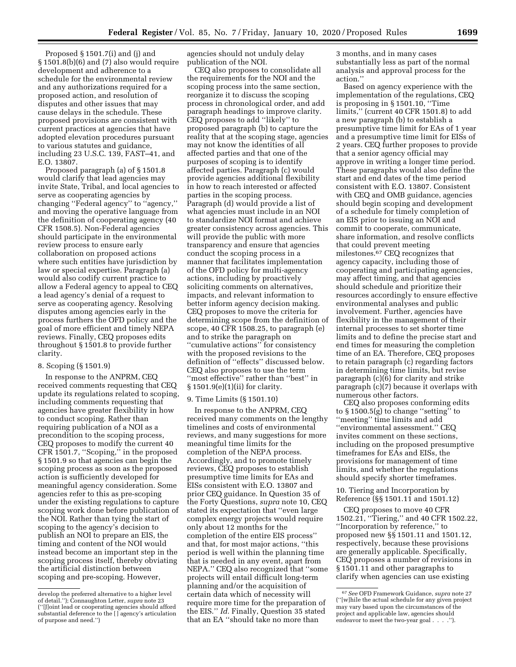Proposed § 1501.7(i) and (j) and § 1501.8(b)(6) and (7) also would require development and adherence to a schedule for the environmental review and any authorizations required for a proposed action, and resolution of disputes and other issues that may cause delays in the schedule. These proposed provisions are consistent with current practices at agencies that have adopted elevation procedures pursuant to various statutes and guidance, including 23 U.S.C. 139, FAST–41, and E.O. 13807.

Proposed paragraph (a) of § 1501.8 would clarify that lead agencies may invite State, Tribal, and local agencies to serve as cooperating agencies by changing ''Federal agency'' to ''agency,'' and moving the operative language from the definition of cooperating agency (40 CFR 1508.5). Non-Federal agencies should participate in the environmental review process to ensure early collaboration on proposed actions where such entities have jurisdiction by law or special expertise. Paragraph (a) would also codify current practice to allow a Federal agency to appeal to CEQ a lead agency's denial of a request to serve as cooperating agency. Resolving disputes among agencies early in the process furthers the OFD policy and the goal of more efficient and timely NEPA reviews. Finally, CEQ proposes edits throughout § 1501.8 to provide further clarity.

#### 8. Scoping (§ 1501.9)

In response to the ANPRM, CEQ received comments requesting that CEQ update its regulations related to scoping, including comments requesting that agencies have greater flexibility in how to conduct scoping. Rather than requiring publication of a NOI as a precondition to the scoping process, CEQ proposes to modify the current 40 CFR 1501.7, ''Scoping,'' in the proposed § 1501.9 so that agencies can begin the scoping process as soon as the proposed action is sufficiently developed for meaningful agency consideration. Some agencies refer to this as pre-scoping under the existing regulations to capture scoping work done before publication of the NOI. Rather than tying the start of scoping to the agency's decision to publish an NOI to prepare an EIS, the timing and content of the NOI would instead become an important step in the scoping process itself, thereby obviating the artificial distinction between scoping and pre-scoping. However,

agencies should not unduly delay publication of the NOI.

CEQ also proposes to consolidate all the requirements for the NOI and the scoping process into the same section, reorganize it to discuss the scoping process in chronological order, and add paragraph headings to improve clarity. CEQ proposes to add ''likely'' to proposed paragraph (b) to capture the reality that at the scoping stage, agencies may not know the identities of all affected parties and that one of the purposes of scoping is to identify affected parties. Paragraph (c) would provide agencies additional flexibility in how to reach interested or affected parties in the scoping process. Paragraph (d) would provide a list of what agencies must include in an NOI to standardize NOI format and achieve greater consistency across agencies. This will provide the public with more transparency and ensure that agencies conduct the scoping process in a manner that facilitates implementation of the OFD policy for multi-agency actions, including by proactively soliciting comments on alternatives, impacts, and relevant information to better inform agency decision making. CEQ proposes to move the criteria for determining scope from the definition of scope, 40 CFR 1508.25, to paragraph (e) and to strike the paragraph on ''cumulative actions'' for consistency with the proposed revisions to the definition of ''effects'' discussed below. CEQ also proposes to use the term ''most effective'' rather than ''best'' in § 1501.9(e)(1)(ii) for clarity.

#### 9. Time Limits (§ 1501.10)

In response to the ANPRM, CEQ received many comments on the lengthy timelines and costs of environmental reviews, and many suggestions for more meaningful time limits for the completion of the NEPA process. Accordingly, and to promote timely reviews, CEQ proposes to establish presumptive time limits for EAs and EISs consistent with E.O. 13807 and prior CEQ guidance. In Question 35 of the Forty Questions, *supra* note 10, CEQ stated its expectation that ''even large complex energy projects would require only about 12 months for the completion of the entire EIS process'' and that, for most major actions, ''this period is well within the planning time that is needed in any event, apart from NEPA.'' CEQ also recognized that ''some projects will entail difficult long-term planning and/or the acquisition of certain data which of necessity will require more time for the preparation of the EIS.'' *Id.* Finally, Question 35 stated that an EA ''should take no more than

3 months, and in many cases substantially less as part of the normal analysis and approval process for the action.''

Based on agency experience with the implementation of the regulations, CEQ is proposing in § 1501.10, ''Time limits,'' (current 40 CFR 1501.8) to add a new paragraph (b) to establish a presumptive time limit for EAs of 1 year and a presumptive time limit for EISs of 2 years. CEQ further proposes to provide that a senior agency official may approve in writing a longer time period. These paragraphs would also define the start and end dates of the time period consistent with E.O. 13807. Consistent with CEQ and OMB guidance, agencies should begin scoping and development of a schedule for timely completion of an EIS prior to issuing an NOI and commit to cooperate, communicate, share information, and resolve conflicts that could prevent meeting milestones.67 CEQ recognizes that agency capacity, including those of cooperating and participating agencies, may affect timing, and that agencies should schedule and prioritize their resources accordingly to ensure effective environmental analyses and public involvement. Further, agencies have flexibility in the management of their internal processes to set shorter time limits and to define the precise start and end times for measuring the completion time of an EA. Therefore, CEQ proposes to retain paragraph (c) regarding factors in determining time limits, but revise paragraph (c)(6) for clarity and strike paragraph (c)(7) because it overlaps with numerous other factors.

CEQ also proposes conforming edits to  $\S 1500.5(g)$  to change "setting" to ''meeting'' time limits and add ''environmental assessment.'' CEQ invites comment on these sections, including on the proposed presumptive timeframes for EAs and EISs, the provisions for management of time limits, and whether the regulations should specify shorter timeframes.

10. Tiering and Incorporation by Reference (§§ 1501.11 and 1501.12)

CEQ proposes to move 40 CFR 1502.21, ''Tiering,'' and 40 CFR 1502.22, ''Incorporation by reference,'' to proposed new §§ 1501.11 and 1501.12, respectively, because these provisions are generally applicable. Specifically, CEQ proposes a number of revisions in § 1501.11 and other paragraphs to clarify when agencies can use existing

develop the preferred alternative to a higher level of detail.''); Connaughton Letter, *supra* note 23 (''[J]oint lead or cooperating agencies should afford substantial deference to the [ ] agency's articulation of purpose and need.'')

<sup>67</sup>*See* OFD Framework Guidance, *supra* note 27 (''[w]hile the actual schedule for any given project may vary based upon the circumstances of the project and applicable law, agencies should endeavor to meet the two-year goal . . . .'').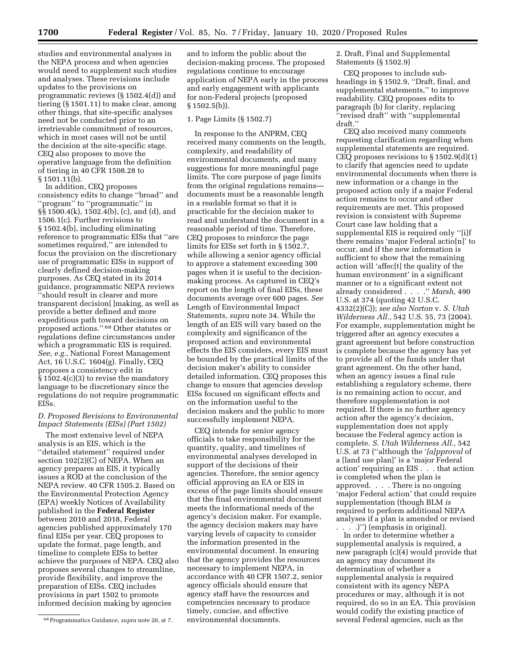studies and environmental analyses in the NEPA process and when agencies would need to supplement such studies and analyses. These revisions include updates to the provisions on programmatic reviews (§ 1502.4(d)) and tiering (§ 1501.11) to make clear, among other things, that site-specific analyses need not be conducted prior to an irretrievable commitment of resources, which in most cases will not be until the decision at the site-specific stage. CEQ also proposes to move the operative language from the definition of tiering in 40 CFR 1508.28 to § 1501.11(b).

In addition, CEQ proposes consistency edits to change ''broad'' and 'program'' to "programmatic" in §§ 1500.4(k), 1502.4(b), (c), and (d), and 1506.1(c). Further revisions to § 1502.4(b), including eliminating reference to programmatic EISs that ''are sometimes required,'' are intended to focus the provision on the discretionary use of programmatic EISs in support of clearly defined decision-making purposes. As CEQ stated in its 2014 guidance, programmatic NEPA reviews ''should result in clearer and more transparent decision[ ]making, as well as provide a better defined and more expeditious path toward decisions on proposed actions.'' 68 Other statutes or regulations define circumstances under which a programmatic EIS is required. *See, e.g.,* National Forest Management Act, 16 U.S.C. 1604(g). Finally, CEQ proposes a consistency edit in § 1502.4(c)(3) to revise the mandatory language to be discretionary since the regulations do not require programmatic EISs.

# *D. Proposed Revisions to Environmental Impact Statements (EISs) (Part 1502)*

The most extensive level of NEPA analysis is an EIS, which is the ''detailed statement'' required under section 102(2)(C) of NEPA. When an agency prepares an EIS, it typically issues a ROD at the conclusion of the NEPA review. 40 CFR 1505.2. Based on the Environmental Protection Agency (EPA) weekly Notices of Availability published in the **Federal Register**  between 2010 and 2018, Federal agencies published approximately 170 final EISs per year. CEQ proposes to update the format, page length, and timeline to complete EISs to better achieve the purposes of NEPA. CEQ also proposes several changes to streamline, provide flexibility, and improve the preparation of EISs. CEQ includes provisions in part 1502 to promote informed decision making by agencies

and to inform the public about the decision-making process. The proposed regulations continue to encourage application of NEPA early in the process and early engagement with applicants for non-Federal projects (proposed § 1502.5(b)).

## 1. Page Limits (§ 1502.7)

In response to the ANPRM, CEQ received many comments on the length, complexity, and readability of environmental documents, and many suggestions for more meaningful page limits. The core purpose of page limits from the original regulations remains documents must be a reasonable length in a readable format so that it is practicable for the decision maker to read and understand the document in a reasonable period of time. Therefore, CEQ proposes to reinforce the page limits for EISs set forth in § 1502.7, while allowing a senior agency official to approve a statement exceeding 300 pages when it is useful to the decisionmaking process. As captured in CEQ's report on the length of final EISs, these documents average over 600 pages. *See*  Length of Environmental Impact Statements, *supra* note 34. While the length of an EIS will vary based on the complexity and significance of the proposed action and environmental effects the EIS considers, every EIS must be bounded by the practical limits of the decision maker's ability to consider detailed information. CEQ proposes this change to ensure that agencies develop EISs focused on significant effects and on the information useful to the decision makers and the public to more successfully implement NEPA.

CEQ intends for senior agency officials to take responsibility for the quantity, quality, and timelines of environmental analyses developed in support of the decisions of their agencies. Therefore, the senior agency official approving an EA or EIS in excess of the page limits should ensure that the final environmental document meets the informational needs of the agency's decision maker. For example, the agency decision makers may have varying levels of capacity to consider the information presented in the environmental document. In ensuring that the agency provides the resources necessary to implement NEPA, in accordance with 40 CFR 1507.2, senior agency officials should ensure that agency staff have the resources and competencies necessary to produce timely, concise, and effective environmental documents.

## 2. Draft, Final and Supplemental Statements (§ 1502.9)

CEQ proposes to include subheadings in § 1502.9, ''Draft, final, and supplemental statements,'' to improve readability. CEQ proposes edits to paragraph (b) for clarity, replacing ''revised draft'' with ''supplemental draft.''

CEQ also received many comments requesting clarification regarding when supplemental statements are required. CEQ proposes revisions to § 1502.9(d)(1) to clarify that agencies need to update environmental documents when there is new information or a change in the proposed action only if a major Federal action remains to occur and other requirements are met. This proposed revision is consistent with Supreme Court case law holding that a supplemental EIS is required only ''[i]f there remains 'major Federal actio[n]' to occur, and if the new information is sufficient to show that the remaining action will 'affec[t] the quality of the human environment' in a significant manner or to a significant extent not already considered . . . .'' *Marsh,* 490 U.S. at 374 (quoting 42 U.S.C. 4332(2)(C)); *see also Norton* v. *S. Utah Wilderness All.,* 542 U.S. 55, 73 (2004). For example, supplementation might be triggered after an agency executes a grant agreement but before construction is complete because the agency has yet to provide all of the funds under that grant agreement. On the other hand, when an agency issues a final rule establishing a regulatory scheme, there is no remaining action to occur, and therefore supplementation is not required. If there is no further agency action after the agency's decision, supplementation does not apply because the Federal agency action is complete. *S. Utah Wilderness All.,* 542 U.S. at 73 (''although the '*[a]pproval* of a [land use plan]' is a 'major Federal action' requiring an EIS . . . that action is completed when the plan is approved. . . . There is no ongoing 'major Federal action' that could require supplementation (though BLM *is*  required to perform additional NEPA analyses if a plan is amended or revised . . . .)'') (emphasis in original).

In order to determine whether a supplemental analysis is required, a new paragraph (c)(4) would provide that an agency may document its determination of whether a supplemental analysis is required consistent with its agency NEPA procedures or may, although it is not required, do so in an EA. This provision would codify the existing practice of several Federal agencies, such as the

<sup>68</sup>Programmatics Guidance, *supra* note 20, at 7.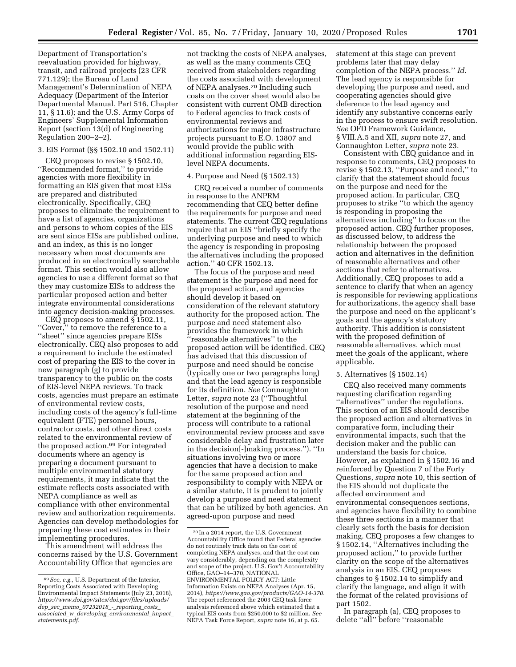Department of Transportation's reevaluation provided for highway, transit, and railroad projects (23 CFR 771.129); the Bureau of Land Management's Determination of NEPA Adequacy (Department of the Interior Departmental Manual, Part 516, Chapter 11, § 11.6); and the U.S. Army Corps of Engineers' Supplemental Information Report (section 13(d) of Engineering Regulation 200–2–2).

#### 3. EIS Format (§§ 1502.10 and 1502.11)

CEQ proposes to revise § 1502.10, ''Recommended format,'' to provide agencies with more flexibility in formatting an EIS given that most EISs are prepared and distributed electronically. Specifically, CEQ proposes to eliminate the requirement to have a list of agencies, organizations and persons to whom copies of the EIS are sent since EISs are published online, and an index, as this is no longer necessary when most documents are produced in an electronically searchable format. This section would also allow agencies to use a different format so that they may customize EISs to address the particular proposed action and better integrate environmental considerations into agency decision-making processes.

CEQ proposes to amend § 1502.11, ''Cover,'' to remove the reference to a ''sheet'' since agencies prepare EISs electronically. CEQ also proposes to add a requirement to include the estimated cost of preparing the EIS to the cover in new paragraph (g) to provide transparency to the public on the costs of EIS-level NEPA reviews. To track costs, agencies must prepare an estimate of environmental review costs, including costs of the agency's full-time equivalent (FTE) personnel hours, contractor costs, and other direct costs related to the environmental review of the proposed action.69 For integrated documents where an agency is preparing a document pursuant to multiple environmental statutory requirements, it may indicate that the estimate reflects costs associated with NEPA compliance as well as compliance with other environmental review and authorization requirements. Agencies can develop methodologies for preparing these cost estimates in their implementing procedures.

This amendment will address the concerns raised by the U.S. Government Accountability Office that agencies are

not tracking the costs of NEPA analyses, as well as the many comments CEQ received from stakeholders regarding the costs associated with development of NEPA analyses.70 Including such costs on the cover sheet would also be consistent with current OMB direction to Federal agencies to track costs of environmental reviews and authorizations for major infrastructure projects pursuant to E.O. 13807 and would provide the public with additional information regarding EISlevel NEPA documents.

### 4. Purpose and Need (§ 1502.13)

CEQ received a number of comments in response to the ANPRM recommending that CEQ better define the requirements for purpose and need statements. The current CEQ regulations require that an EIS ''briefly specify the underlying purpose and need to which the agency is responding in proposing the alternatives including the proposed action.'' 40 CFR 1502.13.

The focus of the purpose and need statement is the purpose and need for the proposed action, and agencies should develop it based on consideration of the relevant statutory authority for the proposed action. The purpose and need statement also provides the framework in which ''reasonable alternatives'' to the proposed action will be identified. CEQ has advised that this discussion of purpose and need should be concise (typically one or two paragraphs long) and that the lead agency is responsible for its definition. *See* Connaughton Letter, *supra* note 23 (''Thoughtful resolution of the purpose and need statement at the beginning of the process will contribute to a rational environmental review process and save considerable delay and frustration later in the decision[-]making process.''). ''In situations involving two or more agencies that have a decision to make for the same proposed action and responsibility to comply with NEPA or a similar statute, it is prudent to jointly develop a purpose and need statement that can be utilized by both agencies. An agreed-upon purpose and need

statement at this stage can prevent problems later that may delay completion of the NEPA process.'' *Id.*  The lead agency is responsible for developing the purpose and need, and cooperating agencies should give deference to the lead agency and identify any substantive concerns early in the process to ensure swift resolution. *See* OFD Framework Guidance, § VIII.A.5 and XII, *supra* note 27, and Connaughton Letter, *supra* note 23.

Consistent with CEQ guidance and in response to comments, CEQ proposes to revise § 1502.13, ''Purpose and need,'' to clarify that the statement should focus on the purpose and need for the proposed action. In particular, CEQ proposes to strike ''to which the agency is responding in proposing the alternatives including'' to focus on the proposed action. CEQ further proposes, as discussed below, to address the relationship between the proposed action and alternatives in the definition of reasonable alternatives and other sections that refer to alternatives. Additionally, CEQ proposes to add a sentence to clarify that when an agency is responsible for reviewing applications for authorizations, the agency shall base the purpose and need on the applicant's goals and the agency's statutory authority. This addition is consistent with the proposed definition of reasonable alternatives, which must meet the goals of the applicant, where applicable.

## 5. Alternatives (§ 1502.14)

CEQ also received many comments requesting clarification regarding ''alternatives'' under the regulations. This section of an EIS should describe the proposed action and alternatives in comparative form, including their environmental impacts, such that the decision maker and the public can understand the basis for choice. However, as explained in § 1502.16 and reinforced by Question 7 of the Forty Questions, *supra* note 10, this section of the EIS should not duplicate the affected environment and environmental consequences sections, and agencies have flexibility to combine these three sections in a manner that clearly sets forth the basis for decision making. CEQ proposes a few changes to § 1502.14, ''Alternatives including the proposed action,'' to provide further clarity on the scope of the alternatives analysis in an EIS. CEQ proposes changes to § 1502.14 to simplify and clarify the language, and align it with the format of the related provisions of part 1502.

In paragraph (a), CEQ proposes to delete ''all'' before ''reasonable

<sup>69</sup>*See, e.g.,* U.S. Department of the Interior, Reporting Costs Associated with Developing Environmental Impact Statements (July 23, 2018), *[https://www.doi.gov/sites/doi.gov/files/uploads/](https://www.doi.gov/sites/doi.gov/files/uploads/dep_sec_memo_07232018_-_reporting_costs_associated_w_developing_environmental_impact_statements.pdf) dep*\_*sec*\_*memo*\_*[07232018](https://www.doi.gov/sites/doi.gov/files/uploads/dep_sec_memo_07232018_-_reporting_costs_associated_w_developing_environmental_impact_statements.pdf)*\_*-*\_*reporting*\_*costs*\_ *associated*\_*w*\_*developing*\_*[environmental](https://www.doi.gov/sites/doi.gov/files/uploads/dep_sec_memo_07232018_-_reporting_costs_associated_w_developing_environmental_impact_statements.pdf)*\_*impact*\_ *[statements.pdf.](https://www.doi.gov/sites/doi.gov/files/uploads/dep_sec_memo_07232018_-_reporting_costs_associated_w_developing_environmental_impact_statements.pdf)* 

<sup>70</sup> In a 2014 report, the U.S. Government Accountability Office found that Federal agencies do not routinely track data on the cost of completing NEPA analyses, and that the cost can vary considerably, depending on the complexity and scope of the project. U.S. Gov't Accountability Office, GAO–14–370, NATIONAL ENVIRONMENTAL POLICY ACT: Little Information Exists on NEPA Analyses (Apr. 15, 2014), *[https://www.gao.gov/products/GAO-14-370.](https://www.gao.gov/products/GAO-14-370)*  The report referenced the 2003 CEQ task force analysis referenced above which estimated that a typical EIS costs from \$250,000 to \$2 million. *See*  NEPA Task Force Report, *supra* note 16, at p. 65.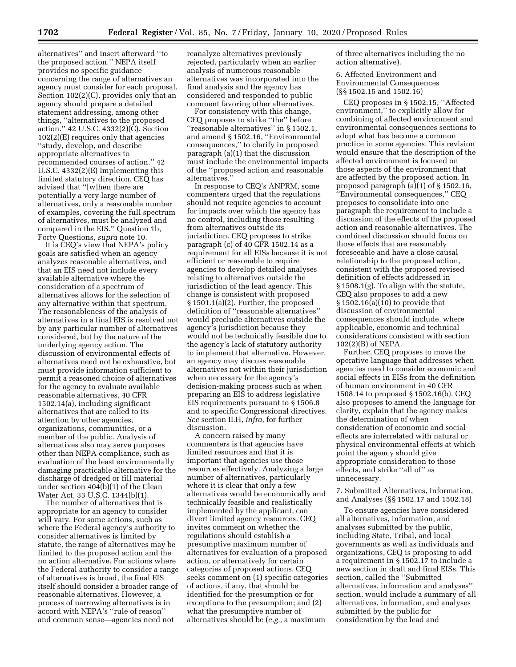alternatives'' and insert afterward ''to the proposed action.'' NEPA itself provides no specific guidance concerning the range of alternatives an agency must consider for each proposal. Section 102(2)(C), provides only that an agency should prepare a detailed statement addressing, among other things, ''alternatives to the proposed action.'' 42 U.S.C. 4332(2)(C). Section 102(2)(E) requires only that agencies ''study, develop, and describe appropriate alternatives to recommended courses of action.'' 42 U.S.C. 4332(2)(E) Implementing this limited statutory direction, CEQ has advised that ''[w]hen there are potentially a very large number of alternatives, only a reasonable number of examples, covering the full spectrum of alternatives, must be analyzed and compared in the EIS.'' Question 1b, Forty Questions, *supra* note 10.

It is CEQ's view that NEPA's policy goals are satisfied when an agency analyzes reasonable alternatives, and that an EIS need not include every available alternative where the consideration of a spectrum of alternatives allows for the selection of any alternative within that spectrum. The reasonableness of the analysis of alternatives in a final EIS is resolved not by any particular number of alternatives considered, but by the nature of the underlying agency action. The discussion of environmental effects of alternatives need not be exhaustive, but must provide information sufficient to permit a reasoned choice of alternatives for the agency to evaluate available reasonable alternatives, 40 CFR 1502.14(a), including significant alternatives that are called to its attention by other agencies, organizations, communities, or a member of the public. Analysis of alternatives also may serve purposes other than NEPA compliance, such as evaluation of the least environmentally damaging practicable alternative for the discharge of dredged or fill material under section 404(b)(1) of the Clean Water Act, 33 U.S.C. 1344(b)(1).

The number of alternatives that is appropriate for an agency to consider will vary. For some actions, such as where the Federal agency's authority to consider alternatives is limited by statute, the range of alternatives may be limited to the proposed action and the no action alternative. For actions where the Federal authority to consider a range of alternatives is broad, the final EIS itself should consider a broader range of reasonable alternatives. However, a process of narrowing alternatives is in accord with NEPA's ''rule of reason'' and common sense—agencies need not

reanalyze alternatives previously rejected, particularly when an earlier analysis of numerous reasonable alternatives was incorporated into the final analysis and the agency has considered and responded to public comment favoring other alternatives.

For consistency with this change, CEQ proposes to strike ''the'' before ''reasonable alternatives'' in § 1502.1, and amend § 1502.16, ''Environmental consequences,'' to clarify in proposed paragraph (a)(1) that the discussion must include the environmental impacts of the ''proposed action and reasonable alternatives.''

In response to CEQ's ANPRM, some commenters urged that the regulations should not require agencies to account for impacts over which the agency has no control, including those resulting from alternatives outside its jurisdiction. CEQ proposes to strike paragraph (c) of  $40$  CFR 1502.14 as a requirement for all EISs because it is not efficient or reasonable to require agencies to develop detailed analyses relating to alternatives outside the jurisdiction of the lead agency. This change is consistent with proposed § 1501.1(a)(2). Further, the proposed definition of ''reasonable alternatives'' would preclude alternatives outside the agency's jurisdiction because they would not be technically feasible due to the agency's lack of statutory authority to implement that alternative. However, an agency may discuss reasonable alternatives not within their jurisdiction when necessary for the agency's decision-making process such as when preparing an EIS to address legislative EIS requirements pursuant to § 1506.8 and to specific Congressional directives. *See* section II.H, *infra,* for further discussion.

A concern raised by many commenters is that agencies have limited resources and that it is important that agencies use those resources effectively. Analyzing a large number of alternatives, particularly where it is clear that only a few alternatives would be economically and technically feasible and realistically implemented by the applicant, can divert limited agency resources. CEQ invites comment on whether the regulations should establish a presumptive maximum number of alternatives for evaluation of a proposed action, or alternatively for certain categories of proposed actions. CEQ seeks comment on (1) specific categories of actions, if any, that should be identified for the presumption or for exceptions to the presumption; and (2) what the presumptive number of alternatives should be (*e.g.,* a maximum

of three alternatives including the no action alternative).

6. Affected Environment and Environmental Consequences (§§ 1502.15 and 1502.16)

CEQ proposes in § 1502.15, ''Affected environment,'' to explicitly allow for combining of affected environment and environmental consequences sections to adopt what has become a common practice in some agencies. This revision would ensure that the description of the affected environment is focused on those aspects of the environment that are affected by the proposed action. In proposed paragraph (a)(1) of § 1502.16, ''Environmental consequences,'' CEQ proposes to consolidate into one paragraph the requirement to include a discussion of the effects of the proposed action and reasonable alternatives. The combined discussion should focus on those effects that are reasonably foreseeable and have a close causal relationship to the proposed action, consistent with the proposed revised definition of effects addressed in § 1508.1(g). To align with the statute, CEQ also proposes to add a new § 1502.16(a)(10) to provide that discussion of environmental consequences should include, where applicable, economic and technical considerations consistent with section 102(2)(B) of NEPA.

Further, CEQ proposes to move the operative language that addresses when agencies need to consider economic and social effects in EISs from the definition of human environment in 40 CFR 1508.14 to proposed § 1502.16(b). CEQ also proposes to amend the language for clarity, explain that the agency makes the determination of when consideration of economic and social effects are interrelated with natural or physical environmental effects at which point the agency should give appropriate consideration to those effects, and strike ''all of'' as unnecessary.

7. Submitted Alternatives, Information, and Analyses (§§ 1502.17 and 1502.18)

To ensure agencies have considered all alternatives, information, and analyses submitted by the public, including State, Tribal, and local governments as well as individuals and organizations, CEQ is proposing to add a requirement in § 1502.17 to include a new section in draft and final EISs. This section, called the ''Submitted alternatives, information and analyses'' section, would include a summary of all alternatives, information, and analyses submitted by the public for consideration by the lead and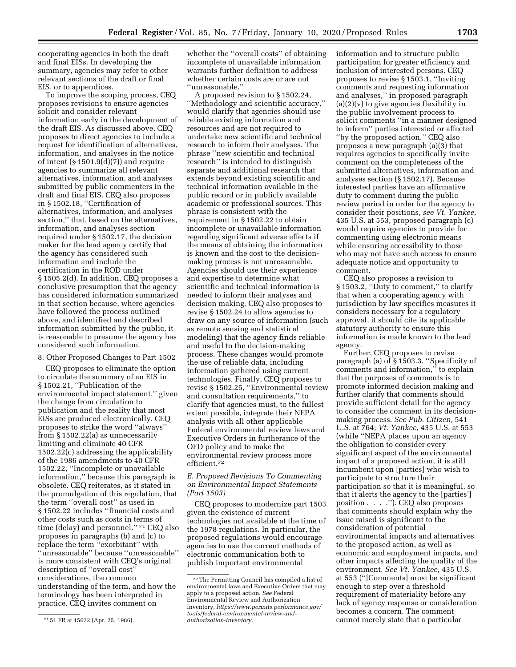cooperating agencies in both the draft and final EISs. In developing the summary, agencies may refer to other relevant sections of the draft or final EIS, or to appendices.

To improve the scoping process, CEQ proposes revisions to ensure agencies solicit and consider relevant information early in the development of the draft EIS. As discussed above, CEQ proposes to direct agencies to include a request for identification of alternatives, information, and analyses in the notice of intent  $(\S 1501.9(d)(7))$  and require agencies to summarize all relevant alternatives, information, and analyses submitted by public commenters in the draft and final EIS. CEQ also proposes in § 1502.18, ''Certification of alternatives, information, and analyses section,'' that, based on the alternatives, information, and analyses section required under § 1502.17, the decision maker for the lead agency certify that the agency has considered such information and include the certification in the ROD under § 1505.2(d). In addition, CEQ proposes a conclusive presumption that the agency has considered information summarized in that section because, where agencies have followed the process outlined above, and identified and described information submitted by the public, it is reasonable to presume the agency has considered such information.

# 8. Other Proposed Changes to Part 1502

CEQ proposes to eliminate the option to circulate the summary of an EIS in § 1502.21, ''Publication of the environmental impact statement,'' given the change from circulation to publication and the reality that most EISs are produced electronically. CEQ proposes to strike the word ''always'' from § 1502.22(a) as unnecessarily limiting and eliminate 40 CFR 1502.22(c) addressing the applicability of the 1986 amendments to 40 CFR 1502.22, ''Incomplete or unavailable information,'' because this paragraph is obsolete. CEQ reiterates, as it stated in the promulgation of this regulation, that the term ''overall cost'' as used in § 1502.22 includes ''financial costs and other costs such as costs in terms of time (delay) and personnel.'' 71 CEQ also proposes in paragraphs (b) and (c) to replace the term ''exorbitant'' with ''unreasonable'' because ''unreasonable'' is more consistent with CEQ's original description of ''overall cost'' considerations, the common understanding of the term, and how the terminology has been interpreted in practice. CEQ invites comment on

whether the ''overall costs'' of obtaining incomplete of unavailable information warrants further definition to address whether certain costs are or are not ''unreasonable.''

A proposed revision to § 1502.24, ''Methodology and scientific accuracy,'' would clarify that agencies should use reliable existing information and resources and are not required to undertake new scientific and technical research to inform their analyses. The phrase ''new scientific and technical research'' is intended to distinguish separate and additional research that extends beyond existing scientific and technical information available in the public record or in publicly available academic or professional sources. This phrase is consistent with the requirement in § 1502.22 to obtain incomplete or unavailable information regarding significant adverse effects if the means of obtaining the information is known and the cost to the decisionmaking process is not unreasonable. Agencies should use their experience and expertise to determine what scientific and technical information is needed to inform their analyses and decision making. CEQ also proposes to revise § 1502.24 to allow agencies to draw on any source of information (such as remote sensing and statistical modeling) that the agency finds reliable and useful to the decision-making process. These changes would promote the use of reliable data, including information gathered using current technologies. Finally, CEQ proposes to revise § 1502.25, ''Environmental review and consultation requirements,'' to clarify that agencies must, to the fullest extent possible, integrate their NEPA analysis with all other applicable Federal environmental review laws and Executive Orders in furtherance of the OFD policy and to make the environmental review process more efficient.72

# *E. Proposed Revisions To Commenting on Environmental Impact Statements (Part 1503)*

CEQ proposes to modernize part 1503 given the existence of current technologies not available at the time of the 1978 regulations. In particular, the proposed regulations would encourage agencies to use the current methods of electronic communication both to publish important environmental

information and to structure public participation for greater efficiency and inclusion of interested persons. CEQ proposes to revise § 1503.1, ''Inviting comments and requesting information and analyses,'' in proposed paragraph  $(a)(2)(v)$  to give agencies flexibility in the public involvement process to solicit comments ''in a manner designed to inform'' parties interested or affected ''by the proposed action.'' CEQ also proposes a new paragraph (a)(3) that requires agencies to specifically invite comment on the completeness of the submitted alternatives, information and analyses section (§ 1502.17). Because interested parties have an affirmative duty to comment during the public review period in order for the agency to consider their positions, *see Vt. Yankee,*  435 U.S. at 553, proposed paragraph (c) would require agencies to provide for commenting using electronic means while ensuring accessibility to those who may not have such access to ensure adequate notice and opportunity to comment.

CEQ also proposes a revision to § 1503.2, ''Duty to comment,'' to clarify that when a cooperating agency with jurisdiction by law specifies measures it considers necessary for a regulatory approval, it should cite its applicable statutory authority to ensure this information is made known to the lead agency.

Further, CEQ proposes to revise paragraph (a) of § 1503.3, ''Specificity of comments and information,'' to explain that the purposes of comments is to promote informed decision making and further clarify that comments should provide sufficient detail for the agency to consider the comment in its decisionmaking process. *See Pub. Citizen,* 541 U.S. at 764; *Vt. Yankee,* 435 U.S. at 553 (while ''NEPA places upon an agency the obligation to consider every significant aspect of the environmental impact of a proposed action, it is still incumbent upon [parties] who wish to participate to structure their participation so that it is meaningful, so that it alerts the agency to the [parties'] position . . . .''). CEQ also proposes that comments should explain why the issue raised is significant to the consideration of potential environmental impacts and alternatives to the proposed action, as well as economic and employment impacts, and other impacts affecting the quality of the environment. *See Vt. Yankee,* 435 U.S. at 553 (''[Comments] must be significant enough to step over a threshold requirement of materiality before any lack of agency response or consideration becomes a concern. The comment cannot merely state that a particular

<sup>71</sup> 51 FR at 15622 (Apr. 25, 1986).

<sup>72</sup>The Permitting Council has compiled a list of environmental laws and Executive Orders that may apply to a proposed action. *See* Federal Environmental Review and Authorization Inventory, *[https://www.permits.performance.gov/](https://www.permits.performance.gov/tools/federal-environmental-review-and-authorization-inventory) [tools/federal-environmental-review-and](https://www.permits.performance.gov/tools/federal-environmental-review-and-authorization-inventory)[authorization-inventory.](https://www.permits.performance.gov/tools/federal-environmental-review-and-authorization-inventory)*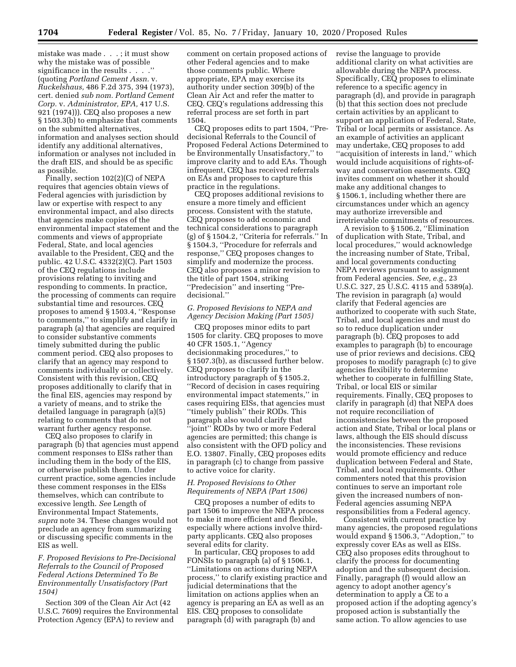mistake was made . . . ; it must show why the mistake was of possible significance in the results . . . .'' (quoting *Portland Cement Assn.* v. *Ruckelshaus,* 486 F.2d 375, 394 (1973), cert. denied *sub nom. Portland Cement Corp.* v. *Administrator, EPA,* 417 U.S. 921 (1974))). CEQ also proposes a new § 1503.3(b) to emphasize that comments on the submitted alternatives, information and analyses section should identify any additional alternatives, information or analyses not included in the draft EIS, and should be as specific as possible.

Finally, section 102(2)(C) of NEPA requires that agencies obtain views of Federal agencies with jurisdiction by law or expertise with respect to any environmental impact, and also directs that agencies make copies of the environmental impact statement and the comments and views of appropriate Federal, State, and local agencies available to the President, CEQ and the public. 42 U.S.C. 4332(2)(C). Part 1503 of the CEQ regulations include provisions relating to inviting and responding to comments. In practice, the processing of comments can require substantial time and resources. CEQ proposes to amend § 1503.4, ''Response to comments,'' to simplify and clarify in paragraph (a) that agencies are required to consider substantive comments timely submitted during the public comment period. CEQ also proposes to clarify that an agency may respond to comments individually or collectively. Consistent with this revision, CEQ proposes additionally to clarify that in the final EIS, agencies may respond by a variety of means, and to strike the detailed language in paragraph (a)(5) relating to comments that do not warrant further agency response.

CEQ also proposes to clarify in paragraph (b) that agencies must append comment responses to EISs rather than including them in the body of the EIS, or otherwise publish them. Under current practice, some agencies include these comment responses in the EISs themselves, which can contribute to excessive length. *See* Length of Environmental Impact Statements, *supra* note 34. These changes would not preclude an agency from summarizing or discussing specific comments in the EIS as well.

# *F. Proposed Revisions to Pre-Decisional Referrals to the Council of Proposed Federal Actions Determined To Be Environmentally Unsatisfactory (Part 1504)*

Section 309 of the Clean Air Act (42 U.S.C. 7609) requires the Environmental Protection Agency (EPA) to review and

comment on certain proposed actions of other Federal agencies and to make those comments public. Where appropriate, EPA may exercise its authority under section 309(b) of the Clean Air Act and refer the matter to CEQ. CEQ's regulations addressing this referral process are set forth in part 1504.

CEQ proposes edits to part 1504, ''Predecisional Referrals to the Council of Proposed Federal Actions Determined to be Environmentally Unsatisfactory,'' to improve clarity and to add EAs. Though infrequent, CEQ has received referrals on EAs and proposes to capture this practice in the regulations.

CEQ proposes additional revisions to ensure a more timely and efficient process. Consistent with the statute, CEQ proposes to add economic and technical considerations to paragraph (g) of § 1504.2, ''Criteria for referrals.'' In § 1504.3, ''Procedure for referrals and response,'' CEQ proposes changes to simplify and modernize the process. CEQ also proposes a minor revision to the title of part 1504, striking ''Predecision'' and inserting ''Predecisional.''

# *G. Proposed Revisions to NEPA and Agency Decision Making (Part 1505)*

CEQ proposes minor edits to part 1505 for clarity. CEQ proposes to move 40 CFR 1505.1, ''Agency decisionmaking procedures,'' to § 1507.3(b), as discussed further below. CEQ proposes to clarify in the introductory paragraph of § 1505.2, ''Record of decision in cases requiring environmental impact statements,'' in cases requiring EISs, that agencies must ''timely publish'' their RODs. This paragraph also would clarify that ''joint'' RODs by two or more Federal agencies are permitted; this change is also consistent with the OFD policy and E.O. 13807. Finally, CEQ proposes edits in paragraph (c) to change from passive to active voice for clarity.

## *H. Proposed Revisions to Other Requirements of NEPA (Part 1506)*

CEQ proposes a number of edits to part 1506 to improve the NEPA process to make it more efficient and flexible, especially where actions involve thirdparty applicants. CEQ also proposes several edits for clarity.

In particular, CEQ proposes to add FONSIs to paragraph (a) of § 1506.1, ''Limitations on actions during NEPA process,'' to clarify existing practice and judicial determinations that the limitation on actions applies when an agency is preparing an EA as well as an EIS. CEQ proposes to consolidate paragraph (d) with paragraph (b) and

revise the language to provide additional clarity on what activities are allowable during the NEPA process. Specifically, CEQ proposes to eliminate reference to a specific agency in paragraph (d), and provide in paragraph (b) that this section does not preclude certain activities by an applicant to support an application of Federal, State, Tribal or local permits or assistance. As an example of activities an applicant may undertake, CEQ proposes to add "acquisition of interests in land," which would include acquisitions of rights-ofway and conservation easements. CEQ invites comment on whether it should make any additional changes to § 1506.1, including whether there are circumstances under which an agency may authorize irreversible and irretrievable commitments of resources.

A revision to § 1506.2, ''Elimination of duplication with State, Tribal, and local procedures,'' would acknowledge the increasing number of State, Tribal, and local governments conducting NEPA reviews pursuant to assignment from Federal agencies. *See, e.g.,* 23 U.S.C. 327, 25 U.S.C. 4115 and 5389(a). The revision in paragraph (a) would clarify that Federal agencies are authorized to cooperate with such State, Tribal, and local agencies and must do so to reduce duplication under paragraph (b). CEQ proposes to add examples to paragraph (b) to encourage use of prior reviews and decisions. CEQ proposes to modify paragraph (c) to give agencies flexibility to determine whether to cooperate in fulfilling State, Tribal, or local EIS or similar requirements. Finally, CEQ proposes to clarify in paragraph (d) that NEPA does not require reconciliation of inconsistencies between the proposed action and State, Tribal or local plans or laws, although the EIS should discuss the inconsistencies. These revisions would promote efficiency and reduce duplication between Federal and State, Tribal, and local requirements. Other commenters noted that this provision continues to serve an important role given the increased numbers of non-Federal agencies assuming NEPA responsibilities from a Federal agency.

Consistent with current practice by many agencies, the proposed regulations would expand § 1506.3, ''Adoption,'' to expressly cover EAs as well as EISs. CEQ also proposes edits throughout to clarify the process for documenting adoption and the subsequent decision. Finally, paragraph (f) would allow an agency to adopt another agency's determination to apply a CE to a proposed action if the adopting agency's proposed action is substantially the same action. To allow agencies to use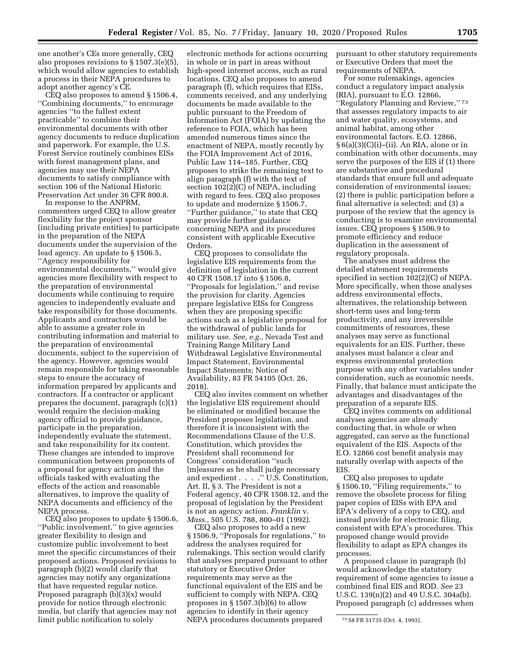one another's CEs more generally, CEQ also proposes revisions to § 1507.3(e)(5), which would allow agencies to establish a process in their NEPA procedures to adopt another agency's CE.

CEQ also proposes to amend § 1506.4, ''Combining documents,'' to encourage agencies ''to the fullest extent practicable'' to combine their environmental documents with other agency documents to reduce duplication and paperwork. For example, the U.S. Forest Service routinely combines EISs with forest management plans, and agencies may use their NEPA documents to satisfy compliance with section 106 of the National Historic Preservation Act under 36 CFR 800.8.

In response to the ANPRM, commenters urged CEQ to allow greater flexibility for the project sponsor (including private entities) to participate in the preparation of the NEPA documents under the supervision of the lead agency. An update to § 1506.5, ''Agency responsibility for environmental documents,'' would give agencies more flexibility with respect to the preparation of environmental documents while continuing to require agencies to independently evaluate and take responsibility for those documents. Applicants and contractors would be able to assume a greater role in contributing information and material to the preparation of environmental documents, subject to the supervision of the agency. However, agencies would remain responsible for taking reasonable steps to ensure the accuracy of information prepared by applicants and contractors. If a contractor or applicant prepares the document, paragraph (c)(1) would require the decision-making agency official to provide guidance, participate in the preparation, independently evaluate the statement, and take responsibility for its content. These changes are intended to improve communication between proponents of a proposal for agency action and the officials tasked with evaluating the effects of the action and reasonable alternatives, to improve the quality of NEPA documents and efficiency of the NEPA process.

CEQ also proposes to update § 1506.6, ''Public involvement,'' to give agencies greater flexibility to design and customize public involvement to best meet the specific circumstances of their proposed actions. Proposed revisions to paragraph (b)(2) would clarify that agencies may notify any organizations that have requested regular notice. Proposed paragraph (b)(3)(x) would provide for notice through electronic media, but clarify that agencies may not limit public notification to solely

electronic methods for actions occurring in whole or in part in areas without high-speed internet access, such as rural locations. CEQ also proposes to amend paragraph (f), which requires that EISs, comments received, and any underlying documents be made available to the public pursuant to the Freedom of Information Act (FOIA) by updating the reference to FOIA, which has been amended numerous times since the enactment of NEPA, mostly recently by the FOIA Improvement Act of 2016, Public Law 114–185. Further, CEQ proposes to strike the remaining text to align paragraph (f) with the text of section 102(2)(C) of NEPA, including with regard to fees. CEQ also proposes to update and modernize § 1506.7 ''Further guidance,'' to state that CEQ may provide further guidance concerning NEPA and its procedures consistent with applicable Executive Orders.

CEQ proposes to consolidate the legislative EIS requirements from the definition of legislation in the current 40 CFR 1508.17 into § 1506.8, ''Proposals for legislation,'' and revise the provision for clarity. Agencies prepare legislative EISs for Congress when they are proposing specific actions such as a legislative proposal for the withdrawal of public lands for military use. *See, e.g.,* Nevada Test and Training Range Military Land Withdrawal Legislative Environmental Impact Statement, Environmental Impact Statements; Notice of Availability, 83 FR 54105 (Oct. 26, 2018).

CEQ also invites comment on whether the legislative EIS requirement should be eliminated or modified because the President proposes legislation, and therefore it is inconsistent with the Recommendations Clause of the U.S. Constitution, which provides the President shall recommend for Congress' consideration ''such [m]easures as he shall judge necessary and expedient . . . .'' U.S. Constitution, Art. II, § 3. The President is not a Federal agency, 40 CFR 1508.12, and the proposal of legislation by the President is not an agency action. *Franklin* v. *Mass.,* 505 U.S. 788, 800–01 (1992).

CEQ also proposes to add a new § 1506.9, ''Proposals for regulations,'' to address the analyses required for rulemakings. This section would clarify that analyses prepared pursuant to other statutory or Executive Order requirements may serve as the functional equivalent of the EIS and be sufficient to comply with NEPA. CEQ proposes in § 1507.3(b)(6) to allow agencies to identify in their agency NEPA procedures documents prepared

pursuant to other statutory requirements or Executive Orders that meet the requirements of NEPA.

For some rulemakings, agencies conduct a regulatory impact analysis (RIA), pursuant to E.O. 12866, ''Regulatory Planning and Review,'' 73 that assesses regulatory impacts to air and water quality, ecosystems, and animal habitat, among other environmental factors. E.O. 12866, § 6(a)(3)(C)(i)–(ii). An RIA, alone or in combination with other documents, may serve the purposes of the EIS if (1) there are substantive and procedural standards that ensure full and adequate consideration of environmental issues; (2) there is public participation before a final alternative is selected; and (3) a purpose of the review that the agency is conducting is to examine environmental issues. CEQ proposes § 1506.9 to promote efficiency and reduce duplication in the assessment of regulatory proposals.

The analyses must address the detailed statement requirements specified in section 102(2)(C) of NEPA. More specifically, when those analyses address environmental effects, alternatives, the relationship between short-term uses and long-term productivity, and any irreversible commitments of resources, these analyses may serve as functional equivalents for an EIS. Further, these analyses must balance a clear and express environmental protection purpose with any other variables under consideration, such as economic needs. Finally, that balance must anticipate the advantages and disadvantages of the preparation of a separate EIS.

CEQ invites comments on additional analyses agencies are already conducting that, in whole or when aggregated, can serve as the functional equivalent of the EIS. Aspects of the E.O. 12866 cost benefit analysis may naturally overlap with aspects of the EIS.

CEQ also proposes to update § 1506.10, "Filing requirements," to remove the obsolete process for filing paper copies of EISs with EPA and EPA's delivery of a copy to CEQ, and instead provide for electronic filing, consistent with EPA's procedures. This proposed change would provide flexibility to adapt as EPA changes its processes.

A proposed clause in paragraph (b) would acknowledge the statutory requirement of some agencies to issue a combined final EIS and ROD. *See* 23 U.S.C. 139(n)(2) and 49 U.S.C. 304a(b). Proposed paragraph (c) addresses when

<sup>73</sup> 58 FR 51735 (Oct. 4, 1993).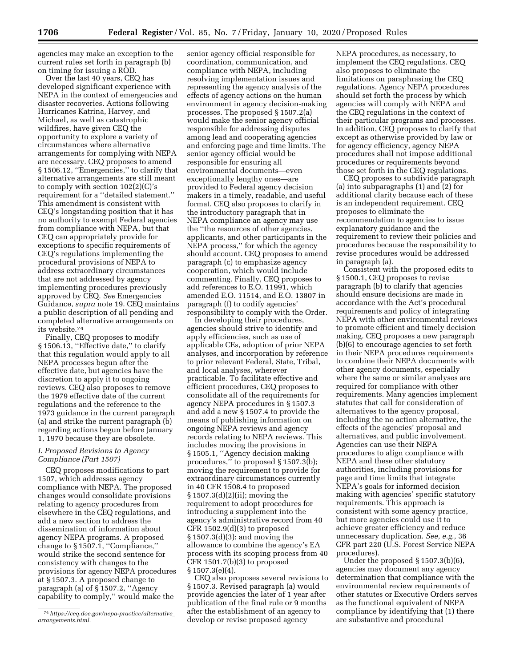agencies may make an exception to the current rules set forth in paragraph (b) on timing for issuing a ROD.

Over the last 40 years, CEQ has developed significant experience with NEPA in the context of emergencies and disaster recoveries. Actions following Hurricanes Katrina, Harvey, and Michael, as well as catastrophic wildfires, have given CEQ the opportunity to explore a variety of circumstances where alternative arrangements for complying with NEPA are necessary. CEQ proposes to amend § 1506.12, ''Emergencies,'' to clarify that alternative arrangements are still meant to comply with section 102(2)(C)'s requirement for a ''detailed statement.'' This amendment is consistent with CEQ's longstanding position that it has no authority to exempt Federal agencies from compliance with NEPA, but that CEQ can appropriately provide for exceptions to specific requirements of CEQ's regulations implementing the procedural provisions of NEPA to address extraordinary circumstances that are not addressed by agency implementing procedures previously approved by CEQ. *See* Emergencies Guidance, *supra* note 19. CEQ maintains a public description of all pending and completed alternative arrangements on its website.74

Finally, CEQ proposes to modify § 1506.13, "Effective date," to clarify that this regulation would apply to all NEPA processes begun after the effective date, but agencies have the discretion to apply it to ongoing reviews. CEQ also proposes to remove the 1979 effective date of the current regulations and the reference to the 1973 guidance in the current paragraph (a) and strike the current paragraph (b) regarding actions begun before January 1, 1970 because they are obsolete.

# *I. Proposed Revisions to Agency Compliance (Part 1507)*

CEQ proposes modifications to part 1507, which addresses agency compliance with NEPA. The proposed changes would consolidate provisions relating to agency procedures from elsewhere in the CEQ regulations, and add a new section to address the dissemination of information about agency NEPA programs. A proposed change to § 1507.1, ''Compliance,'' would strike the second sentence for consistency with changes to the provisions for agency NEPA procedures at § 1507.3. A proposed change to paragraph (a) of § 1507.2, ''Agency capability to comply,'' would make the

senior agency official responsible for coordination, communication, and compliance with NEPA, including resolving implementation issues and representing the agency analysis of the effects of agency actions on the human environment in agency decision-making processes. The proposed § 1507.2(a) would make the senior agency official responsible for addressing disputes among lead and cooperating agencies and enforcing page and time limits. The senior agency official would be responsible for ensuring all environmental documents—even exceptionally lengthy ones—are provided to Federal agency decision makers in a timely, readable, and useful format. CEQ also proposes to clarify in the introductory paragraph that in NEPA compliance an agency may use the ''the resources of other agencies, applicants, and other participants in the NEPA process,'' for which the agency should account. CEQ proposes to amend paragraph (c) to emphasize agency cooperation, which would include commenting. Finally, CEQ proposes to add references to E.O. 11991, which amended E.O. 11514, and E.O. 13807 in paragraph (f) to codify agencies' responsibility to comply with the Order.

In developing their procedures, agencies should strive to identify and apply efficiencies, such as use of applicable CEs, adoption of prior NEPA analyses, and incorporation by reference to prior relevant Federal, State, Tribal, and local analyses, wherever practicable. To facilitate effective and efficient procedures, CEQ proposes to consolidate all of the requirements for agency NEPA procedures in § 1507.3 and add a new § 1507.4 to provide the means of publishing information on ongoing NEPA reviews and agency records relating to NEPA reviews. This includes moving the provisions in § 1505.1, ''Agency decision making procedures,'' to proposed § 1507.3(b); moving the requirement to provide for extraordinary circumstances currently in 40 CFR 1508.4 to proposed § 1507.3(d)(2)(ii); moving the requirement to adopt procedures for introducing a supplement into the agency's administrative record from 40  $CFR$  1502.9(d)(3) to proposed § 1507.3(d)(3); and moving the allowance to combine the agency's EA process with its scoping process from 40 CFR 1501.7(b)(3) to proposed § 1507.3(e)(4).

CEQ also proposes several revisions to § 1507.3. Revised paragraph (a) would provide agencies the later of 1 year after publication of the final rule or 9 months after the establishment of an agency to develop or revise proposed agency

NEPA procedures, as necessary, to implement the CEQ regulations. CEQ also proposes to eliminate the limitations on paraphrasing the CEQ regulations. Agency NEPA procedures should set forth the process by which agencies will comply with NEPA and the CEQ regulations in the context of their particular programs and processes. In addition, CEQ proposes to clarify that except as otherwise provided by law or for agency efficiency, agency NEPA procedures shall not impose additional procedures or requirements beyond those set forth in the CEQ regulations.

CEQ proposes to subdivide paragraph (a) into subparagraphs (1) and (2) for additional clarity because each of these is an independent requirement. CEQ proposes to eliminate the recommendation to agencies to issue explanatory guidance and the requirement to review their policies and procedures because the responsibility to revise procedures would be addressed in paragraph (a).

Consistent with the proposed edits to § 1500.1, CEQ proposes to revise paragraph (b) to clarify that agencies should ensure decisions are made in accordance with the Act's procedural requirements and policy of integrating NEPA with other environmental reviews to promote efficient and timely decision making. CEQ proposes a new paragraph (b)(6) to encourage agencies to set forth in their NEPA procedures requirements to combine their NEPA documents with other agency documents, especially where the same or similar analyses are required for compliance with other requirements. Many agencies implement statutes that call for consideration of alternatives to the agency proposal, including the no action alternative, the effects of the agencies' proposal and alternatives, and public involvement. Agencies can use their NEPA procedures to align compliance with NEPA and these other statutory authorities, including provisions for page and time limits that integrate NEPA's goals for informed decision making with agencies' specific statutory requirements. This approach is consistent with some agency practice, but more agencies could use it to achieve greater efficiency and reduce unnecessary duplication. *See, e.g.,* 36 CFR part 220 (U.S. Forest Service NEPA procedures).

Under the proposed § 1507.3(b)(6), agencies may document any agency determination that compliance with the environmental review requirements of other statutes or Executive Orders serves as the functional equivalent of NEPA compliance by identifying that (1) there are substantive and procedural

<sup>74</sup>*[https://ceq.doe.gov/nepa-practice/alternative](https://ceq.doe.gov/nepa-practice/alternative_arrangements.html)*\_ *[arrangements.html.](https://ceq.doe.gov/nepa-practice/alternative_arrangements.html)*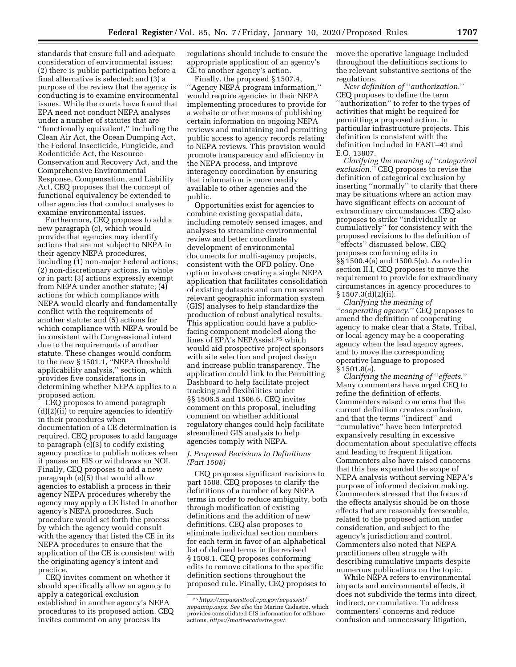standards that ensure full and adequate consideration of environmental issues; (2) there is public participation before a final alternative is selected; and (3) a purpose of the review that the agency is conducting is to examine environmental issues. While the courts have found that EPA need not conduct NEPA analyses under a number of statutes that are ''functionally equivalent,'' including the Clean Air Act, the Ocean Dumping Act, the Federal Insecticide, Fungicide, and Rodenticide Act, the Resource Conservation and Recovery Act, and the Comprehensive Environmental Response, Compensation, and Liability Act, CEQ proposes that the concept of functional equivalency be extended to other agencies that conduct analyses to examine environmental issues.

Furthermore, CEQ proposes to add a new paragraph (c), which would provide that agencies may identify actions that are not subject to NEPA in their agency NEPA procedures, including (1) non-major Federal actions; (2) non-discretionary actions, in whole or in part; (3) actions expressly exempt from NEPA under another statute; (4) actions for which compliance with NEPA would clearly and fundamentally conflict with the requirements of another statute; and (5) actions for which compliance with NEPA would be inconsistent with Congressional intent due to the requirements of another statute. These changes would conform to the new § 1501.1, ''NEPA threshold applicability analysis,'' section, which provides five considerations in determining whether NEPA applies to a proposed action.

CEQ proposes to amend paragraph (d)(2)(ii) to require agencies to identify in their procedures when documentation of a CE determination is required. CEQ proposes to add language to paragraph  $(e)(3)$  to codify existing agency practice to publish notices when it pauses an EIS or withdraws an NOI. Finally, CEQ proposes to add a new paragraph (e)(5) that would allow agencies to establish a process in their agency NEPA procedures whereby the agency may apply a CE listed in another agency's NEPA procedures. Such procedure would set forth the process by which the agency would consult with the agency that listed the CE in its NEPA procedures to ensure that the application of the CE is consistent with the originating agency's intent and practice.

CEQ invites comment on whether it should specifically allow an agency to apply a categorical exclusion established in another agency's NEPA procedures to its proposed action. CEQ invites comment on any process its

regulations should include to ensure the appropriate application of an agency's CE to another agency's action.

Finally, the proposed § 1507.4, ''Agency NEPA program information,'' would require agencies in their NEPA implementing procedures to provide for a website or other means of publishing certain information on ongoing NEPA reviews and maintaining and permitting public access to agency records relating to NEPA reviews. This provision would promote transparency and efficiency in the NEPA process, and improve interagency coordination by ensuring that information is more readily available to other agencies and the public.

Opportunities exist for agencies to combine existing geospatial data, including remotely sensed images, and analyses to streamline environmental review and better coordinate development of environmental documents for multi-agency projects, consistent with the OFD policy. One option involves creating a single NEPA application that facilitates consolidation of existing datasets and can run several relevant geographic information system (GIS) analyses to help standardize the production of robust analytical results. This application could have a publicfacing component modeled along the lines of EPA's NEPAssist,75 which would aid prospective project sponsors with site selection and project design and increase public transparency. The application could link to the Permitting Dashboard to help facilitate project tracking and flexibilities under §§ 1506.5 and 1506.6. CEQ invites comment on this proposal, including comment on whether additional regulatory changes could help facilitate streamlined GIS analysis to help agencies comply with NEPA.

# *J. Proposed Revisions to Definitions (Part 1508)*

CEQ proposes significant revisions to part 1508. CEQ proposes to clarify the definitions of a number of key NEPA terms in order to reduce ambiguity, both through modification of existing definitions and the addition of new definitions. CEQ also proposes to eliminate individual section numbers for each term in favor of an alphabetical list of defined terms in the revised § 1508.1. CEQ proposes conforming edits to remove citations to the specific definition sections throughout the proposed rule. Finally, CEQ proposes to

move the operative language included throughout the definitions sections to the relevant substantive sections of the regulations.

*New definition of* ''*authorization.*'' CEQ proposes to define the term ''authorization'' to refer to the types of activities that might be required for permitting a proposed action, in particular infrastructure projects. This definition is consistent with the definition included in FAST–41 and E.O. 13807.

*Clarifying the meaning of* ''*categorical exclusion.*'' CEQ proposes to revise the definition of categorical exclusion by inserting ''normally'' to clarify that there may be situations where an action may have significant effects on account of extraordinary circumstances. CEQ also proposes to strike ''individually or cumulatively'' for consistency with the proposed revisions to the definition of ''effects'' discussed below. CEQ proposes conforming edits in §§ 1500.4(a) and 1500.5(a). As noted in section II.I, CEQ proposes to move the requirement to provide for extraordinary circumstances in agency procedures to § 1507.3(d)(2)(ii).

*Clarifying the meaning of*  ''*cooperating agency.*'' CEQ proposes to amend the definition of cooperating agency to make clear that a State, Tribal, or local agency may be a cooperating agency when the lead agency agrees, and to move the corresponding operative language to proposed § 1501.8(a).

*Clarifying the meaning of* ''*effects.*'' Many commenters have urged CEQ to refine the definition of effects. Commenters raised concerns that the current definition creates confusion, and that the terms ''indirect'' and ''cumulative'' have been interpreted expansively resulting in excessive documentation about speculative effects and leading to frequent litigation. Commenters also have raised concerns that this has expanded the scope of NEPA analysis without serving NEPA's purpose of informed decision making. Commenters stressed that the focus of the effects analysis should be on those effects that are reasonably foreseeable, related to the proposed action under consideration, and subject to the agency's jurisdiction and control. Commenters also noted that NEPA practitioners often struggle with describing cumulative impacts despite numerous publications on the topic.

While NEPA refers to environmental impacts and environmental effects, it does not subdivide the terms into direct, indirect, or cumulative. To address commenters' concerns and reduce confusion and unnecessary litigation,

<sup>75</sup>*[https://nepassisttool.epa.gov/nepassist/](https://nepassisttool.epa.gov/nepassist/nepamap.aspx)  [nepamap.aspx.](https://nepassisttool.epa.gov/nepassist/nepamap.aspx) See also* the Marine Cadastre, which provides consolidated GIS information for offshore actions, *[https://marinecadastre.gov/.](https://marinecadastre.gov/)*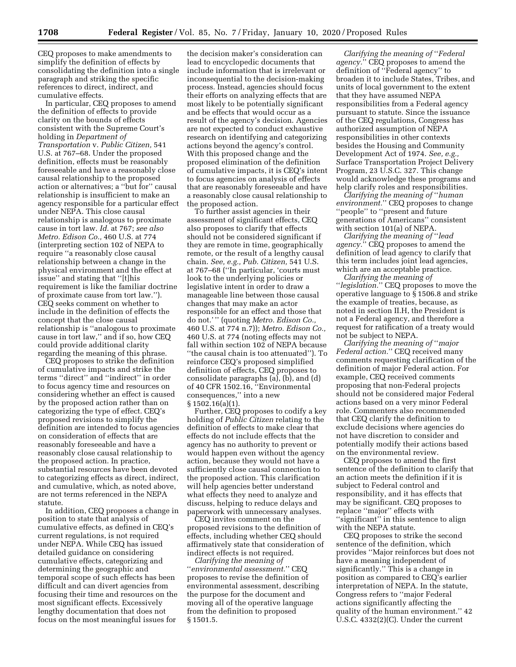CEQ proposes to make amendments to simplify the definition of effects by consolidating the definition into a single paragraph and striking the specific references to direct, indirect, and cumulative effects.

In particular, CEQ proposes to amend the definition of effects to provide clarity on the bounds of effects consistent with the Supreme Court's holding in *Department of Transportation* v. *Public Citizen,* 541 U.S. at 767–68. Under the proposed definition, effects must be reasonably foreseeable and have a reasonably close causal relationship to the proposed action or alternatives; a ''but for'' causal relationship is insufficient to make an agency responsible for a particular effect under NEPA. This close causal relationship is analogous to proximate cause in tort law. *Id.* at 767; *see also Metro. Edison Co.,* 460 U.S. at 774 (interpreting section 102 of NEPA to require ''a reasonably close causal relationship between a change in the physical environment and the effect at issue'' and stating that ''[t]his requirement is like the familiar doctrine of proximate cause from tort law.''). CEQ seeks comment on whether to include in the definition of effects the concept that the close causal relationship is ''analogous to proximate cause in tort law,'' and if so, how CEQ could provide additional clarity regarding the meaning of this phrase.

CEQ proposes to strike the definition of cumulative impacts and strike the terms ''direct'' and ''indirect'' in order to focus agency time and resources on considering whether an effect is caused by the proposed action rather than on categorizing the type of effect. CEQ's proposed revisions to simplify the definition are intended to focus agencies on consideration of effects that are reasonably foreseeable and have a reasonably close causal relationship to the proposed action. In practice, substantial resources have been devoted to categorizing effects as direct, indirect, and cumulative, which, as noted above, are not terms referenced in the NEPA statute.

In addition, CEQ proposes a change in position to state that analysis of cumulative effects, as defined in CEQ's current regulations, is not required under NEPA. While CEQ has issued detailed guidance on considering cumulative effects, categorizing and determining the geographic and temporal scope of such effects has been difficult and can divert agencies from focusing their time and resources on the most significant effects. Excessively lengthy documentation that does not focus on the most meaningful issues for

the decision maker's consideration can lead to encyclopedic documents that include information that is irrelevant or inconsequential to the decision-making process. Instead, agencies should focus their efforts on analyzing effects that are most likely to be potentially significant and be effects that would occur as a result of the agency's decision. Agencies are not expected to conduct exhaustive research on identifying and categorizing actions beyond the agency's control. With this proposed change and the proposed elimination of the definition of cumulative impacts, it is CEQ's intent to focus agencies on analysis of effects that are reasonably foreseeable and have a reasonably close causal relationship to the proposed action.

To further assist agencies in their assessment of significant effects, CEQ also proposes to clarify that effects should not be considered significant if they are remote in time, geographically remote, or the result of a lengthy causal chain. *See, e.g., Pub. Citizen,* 541 U.S. at 767–68 (''In particular, 'courts must look to the underlying policies or legislative intent in order to draw a manageable line between those causal changes that may make an actor responsible for an effect and those that do not.' '' (quoting *Metro. Edison Co.,*  460 U.S. at 774 n.7)); *Metro. Edison Co.,*  460 U.S. at 774 (noting effects may not fall within section 102 of NEPA because ''the causal chain is too attenuated''). To reinforce CEQ's proposed simplified definition of effects, CEQ proposes to consolidate paragraphs (a), (b), and (d) of 40 CFR 1502.16, ''Environmental consequences,'' into a new  $§ 1502.16(a)(1).$ 

Further, CEQ proposes to codify a key holding of *Public Citizen* relating to the definition of effects to make clear that effects do not include effects that the agency has no authority to prevent or would happen even without the agency action, because they would not have a sufficiently close causal connection to the proposed action. This clarification will help agencies better understand what effects they need to analyze and discuss, helping to reduce delays and paperwork with unnecessary analyses.

CEQ invites comment on the proposed revisions to the definition of effects, including whether CEQ should affirmatively state that consideration of indirect effects is not required.

*Clarifying the meaning of*  ''*environmental assessment.*'' CEQ proposes to revise the definition of environmental assessment, describing the purpose for the document and moving all of the operative language from the definition to proposed § 1501.5.

*Clarifying the meaning of* ''*Federal agency.*'' CEQ proposes to amend the definition of ''Federal agency'' to broaden it to include States, Tribes, and units of local government to the extent that they have assumed NEPA responsibilities from a Federal agency pursuant to statute. Since the issuance of the CEQ regulations, Congress has authorized assumption of NEPA responsibilities in other contexts besides the Housing and Community Development Act of 1974. *See, e.g.,*  Surface Transportation Project Delivery Program, 23 U.S.C. 327. This change would acknowledge these programs and help clarify roles and responsibilities.

*Clarifying the meaning of* ''*human environment.*'' CEQ proposes to change ''people'' to ''present and future generations of Americans'' consistent with section 101(a) of NEPA.

*Clarifying the meaning of* ''*lead agency.*'' CEQ proposes to amend the definition of lead agency to clarify that this term includes joint lead agencies, which are an acceptable practice.

*Clarifying the meaning of*  ''*legislation.*'' CEQ proposes to move the operative language to § 1506.8 and strike the example of treaties, because, as noted in section II.H, the President is not a Federal agency, and therefore a request for ratification of a treaty would not be subject to NEPA.

*Clarifying the meaning of* ''*major Federal action.*'' CEQ received many comments requesting clarification of the definition of major Federal action. For example, CEQ received comments proposing that non-Federal projects should not be considered major Federal actions based on a very minor Federal role. Commenters also recommended that CEQ clarify the definition to exclude decisions where agencies do not have discretion to consider and potentially modify their actions based on the environmental review.

CEQ proposes to amend the first sentence of the definition to clarify that an action meets the definition if it is subject to Federal control and responsibility, and it has effects that may be significant. CEQ proposes to replace ''major'' effects with "significant" in this sentence to align with the NEPA statute.

CEQ proposes to strike the second sentence of the definition, which provides ''Major reinforces but does not have a meaning independent of significantly.'' This is a change in position as compared to CEQ's earlier interpretation of NEPA. In the statute, Congress refers to ''major Federal actions significantly affecting the quality of the human environment.'' 42 U.S.C. 4332(2)(C). Under the current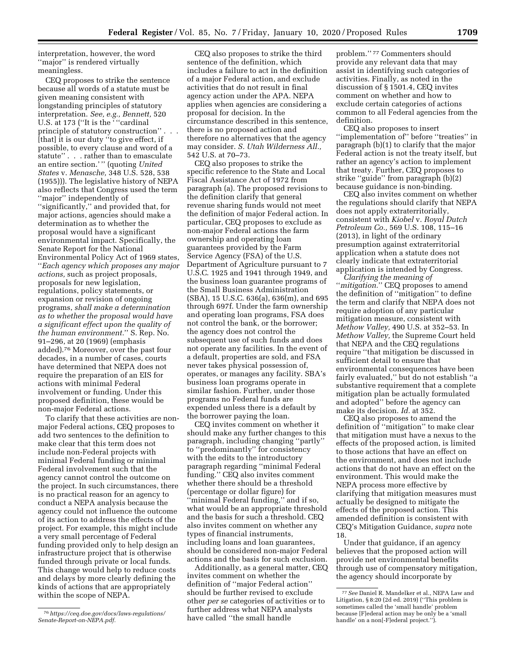interpretation, however, the word ''major'' is rendered virtually meaningless.

CEQ proposes to strike the sentence because all words of a statute must be given meaning consistent with longstanding principles of statutory interpretation. *See, e.g., Bennett,* 520 U.S. at 173 ("It is the ""cardinal principle of statutory construction'' . . . [that] it is our duty ''to give effect, if possible, to every clause and word of a statute'' . . . rather than to emasculate an entire section.' '' (quoting *United States* v. *Menasche,* 348 U.S. 528, 538 (1955))). The legislative history of NEPA also reflects that Congress used the term ''major'' independently of ''significantly,'' and provided that, for major actions, agencies should make a determination as to whether the proposal would have a significant environmental impact. Specifically, the Senate Report for the National Environmental Policy Act of 1969 states, ''*Each agency which proposes any major actions,* such as project proposals, proposals for new legislation, regulations, policy statements, or expansion or revision of ongoing programs, *shall make a determination as to whether the proposal would have a significant effect upon the quality of the human environment.*'' S. Rep. No. 91–296, at 20 (1969) (emphasis added).76 Moreover, over the past four decades, in a number of cases, courts have determined that NEPA does not require the preparation of an EIS for actions with minimal Federal involvement or funding. Under this proposed definition, these would be non-major Federal actions.

To clarify that these activities are nonmajor Federal actions, CEQ proposes to add two sentences to the definition to make clear that this term does not include non-Federal projects with minimal Federal funding or minimal Federal involvement such that the agency cannot control the outcome on the project. In such circumstances, there is no practical reason for an agency to conduct a NEPA analysis because the agency could not influence the outcome of its action to address the effects of the project. For example, this might include a very small percentage of Federal funding provided only to help design an infrastructure project that is otherwise funded through private or local funds. This change would help to reduce costs and delays by more clearly defining the kinds of actions that are appropriately within the scope of NEPA.

CEQ also proposes to strike the third sentence of the definition, which includes a failure to act in the definition of a major Federal action, and exclude activities that do not result in final agency action under the APA. NEPA applies when agencies are considering a proposal for decision. In the circumstance described in this sentence, there is no proposed action and therefore no alternatives that the agency may consider. *S. Utah Wilderness All.,*  542 U.S. at 70–73.

CEQ also proposes to strike the specific reference to the State and Local Fiscal Assistance Act of 1972 from paragraph (a). The proposed revisions to the definition clarify that general revenue sharing funds would not meet the definition of major Federal action. In particular, CEQ proposes to exclude as non-major Federal actions the farm ownership and operating loan guarantees provided by the Farm Service Agency (FSA) of the U.S. Department of Agriculture pursuant to 7 U.S.C. 1925 and 1941 through 1949, and the business loan guarantee programs of the Small Business Administration (SBA), 15 U.S.C. 636(a), 636(m), and 695 through 697f. Under the farm ownership and operating loan programs, FSA does not control the bank, or the borrower; the agency does not control the subsequent use of such funds and does not operate any facilities. In the event of a default, properties are sold, and FSA never takes physical possession of, operates, or manages any facility. SBA's business loan programs operate in similar fashion. Further, under those programs no Federal funds are expended unless there is a default by the borrower paying the loan.

CEQ invites comment on whether it should make any further changes to this paragraph, including changing ''partly'' to ''predominantly'' for consistency with the edits to the introductory paragraph regarding ''minimal Federal funding.'' CEQ also invites comment whether there should be a threshold (percentage or dollar figure) for ''minimal Federal funding,'' and if so, what would be an appropriate threshold and the basis for such a threshold. CEQ also invites comment on whether any types of financial instruments, including loans and loan guarantees, should be considered non-major Federal actions and the basis for such exclusion.

Additionally, as a general matter, CEQ invites comment on whether the definition of ''major Federal action'' should be further revised to exclude other *per se* categories of activities or to further address what NEPA analysts have called ''the small handle

problem.'' 77 Commenters should provide any relevant data that may assist in identifying such categories of activities. Finally, as noted in the discussion of § 1501.4, CEQ invites comment on whether and how to exclude certain categories of actions common to all Federal agencies from the definition.

CEQ also proposes to insert ''implementation of'' before ''treaties'' in paragraph (b)(1) to clarify that the major Federal action is not the treaty itself, but rather an agency's action to implement that treaty. Further, CEQ proposes to strike "guide" from paragraph (b)(2) because guidance is non-binding.

CEQ also invites comment on whether the regulations should clarify that NEPA does not apply extraterritorially, consistent with *Kiobel* v. *Royal Dutch Petroleum Co.,* 569 U.S. 108, 115–16 (2013), in light of the ordinary presumption against extraterritorial application when a statute does not clearly indicate that extraterritorial application is intended by Congress.

*Clarifying the meaning of*  ''*mitigation.*'' CEQ proposes to amend the definition of ''mitigation'' to define the term and clarify that NEPA does not require adoption of any particular mitigation measure, consistent with *Methow Valley,* 490 U.S. at 352–53. In *Methow Valley,* the Supreme Court held that NEPA and the CEQ regulations require ''that mitigation be discussed in sufficient detail to ensure that environmental consequences have been fairly evaluated,'' but do not establish ''a substantive requirement that a complete mitigation plan be actually formulated and adopted'' before the agency can make its decision. *Id.* at 352.

CEQ also proposes to amend the definition of ''mitigation'' to make clear that mitigation must have a nexus to the effects of the proposed action, is limited to those actions that have an effect on the environment, and does not include actions that do not have an effect on the environment. This would make the NEPA process more effective by clarifying that mitigation measures must actually be designed to mitigate the effects of the proposed action. This amended definition is consistent with CEQ's Mitigation Guidance, *supra* note 18.

Under that guidance, if an agency believes that the proposed action will provide net environmental benefits through use of compensatory mitigation, the agency should incorporate by

<sup>76</sup>*[https://ceq.doe.gov/docs/laws-regulations/](https://ceq.doe.gov/docs/laws-regulations/Senate-Report-on-NEPA.pdf) [Senate-Report-on-NEPA.pdf.](https://ceq.doe.gov/docs/laws-regulations/Senate-Report-on-NEPA.pdf)* 

<sup>77</sup>*See* Daniel R. Mandelker et al., NEPA Law and Litigation, § 8:20 (2d ed. 2019) (''This problem is sometimes called the 'small handle' problem because [F]ederal action may be only be a 'small handle' on a non[-F]ederal project.'').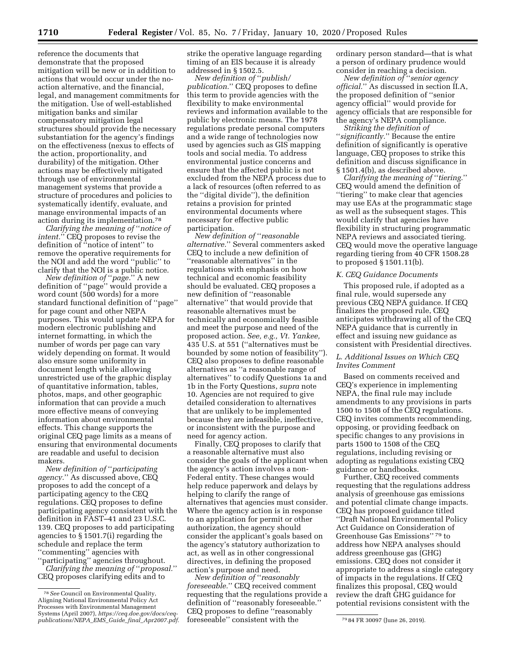reference the documents that demonstrate that the proposed mitigation will be new or in addition to actions that would occur under the noaction alternative, and the financial, legal, and management commitments for the mitigation. Use of well-established mitigation banks and similar compensatory mitigation legal structures should provide the necessary substantiation for the agency's findings on the effectiveness (nexus to effects of the action, proportionality, and durability) of the mitigation. Other actions may be effectively mitigated through use of environmental management systems that provide a structure of procedures and policies to systematically identify, evaluate, and manage environmental impacts of an action during its implementation.78

*Clarifying the meaning of* ''*notice of intent.*'' CEQ proposes to revise the definition of ''notice of intent'' to remove the operative requirements for the NOI and add the word ''public'' to clarify that the NOI is a public notice.

*New definition of* ''*page.*'' A new definition of ''page'' would provide a word count (500 words) for a more standard functional definition of ''page'' for page count and other NEPA purposes. This would update NEPA for modern electronic publishing and internet formatting, in which the number of words per page can vary widely depending on format. It would also ensure some uniformity in document length while allowing unrestricted use of the graphic display of quantitative information, tables, photos, maps, and other geographic information that can provide a much more effective means of conveying information about environmental effects. This change supports the original CEQ page limits as a means of ensuring that environmental documents are readable and useful to decision makers.

*New definition of* ''*participating agency.*'' As discussed above, CEQ proposes to add the concept of a participating agency to the CEQ regulations. CEQ proposes to define participating agency consistent with the definition in FAST–41 and 23 U.S.C. 139. CEQ proposes to add participating agencies to § 1501.7(i) regarding the schedule and replace the term ''commenting'' agencies with ''participating'' agencies throughout.

*Clarifying the meaning of* ''*proposal.*'' CEQ proposes clarifying edits and to

strike the operative language regarding timing of an EIS because it is already addressed in § 1502.5.

*New definition of* ''*publish/ publication.*'' CEQ proposes to define this term to provide agencies with the flexibility to make environmental reviews and information available to the public by electronic means. The 1978 regulations predate personal computers and a wide range of technologies now used by agencies such as GIS mapping tools and social media. To address environmental justice concerns and ensure that the affected public is not excluded from the NEPA process due to a lack of resources (often referred to as the ''digital divide''), the definition retains a provision for printed environmental documents where necessary for effective public participation.

*New definition of* ''*reasonable alternative.*'' Several commenters asked CEQ to include a new definition of ''reasonable alternatives'' in the regulations with emphasis on how technical and economic feasibility should be evaluated. CEQ proposes a new definition of ''reasonable alternative'' that would provide that reasonable alternatives must be technically and economically feasible and meet the purpose and need of the proposed action. *See, e.g., Vt. Yankee,*  435 U.S. at 551 (''alternatives must be bounded by some notion of feasibility''). CEQ also proposes to define reasonable alternatives as ''a reasonable range of alternatives'' to codify Questions 1a and 1b in the Forty Questions, *supra* note 10. Agencies are not required to give detailed consideration to alternatives that are unlikely to be implemented because they are infeasible, ineffective, or inconsistent with the purpose and need for agency action.

Finally, CEQ proposes to clarify that a reasonable alternative must also consider the goals of the applicant when the agency's action involves a non-Federal entity. These changes would help reduce paperwork and delays by helping to clarify the range of alternatives that agencies must consider. Where the agency action is in response to an application for permit or other authorization, the agency should consider the applicant's goals based on the agency's statutory authorization to act, as well as in other congressional directives, in defining the proposed action's purpose and need.

*[publications/NEPA](https://ceq.doe.gov/docs/ceq-publications/NEPA_EMS_Guide_final_Apr2007.pdf)*\_*EMS*\_*Guide*\_*final*\_*Apr2007.pdf.* 79 84 FR 30097 (June 26, 2019). *New definition of* ''*reasonably foreseeable.*'' CEQ received comment requesting that the regulations provide a definition of ''reasonably foreseeable.'' CEQ proposes to define ''reasonably foreseeable'' consistent with the

ordinary person standard—that is what a person of ordinary prudence would consider in reaching a decision.

*New definition of* ''*senior agency official.*'' As discussed in section II.A, the proposed definition of ''senior agency official'' would provide for agency officials that are responsible for the agency's NEPA compliance.

*Striking the definition of*  ''*significantly.*'' Because the entire definition of significantly is operative language, CEQ proposes to strike this definition and discuss significance in § 1501.4(b), as described above.

*Clarifying the meaning of* ''*tiering.*'' CEQ would amend the definition of ''tiering'' to make clear that agencies may use EAs at the programmatic stage as well as the subsequent stages. This would clarify that agencies have flexibility in structuring programmatic NEPA reviews and associated tiering. CEQ would move the operative language regarding tiering from 40 CFR 1508.28 to proposed § 1501.11(b).

#### *K. CEQ Guidance Documents*

This proposed rule, if adopted as a final rule, would supersede any previous CEQ NEPA guidance. If CEQ finalizes the proposed rule, CEQ anticipates withdrawing all of the CEQ NEPA guidance that is currently in effect and issuing new guidance as consistent with Presidential directives.

# *L. Additional Issues on Which CEQ Invites Comment*

Based on comments received and CEQ's experience in implementing NEPA, the final rule may include amendments to any provisions in parts 1500 to 1508 of the CEQ regulations. CEQ invites comments recommending, opposing, or providing feedback on specific changes to any provisions in parts 1500 to 1508 of the CEQ regulations, including revising or adopting as regulations existing CEQ guidance or handbooks.

Further, CEQ received comments requesting that the regulations address analysis of greenhouse gas emissions and potential climate change impacts. CEQ has proposed guidance titled ''Draft National Environmental Policy Act Guidance on Consideration of Greenhouse Gas Emissions'' 79 to address how NEPA analyses should address greenhouse gas (GHG) emissions. CEQ does not consider it appropriate to address a single category of impacts in the regulations. If CEQ finalizes this proposal, CEQ would review the draft GHG guidance for potential revisions consistent with the

<sup>78</sup>*See* Council on Environmental Quality, Aligning National Environmental Policy Act Processes with Environmental Management Systems (April 2007), *[https://ceq.doe.gov/docs/ceq-](https://ceq.doe.gov/docs/ceq-publications/NEPA_EMS_Guide_final_Apr2007.pdf)*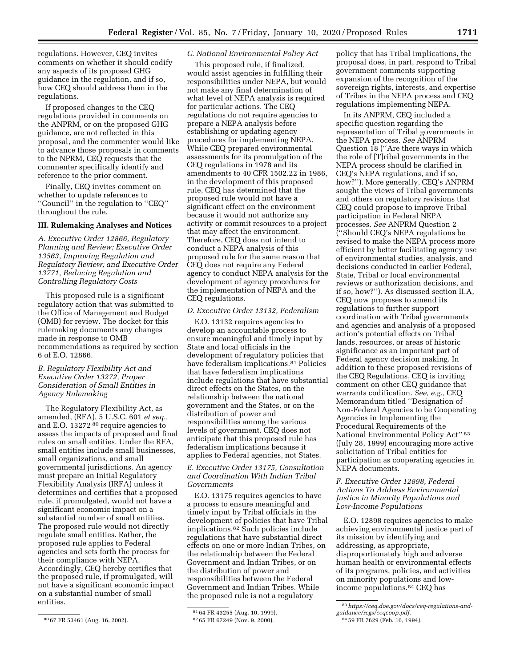regulations. However, CEQ invites comments on whether it should codify any aspects of its proposed GHG guidance in the regulation, and if so, how CEQ should address them in the regulations.

If proposed changes to the CEQ regulations provided in comments on the ANPRM, or on the proposed GHG guidance, are not reflected in this proposal, and the commenter would like to advance those proposals in comments to the NPRM, CEQ requests that the commenter specifically identify and reference to the prior comment.

Finally, CEQ invites comment on whether to update references to ''Council'' in the regulation to ''CEQ'' throughout the rule.

# **III. Rulemaking Analyses and Notices**

*A. Executive Order 12866, Regulatory Planning and Review; Executive Order 13563, Improving Regulation and Regulatory Review; and Executive Order 13771, Reducing Regulation and Controlling Regulatory Costs* 

This proposed rule is a significant regulatory action that was submitted to the Office of Management and Budget (OMB) for review. The docket for this rulemaking documents any changes made in response to OMB recommendations as required by section 6 of E.O. 12866.

# *B. Regulatory Flexibility Act and Executive Order 13272, Proper Consideration of Small Entities in Agency Rulemaking*

The Regulatory Flexibility Act, as amended, (RFA), 5 U.S.C. 601 *et seq.,*  and E.O. 13272 80 require agencies to assess the impacts of proposed and final rules on small entities. Under the RFA, small entities include small businesses, small organizations, and small governmental jurisdictions. An agency must prepare an Initial Regulatory Flexibility Analysis (IRFA) unless it determines and certifies that a proposed rule, if promulgated, would not have a significant economic impact on a substantial number of small entities. The proposed rule would not directly regulate small entities. Rather, the proposed rule applies to Federal agencies and sets forth the process for their compliance with NEPA. Accordingly, CEQ hereby certifies that the proposed rule, if promulgated, will not have a significant economic impact on a substantial number of small entities.

# *C. National Environmental Policy Act*

This proposed rule, if finalized, would assist agencies in fulfilling their responsibilities under NEPA, but would not make any final determination of what level of NEPA analysis is required for particular actions. The CEQ regulations do not require agencies to prepare a NEPA analysis before establishing or updating agency procedures for implementing NEPA. While CEQ prepared environmental assessments for its promulgation of the CEQ regulations in 1978 and its amendments to 40 CFR 1502.22 in 1986, in the development of this proposed rule, CEQ has determined that the proposed rule would not have a significant effect on the environment because it would not authorize any activity or commit resources to a project that may affect the environment. Therefore, CEQ does not intend to conduct a NEPA analysis of this proposed rule for the same reason that CEQ does not require any Federal agency to conduct NEPA analysis for the development of agency procedures for the implementation of NEPA and the CEQ regulations.

# *D. Executive Order 13132, Federalism*

E.O. 13132 requires agencies to develop an accountable process to ensure meaningful and timely input by State and local officials in the development of regulatory policies that have federalism implications.81 Policies that have federalism implications include regulations that have substantial direct effects on the States, on the relationship between the national government and the States, or on the distribution of power and responsibilities among the various levels of government. CEQ does not anticipate that this proposed rule has federalism implications because it applies to Federal agencies, not States.

# *E. Executive Order 13175, Consultation and Coordination With Indian Tribal Governments*

E.O. 13175 requires agencies to have a process to ensure meaningful and timely input by Tribal officials in the development of policies that have Tribal implications.82 Such policies include regulations that have substantial direct effects on one or more Indian Tribes, on the relationship between the Federal Government and Indian Tribes, or on the distribution of power and responsibilities between the Federal Government and Indian Tribes. While the proposed rule is not a regulatory

policy that has Tribal implications, the proposal does, in part, respond to Tribal government comments supporting expansion of the recognition of the sovereign rights, interests, and expertise of Tribes in the NEPA process and CEQ regulations implementing NEPA.

In its ANPRM, CEQ included a specific question regarding the representation of Tribal governments in the NEPA process. *See* ANPRM Question 18 (''Are there ways in which the role of [T]ribal governments in the NEPA process should be clarified in CEQ's NEPA regulations, and if so, how?''). More generally, CEQ's ANPRM sought the views of Tribal governments and others on regulatory revisions that CEQ could propose to improve Tribal participation in Federal NEPA processes. *See* ANPRM Question 2 (''Should CEQ's NEPA regulations be revised to make the NEPA process more efficient by better facilitating agency use of environmental studies, analysis, and decisions conducted in earlier Federal, State, Tribal or local environmental reviews or authorization decisions, and if so, how?''). As discussed section II.A, CEQ now proposes to amend its regulations to further support coordination with Tribal governments and agencies and analysis of a proposed action's potential effects on Tribal lands, resources, or areas of historic significance as an important part of Federal agency decision making. In addition to these proposed revisions of the CEQ Regulations, CEQ is inviting comment on other CEQ guidance that warrants codification. *See, e.g.,* CEQ Memorandum titled ''Designation of Non-Federal Agencies to be Cooperating Agencies in Implementing the Procedural Requirements of the National Environmental Policy Act'' 83 (July 28, 1999) encouraging more active solicitation of Tribal entities for participation as cooperating agencies in NEPA documents.

# *F. Executive Order 12898, Federal Actions To Address Environmental Justice in Minority Populations and Low-Income Populations*

E.O. 12898 requires agencies to make achieving environmental justice part of its mission by identifying and addressing, as appropriate, disproportionately high and adverse human health or environmental effects of its programs, policies, and activities on minority populations and lowincome populations.84 CEQ has

<sup>80</sup> 67 FR 53461 (Aug. 16, 2002).

<sup>81</sup> 64 FR 43255 (Aug. 10, 1999).

<sup>82</sup> 65 FR 67249 (Nov. 9, 2000).

<sup>83</sup>*[https://ceq.doe.gov/docs/ceq-regulations-and](https://ceq.doe.gov/docs/ceq-regulations-and-guidance/regs/ceqcoop.pdf)[guidance/regs/ceqcoop.pdf.](https://ceq.doe.gov/docs/ceq-regulations-and-guidance/regs/ceqcoop.pdf)* 

<sup>84</sup> 59 FR 7629 (Feb. 16, 1994).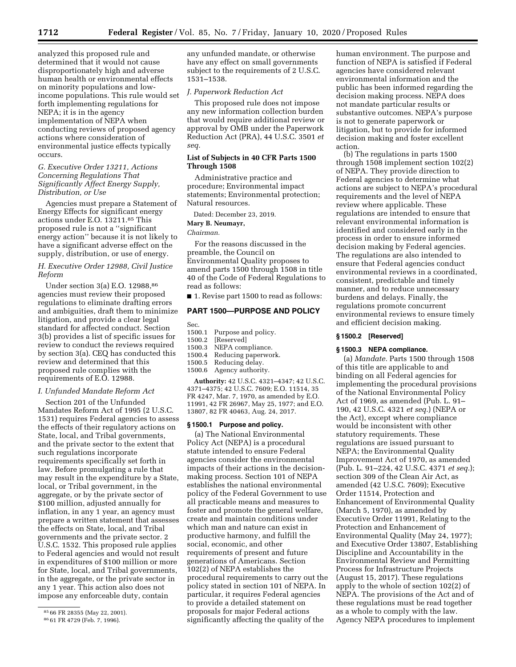analyzed this proposed rule and determined that it would not cause disproportionately high and adverse human health or environmental effects on minority populations and lowincome populations. This rule would set forth implementing regulations for NEPA; it is in the agency implementation of NEPA when conducting reviews of proposed agency actions where consideration of environmental justice effects typically occurs.

# *G. Executive Order 13211, Actions Concerning Regulations That Significantly Affect Energy Supply, Distribution, or Use*

Agencies must prepare a Statement of Energy Effects for significant energy actions under E.O. 13211.85 This proposed rule is not a ''significant energy action'' because it is not likely to have a significant adverse effect on the supply, distribution, or use of energy.

# *H. Executive Order 12988, Civil Justice Reform*

Under section 3(a) E.O. 12988,86 agencies must review their proposed regulations to eliminate drafting errors and ambiguities, draft them to minimize litigation, and provide a clear legal standard for affected conduct. Section 3(b) provides a list of specific issues for review to conduct the reviews required by section 3(a). CEQ has conducted this review and determined that this proposed rule complies with the requirements of E.O. 12988.

## *I. Unfunded Mandate Reform Act*

Section 201 of the Unfunded Mandates Reform Act of 1995 (2 U.S.C. 1531) requires Federal agencies to assess the effects of their regulatory actions on State, local, and Tribal governments, and the private sector to the extent that such regulations incorporate requirements specifically set forth in law. Before promulgating a rule that may result in the expenditure by a State, local, or Tribal government, in the aggregate, or by the private sector of \$100 million, adjusted annually for inflation, in any 1 year, an agency must prepare a written statement that assesses the effects on State, local, and Tribal governments and the private sector. 2 U.S.C. 1532. This proposed rule applies to Federal agencies and would not result in expenditures of \$100 million or more for State, local, and Tribal governments, in the aggregate, or the private sector in any 1 year. This action also does not impose any enforceable duty, contain

any unfunded mandate, or otherwise have any effect on small governments subject to the requirements of 2 U.S.C. 1531–1538.

## *J. Paperwork Reduction Act*

This proposed rule does not impose any new information collection burden that would require additional review or approval by OMB under the Paperwork Reduction Act (PRA), 44 U.S.C. 3501 *et seq.* 

# **List of Subjects in 40 CFR Parts 1500 Through 1508**

Administrative practice and procedure; Environmental impact statements; Environmental protection; Natural resources.

Dated: December 23, 2019.

#### **Mary B. Neumayr,**

*Chairman.* 

For the reasons discussed in the preamble, the Council on Environmental Quality proposes to amend parts 1500 through 1508 in title 40 of the Code of Federal Regulations to read as follows:

■ 1. Revise part 1500 to read as follows:

# **PART 1500—PURPOSE AND POLICY**

Sec.

1500.1 Purpose and policy.

| 1500.2 | [Reserved]              |
|--------|-------------------------|
|        | 1500.3 NEPA compliance. |

- 1500.4 Reducing paperwork.
- 1500.5 Reducing delay.
- 1500.6 Agency authority.

**Authority:** 42 U.S.C. 4321–4347; 42 U.S.C. 4371–4375; 42 U.S.C. 7609; E.O. 11514, 35 FR 4247, Mar. 7, 1970, as amended by E.O. 11991, 42 FR 26967, May 25, 1977; and E.O. 13807, 82 FR 40463, Aug. 24, 2017.

## **§ 1500.1 Purpose and policy.**

(a) The National Environmental Policy Act (NEPA) is a procedural statute intended to ensure Federal agencies consider the environmental impacts of their actions in the decisionmaking process. Section 101 of NEPA establishes the national environmental policy of the Federal Government to use all practicable means and measures to foster and promote the general welfare, create and maintain conditions under which man and nature can exist in productive harmony, and fulfill the social, economic, and other requirements of present and future generations of Americans. Section 102(2) of NEPA establishes the procedural requirements to carry out the policy stated in section 101 of NEPA. In particular, it requires Federal agencies to provide a detailed statement on proposals for major Federal actions significantly affecting the quality of the

human environment. The purpose and function of NEPA is satisfied if Federal agencies have considered relevant environmental information and the public has been informed regarding the decision making process. NEPA does not mandate particular results or substantive outcomes. NEPA's purpose is not to generate paperwork or litigation, but to provide for informed decision making and foster excellent action.

(b) The regulations in parts 1500 through 1508 implement section 102(2) of NEPA. They provide direction to Federal agencies to determine what actions are subject to NEPA's procedural requirements and the level of NEPA review where applicable. These regulations are intended to ensure that relevant environmental information is identified and considered early in the process in order to ensure informed decision making by Federal agencies. The regulations are also intended to ensure that Federal agencies conduct environmental reviews in a coordinated, consistent, predictable and timely manner, and to reduce unnecessary burdens and delays. Finally, the regulations promote concurrent environmental reviews to ensure timely and efficient decision making.

#### **§ 1500.2 [Reserved]**

#### **§ 1500.3 NEPA compliance.**

(a) *Mandate.* Parts 1500 through 1508 of this title are applicable to and binding on all Federal agencies for implementing the procedural provisions of the National Environmental Policy Act of 1969, as amended (Pub. L. 91– 190, 42 U.S.C. 4321 *et seq.*) (NEPA or the Act), except where compliance would be inconsistent with other statutory requirements. These regulations are issued pursuant to NEPA; the Environmental Quality Improvement Act of 1970, as amended (Pub. L. 91–224, 42 U.S.C. 4371 *et seq.*); section 309 of the Clean Air Act, as amended (42 U.S.C. 7609); Executive Order 11514, Protection and Enhancement of Environmental Quality (March 5, 1970), as amended by Executive Order 11991, Relating to the Protection and Enhancement of Environmental Quality (May 24, 1977); and Executive Order 13807, Establishing Discipline and Accountability in the Environmental Review and Permitting Process for Infrastructure Projects (August 15, 2017). These regulations apply to the whole of section 102(2) of NEPA. The provisions of the Act and of these regulations must be read together as a whole to comply with the law. Agency NEPA procedures to implement

<sup>85</sup> 66 FR 28355 (May 22, 2001).

<sup>86</sup> 61 FR 4729 (Feb. 7, 1996).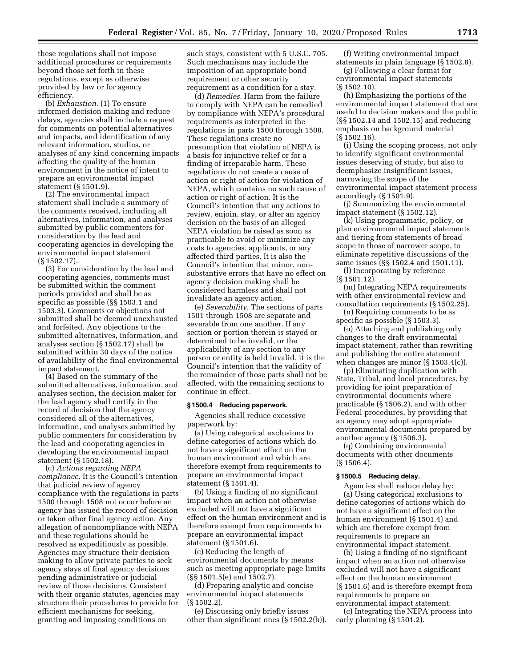these regulations shall not impose additional procedures or requirements beyond those set forth in these regulations, except as otherwise provided by law or for agency efficiency.

(b) *Exhaustion.* (1) To ensure informed decision making and reduce delays, agencies shall include a request for comments on potential alternatives and impacts, and identification of any relevant information, studies, or analyses of any kind concerning impacts affecting the quality of the human environment in the notice of intent to prepare an environmental impact statement (§ 1501.9).

(2) The environmental impact statement shall include a summary of the comments received, including all alternatives, information, and analyses submitted by public commenters for consideration by the lead and cooperating agencies in developing the environmental impact statement (§ 1502.17).

(3) For consideration by the lead and cooperating agencies, comments must be submitted within the comment periods provided and shall be as specific as possible (§§ 1503.1 and 1503.3). Comments or objections not submitted shall be deemed unexhausted and forfeited. Any objections to the submitted alternatives, information, and analyses section (§ 1502.17) shall be submitted within 30 days of the notice of availability of the final environmental impact statement.

(4) Based on the summary of the submitted alternatives, information, and analyses section, the decision maker for the lead agency shall certify in the record of decision that the agency considered all of the alternatives, information, and analyses submitted by public commenters for consideration by the lead and cooperating agencies in developing the environmental impact statement (§ 1502.18).

(c) *Actions regarding NEPA compliance.* It is the Council's intention that judicial review of agency compliance with the regulations in parts 1500 through 1508 not occur before an agency has issued the record of decision or taken other final agency action. Any allegation of noncompliance with NEPA and these regulations should be resolved as expeditiously as possible. Agencies may structure their decision making to allow private parties to seek agency stays of final agency decisions pending administrative or judicial review of those decisions. Consistent with their organic statutes, agencies may structure their procedures to provide for efficient mechanisms for seeking, granting and imposing conditions on

such stays, consistent with 5 U.S.C. 705. Such mechanisms may include the imposition of an appropriate bond requirement or other security requirement as a condition for a stay.

(d) *Remedies.* Harm from the failure to comply with NEPA can be remedied by compliance with NEPA's procedural requirements as interpreted in the regulations in parts 1500 through 1508. These regulations create no presumption that violation of NEPA is a basis for injunctive relief or for a finding of irreparable harm. These regulations do not create a cause of action or right of action for violation of NEPA, which contains no such cause of action or right of action. It is the Council's intention that any actions to review, enjoin, stay, or alter an agency decision on the basis of an alleged NEPA violation be raised as soon as practicable to avoid or minimize any costs to agencies, applicants, or any affected third parties. It is also the Council's intention that minor, nonsubstantive errors that have no effect on agency decision making shall be considered harmless and shall not invalidate an agency action.

(e) *Severability.* The sections of parts 1501 through 1508 are separate and severable from one another. If any section or portion therein is stayed or determined to be invalid, or the applicability of any section to any person or entity is held invalid, it is the Council's intention that the validity of the remainder of those parts shall not be affected, with the remaining sections to continue in effect.

### **§ 1500.4 Reducing paperwork.**

Agencies shall reduce excessive paperwork by:

(a) Using categorical exclusions to define categories of actions which do not have a significant effect on the human environment and which are therefore exempt from requirements to prepare an environmental impact statement (§ 1501.4).

(b) Using a finding of no significant impact when an action not otherwise excluded will not have a significant effect on the human environment and is therefore exempt from requirements to prepare an environmental impact statement (§ 1501.6).

(c) Reducing the length of environmental documents by means such as meeting appropriate page limits (§§ 1501.5(e) and 1502.7).

(d) Preparing analytic and concise environmental impact statements (§ 1502.2).

(e) Discussing only briefly issues other than significant ones (§ 1502.2(b)).

(f) Writing environmental impact statements in plain language (§ 1502.8).

(g) Following a clear format for environmental impact statements (§ 1502.10).

(h) Emphasizing the portions of the environmental impact statement that are useful to decision makers and the public (§§ 1502.14 and 1502.15) and reducing emphasis on background material (§ 1502.16).

(i) Using the scoping process, not only to identify significant environmental issues deserving of study, but also to deemphasize insignificant issues, narrowing the scope of the environmental impact statement process accordingly (§ 1501.9).

(j) Summarizing the environmental impact statement (§ 1502.12).

(k) Using programmatic, policy, or plan environmental impact statements and tiering from statements of broad scope to those of narrower scope, to eliminate repetitive discussions of the same issues (§§ 1502.4 and 1501.11).

(l) Incorporating by reference (§ 1501.12).

(m) Integrating NEPA requirements with other environmental review and consultation requirements (§ 1502.25).

(n) Requiring comments to be as specific as possible (§ 1503.3).

(o) Attaching and publishing only changes to the draft environmental impact statement, rather than rewriting and publishing the entire statement when changes are minor (§ 1503.4(c)).

(p) Eliminating duplication with State, Tribal, and local procedures, by providing for joint preparation of environmental documents where practicable (§ 1506.2), and with other Federal procedures, by providing that an agency may adopt appropriate environmental documents prepared by another agency (§ 1506.3).

(q) Combining environmental documents with other documents (§ 1506.4).

## **§ 1500.5 Reducing delay.**

Agencies shall reduce delay by: (a) Using categorical exclusions to define categories of actions which do not have a significant effect on the human environment (§ 1501.4) and which are therefore exempt from requirements to prepare an environmental impact statement.

(b) Using a finding of no significant impact when an action not otherwise excluded will not have a significant effect on the human environment (§ 1501.6) and is therefore exempt from requirements to prepare an environmental impact statement.

(c) Integrating the NEPA process into early planning (§ 1501.2).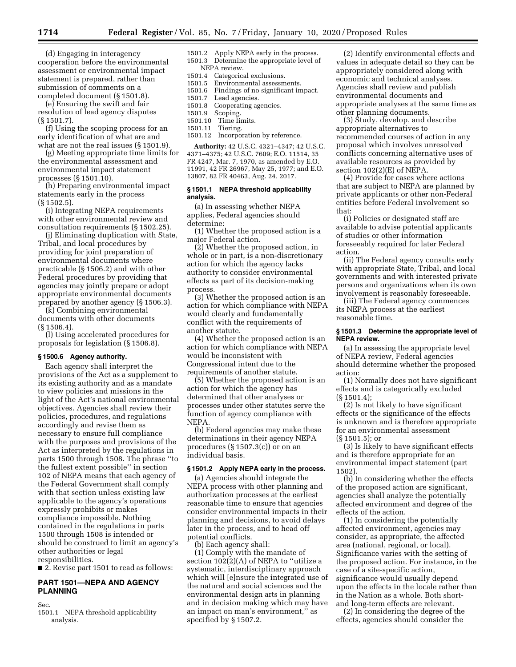(d) Engaging in interagency cooperation before the environmental assessment or environmental impact statement is prepared, rather than submission of comments on a completed document (§ 1501.8).

(e) Ensuring the swift and fair resolution of lead agency disputes (§ 1501.7).

(f) Using the scoping process for an early identification of what are and what are not the real issues (§ 1501.9).

(g) Meeting appropriate time limits for the environmental assessment and environmental impact statement processes (§ 1501.10).

(h) Preparing environmental impact statements early in the process (§ 1502.5).

(i) Integrating NEPA requirements with other environmental review and consultation requirements (§ 1502.25).

(j) Eliminating duplication with State, Tribal, and local procedures by providing for joint preparation of environmental documents where practicable (§ 1506.2) and with other Federal procedures by providing that agencies may jointly prepare or adopt appropriate environmental documents prepared by another agency (§ 1506.3).

(k) Combining environmental documents with other documents (§ 1506.4).

(l) Using accelerated procedures for proposals for legislation (§ 1506.8).

## **§ 1500.6 Agency authority.**

Each agency shall interpret the provisions of the Act as a supplement to its existing authority and as a mandate to view policies and missions in the light of the Act's national environmental objectives. Agencies shall review their policies, procedures, and regulations accordingly and revise them as necessary to ensure full compliance with the purposes and provisions of the Act as interpreted by the regulations in parts 1500 through 1508. The phrase ''to the fullest extent possible'' in section 102 of NEPA means that each agency of the Federal Government shall comply with that section unless existing law applicable to the agency's operations expressly prohibits or makes compliance impossible. Nothing contained in the regulations in parts 1500 through 1508 is intended or should be construed to limit an agency's other authorities or legal responsibilities.

■ 2. Revise part 1501 to read as follows:

# **PART 1501—NEPA AND AGENCY PLANNING**

Sec.

1501.1 NEPA threshold applicability analysis.

# 1501.2 Apply NEPA early in the process. 1501.3 Determine the appropriate level of NEPA review.<br>1501.4 Categoric

- 1501.4 Categorical exclusions.<br>1501.5 Environmental assessm
- Environmental assessments.
- 1501.6 Findings of no significant impact.
- 1501.7 Lead agencies.
- 1501.8 Cooperating agencies.
- 1501.9 Scoping.
- 1501.10 Time limits.<br>1501.11 Tiering.
- Tiering.
- 1501.12 Incorporation by reference.

**Authority:** 42 U.S.C. 4321–4347; 42 U.S.C. 4371–4375; 42 U.S.C. 7609; E.O. 11514, 35 FR 4247, Mar. 7, 1970, as amended by E.O. 11991, 42 FR 26967, May 25, 1977; and E.O. 13807, 82 FR 40463, Aug. 24, 2017.

## **§ 1501.1 NEPA threshold applicability analysis.**

(a) In assessing whether NEPA applies, Federal agencies should determine:

(1) Whether the proposed action is a major Federal action.

(2) Whether the proposed action, in whole or in part, is a non-discretionary action for which the agency lacks authority to consider environmental effects as part of its decision-making process.

(3) Whether the proposed action is an action for which compliance with NEPA would clearly and fundamentally conflict with the requirements of another statute.

(4) Whether the proposed action is an action for which compliance with NEPA would be inconsistent with Congressional intent due to the requirements of another statute.

(5) Whether the proposed action is an action for which the agency has determined that other analyses or processes under other statutes serve the function of agency compliance with NEPA.

(b) Federal agencies may make these determinations in their agency NEPA procedures (§ 1507.3(c)) or on an individual basis.

## **§ 1501.2 Apply NEPA early in the process.**

(a) Agencies should integrate the NEPA process with other planning and authorization processes at the earliest reasonable time to ensure that agencies consider environmental impacts in their planning and decisions, to avoid delays later in the process, and to head off potential conflicts.

(b) Each agency shall:

(1) Comply with the mandate of section 102(2)(A) of NEPA to ''utilize a systematic, interdisciplinary approach which will [e]nsure the integrated use of the natural and social sciences and the environmental design arts in planning and in decision making which may have an impact on man's environment,'' as specified by § 1507.2.

(2) Identify environmental effects and values in adequate detail so they can be appropriately considered along with economic and technical analyses. Agencies shall review and publish environmental documents and appropriate analyses at the same time as other planning documents.

(3) Study, develop, and describe appropriate alternatives to recommended courses of action in any proposal which involves unresolved conflicts concerning alternative uses of available resources as provided by section 102(2)(E) of NEPA.

(4) Provide for cases where actions that are subject to NEPA are planned by private applicants or other non-Federal entities before Federal involvement so that:

(i) Policies or designated staff are available to advise potential applicants of studies or other information foreseeably required for later Federal action.

(ii) The Federal agency consults early with appropriate State, Tribal, and local governments and with interested private persons and organizations when its own involvement is reasonably foreseeable.

(iii) The Federal agency commences its NEPA process at the earliest reasonable time.

## **§ 1501.3 Determine the appropriate level of NEPA review.**

(a) In assessing the appropriate level of NEPA review, Federal agencies should determine whether the proposed action:

(1) Normally does not have significant effects and is categorically excluded (§ 1501.4);

(2) Is not likely to have significant effects or the significance of the effects is unknown and is therefore appropriate for an environmental assessment (§ 1501.5); or

(3) Is likely to have significant effects and is therefore appropriate for an environmental impact statement (part 1502).

(b) In considering whether the effects of the proposed action are significant, agencies shall analyze the potentially affected environment and degree of the effects of the action.

(1) In considering the potentially affected environment, agencies may consider, as appropriate, the affected area (national, regional, or local). Significance varies with the setting of the proposed action. For instance, in the case of a site-specific action, significance would usually depend upon the effects in the locale rather than in the Nation as a whole. Both shortand long-term effects are relevant.

(2) In considering the degree of the effects, agencies should consider the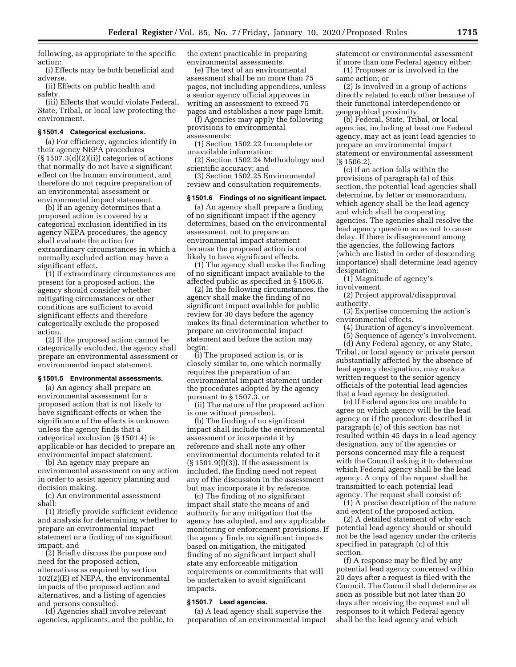following, as appropriate to the specific action:

(i) Effects may be both beneficial and adverse.

(ii) Effects on public health and safety.

(iii) Effects that would violate Federal, State, Tribal, or local law protecting the environment.

#### **§ 1501.4 Categorical exclusions.**

(a) For efficiency, agencies identify in their agency NEPA procedures  $(\S 1507.3(d)(2)(ii))$  categories of actions that normally do not have a significant effect on the human environment, and therefore do not require preparation of an environmental assessment or environmental impact statement.

(b) If an agency determines that a proposed action is covered by a categorical exclusion identified in its agency NEPA procedures, the agency shall evaluate the action for extraordinary circumstances in which a normally excluded action may have a significant effect.

(1) If extraordinary circumstances are present for a proposed action, the agency should consider whether mitigating circumstances or other conditions are sufficient to avoid significant effects and therefore categorically exclude the proposed action.

(2) If the proposed action cannot be categorically excluded, the agency shall prepare an environmental assessment or environmental impact statement.

## **§ 1501.5 Environmental assessments.**

(a) An agency shall prepare an environmental assessment for a proposed action that is not likely to have significant effects or when the significance of the effects is unknown unless the agency finds that a categorical exclusion (§ 1501.4) is applicable or has decided to prepare an environmental impact statement.

(b) An agency may prepare an environmental assessment on any action in order to assist agency planning and decision making.

(c) An environmental assessment shall:

(1) Briefly provide sufficient evidence and analysis for determining whether to prepare an environmental impact statement or a finding of no significant impact; and

(2) Briefly discuss the purpose and need for the proposed action, alternatives as required by section 102(2)(E) of NEPA, the environmental impacts of the proposed action and alternatives, and a listing of agencies and persons consulted.

(d) Agencies shall involve relevant agencies, applicants, and the public, to the extent practicable in preparing environmental assessments.

(e) The text of an environmental assessment shall be no more than 75 pages, not including appendices, unless a senior agency official approves in writing an assessment to exceed 75 pages and establishes a new page limit.

(f) Agencies may apply the following provisions to environmental assessments:

(1) Section 1502.22 Incomplete or unavailable information;

(2) Section 1502.24 Methodology and scientific accuracy; and

(3) Section 1502.25 Environmental review and consultation requirements.

## **§ 1501.6 Findings of no significant impact.**

(a) An agency shall prepare a finding of no significant impact if the agency determines, based on the environmental assessment, not to prepare an environmental impact statement because the proposed action is not likely to have significant effects.

(1) The agency shall make the finding of no significant impact available to the affected public as specified in § 1506.6.

(2) In the following circumstances, the agency shall make the finding of no significant impact available for public review for 30 days before the agency makes its final determination whether to prepare an environmental impact statement and before the action may begin:

(i) The proposed action is, or is closely similar to, one which normally requires the preparation of an environmental impact statement under the procedures adopted by the agency pursuant to § 1507.3, or

(ii) The nature of the proposed action is one without precedent.

(b) The finding of no significant impact shall include the environmental assessment or incorporate it by reference and shall note any other environmental documents related to it (§ 1501.9(f)(3)). If the assessment is included, the finding need not repeat any of the discussion in the assessment but may incorporate it by reference.

(c) The finding of no significant impact shall state the means of and authority for any mitigation that the agency has adopted, and any applicable monitoring or enforcement provisions. If the agency finds no significant impacts based on mitigation, the mitigated finding of no significant impact shall state any enforceable mitigation requirements or commitments that will be undertaken to avoid significant impacts.

## **§ 1501.7 Lead agencies.**

(a) A lead agency shall supervise the preparation of an environmental impact statement or environmental assessment if more than one Federal agency either:

(1) Proposes or is involved in the same action; or

(2) Is involved in a group of actions directly related to each other because of their functional interdependence or geographical proximity.

(b) Federal, State, Tribal, or local agencies, including at least one Federal agency, may act as joint lead agencies to prepare an environmental impact statement or environmental assessment (§ 1506.2).

(c) If an action falls within the provisions of paragraph (a) of this section, the potential lead agencies shall determine, by letter or memorandum, which agency shall be the lead agency and which shall be cooperating agencies. The agencies shall resolve the lead agency question so as not to cause delay. If there is disagreement among the agencies, the following factors (which are listed in order of descending importance) shall determine lead agency designation:

(1) Magnitude of agency's involvement.

(2) Project approval/disapproval authority.

(3) Expertise concerning the action's environmental effects.

(4) Duration of agency's involvement. (5) Sequence of agency's involvement.

(d) Any Federal agency, or any State, Tribal, or local agency or private person substantially affected by the absence of lead agency designation, may make a written request to the senior agency officials of the potential lead agencies that a lead agency be designated.

(e) If Federal agencies are unable to agree on which agency will be the lead agency or if the procedure described in paragraph (c) of this section has not resulted within 45 days in a lead agency designation, any of the agencies or persons concerned may file a request with the Council asking it to determine which Federal agency shall be the lead agency. A copy of the request shall be transmitted to each potential lead agency. The request shall consist of:

(1) A precise description of the nature and extent of the proposed action.

(2) A detailed statement of why each potential lead agency should or should not be the lead agency under the criteria specified in paragraph (c) of this section.

(f) A response may be filed by any potential lead agency concerned within 20 days after a request is filed with the Council. The Council shall determine as soon as possible but not later than 20 days after receiving the request and all responses to it which Federal agency shall be the lead agency and which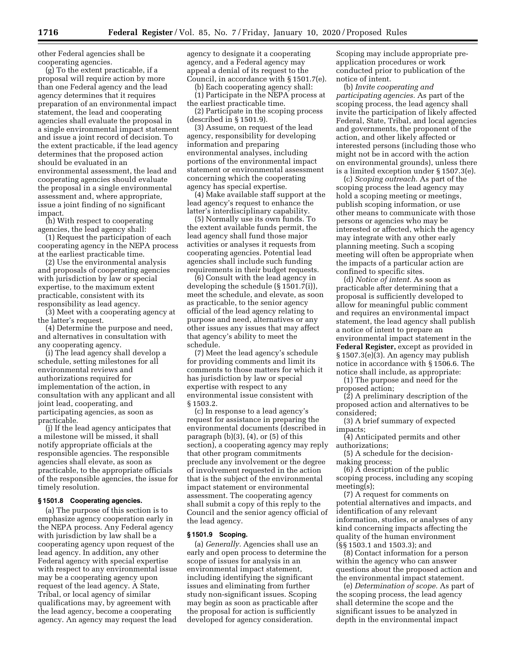other Federal agencies shall be cooperating agencies.

(g) To the extent practicable, if a proposal will require action by more than one Federal agency and the lead agency determines that it requires preparation of an environmental impact statement, the lead and cooperating agencies shall evaluate the proposal in a single environmental impact statement and issue a joint record of decision. To the extent practicable, if the lead agency determines that the proposed action should be evaluated in an environmental assessment, the lead and cooperating agencies should evaluate the proposal in a single environmental assessment and, where appropriate, issue a joint finding of no significant impact.

(h) With respect to cooperating agencies, the lead agency shall:

(1) Request the participation of each cooperating agency in the NEPA process at the earliest practicable time.

(2) Use the environmental analysis and proposals of cooperating agencies with jurisdiction by law or special expertise, to the maximum extent practicable, consistent with its responsibility as lead agency.

(3) Meet with a cooperating agency at the latter's request.

(4) Determine the purpose and need, and alternatives in consultation with any cooperating agency.

(i) The lead agency shall develop a schedule, setting milestones for all environmental reviews and authorizations required for implementation of the action, in consultation with any applicant and all joint lead, cooperating, and participating agencies, as soon as practicable.

(j) If the lead agency anticipates that a milestone will be missed, it shall notify appropriate officials at the responsible agencies. The responsible agencies shall elevate, as soon as practicable, to the appropriate officials of the responsible agencies, the issue for timely resolution.

#### **§ 1501.8 Cooperating agencies.**

(a) The purpose of this section is to emphasize agency cooperation early in the NEPA process. Any Federal agency with jurisdiction by law shall be a cooperating agency upon request of the lead agency. In addition, any other Federal agency with special expertise with respect to any environmental issue may be a cooperating agency upon request of the lead agency. A State, Tribal, or local agency of similar qualifications may, by agreement with the lead agency, become a cooperating agency. An agency may request the lead

agency to designate it a cooperating agency, and a Federal agency may appeal a denial of its request to the Council, in accordance with § 1501.7(e).

(b) Each cooperating agency shall:

(1) Participate in the NEPA process at the earliest practicable time.

(2) Participate in the scoping process (described in § 1501.9).

(3) Assume, on request of the lead agency, responsibility for developing information and preparing environmental analyses, including portions of the environmental impact statement or environmental assessment concerning which the cooperating agency has special expertise.

(4) Make available staff support at the lead agency's request to enhance the latter's interdisciplinary capability.

(5) Normally use its own funds. To the extent available funds permit, the lead agency shall fund those major activities or analyses it requests from cooperating agencies. Potential lead agencies shall include such funding requirements in their budget requests.

(6) Consult with the lead agency in developing the schedule (§ 1501.7(i)), meet the schedule, and elevate, as soon as practicable, to the senior agency official of the lead agency relating to purpose and need, alternatives or any other issues any issues that may affect that agency's ability to meet the schedule.

(7) Meet the lead agency's schedule for providing comments and limit its comments to those matters for which it has jurisdiction by law or special expertise with respect to any environmental issue consistent with § 1503.2.

(c) In response to a lead agency's request for assistance in preparing the environmental documents (described in paragraph  $(b)(3)$ ,  $(4)$ , or  $(5)$  of this section), a cooperating agency may reply that other program commitments preclude any involvement or the degree of involvement requested in the action that is the subject of the environmental impact statement or environmental assessment. The cooperating agency shall submit a copy of this reply to the Council and the senior agency official of the lead agency.

#### **§ 1501.9 Scoping.**

(a) *Generally.* Agencies shall use an early and open process to determine the scope of issues for analysis in an environmental impact statement, including identifying the significant issues and eliminating from further study non-significant issues. Scoping may begin as soon as practicable after the proposal for action is sufficiently developed for agency consideration.

Scoping may include appropriate preapplication procedures or work conducted prior to publication of the notice of intent.

(b) *Invite cooperating and participating agencies.* As part of the scoping process, the lead agency shall invite the participation of likely affected Federal, State, Tribal, and local agencies and governments, the proponent of the action, and other likely affected or interested persons (including those who might not be in accord with the action on environmental grounds), unless there is a limited exception under § 1507.3(e).

(c) *Scoping outreach.* As part of the scoping process the lead agency may hold a scoping meeting or meetings, publish scoping information, or use other means to communicate with those persons or agencies who may be interested or affected, which the agency may integrate with any other early planning meeting. Such a scoping meeting will often be appropriate when the impacts of a particular action are confined to specific sites.

(d) *Notice of intent.* As soon as practicable after determining that a proposal is sufficiently developed to allow for meaningful public comment and requires an environmental impact statement, the lead agency shall publish a notice of intent to prepare an environmental impact statement in the **Federal Register,** except as provided in § 1507.3(e)(3). An agency may publish notice in accordance with § 1506.6. The notice shall include, as appropriate:

(1) The purpose and need for the proposed action;

(2) A preliminary description of the proposed action and alternatives to be considered;

(3) A brief summary of expected impacts;

(4) Anticipated permits and other authorizations;

(5) A schedule for the decisionmaking process;

(6) A description of the public scoping process, including any scoping meeting(s);

(7) A request for comments on potential alternatives and impacts, and identification of any relevant information, studies, or analyses of any kind concerning impacts affecting the quality of the human environment (§§ 1503.1 and 1503.3); and

(8) Contact information for a person within the agency who can answer questions about the proposed action and the environmental impact statement.

(e) *Determination of scope.* As part of the scoping process, the lead agency shall determine the scope and the significant issues to be analyzed in depth in the environmental impact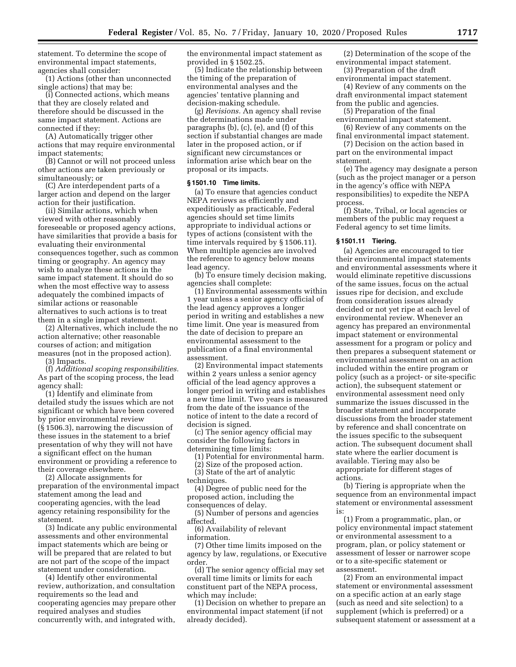statement. To determine the scope of environmental impact statements, agencies shall consider:

(1) Actions (other than unconnected single actions) that may be:

(i) Connected actions, which means that they are closely related and therefore should be discussed in the same impact statement. Actions are connected if they:

(A) Automatically trigger other actions that may require environmental impact statements;

(B) Cannot or will not proceed unless other actions are taken previously or simultaneously; or

(C) Are interdependent parts of a larger action and depend on the larger action for their justification.

(ii) Similar actions, which when viewed with other reasonably foreseeable or proposed agency actions, have similarities that provide a basis for evaluating their environmental consequences together, such as common timing or geography. An agency may wish to analyze these actions in the same impact statement. It should do so when the most effective way to assess adequately the combined impacts of similar actions or reasonable alternatives to such actions is to treat them in a single impact statement.

(2) Alternatives, which include the no action alternative; other reasonable courses of action; and mitigation measures (not in the proposed action).

(3) Impacts.

(f) *Additional scoping responsibilities.*  As part of the scoping process, the lead agency shall:

(1) Identify and eliminate from detailed study the issues which are not significant or which have been covered by prior environmental review (§ 1506.3), narrowing the discussion of these issues in the statement to a brief presentation of why they will not have a significant effect on the human environment or providing a reference to their coverage elsewhere.

(2) Allocate assignments for preparation of the environmental impact statement among the lead and cooperating agencies, with the lead agency retaining responsibility for the statement.

(3) Indicate any public environmental assessments and other environmental impact statements which are being or will be prepared that are related to but are not part of the scope of the impact statement under consideration.

(4) Identify other environmental review, authorization, and consultation requirements so the lead and cooperating agencies may prepare other required analyses and studies concurrently with, and integrated with,

the environmental impact statement as provided in § 1502.25.

(5) Indicate the relationship between the timing of the preparation of environmental analyses and the agencies' tentative planning and decision-making schedule.

(g) *Revisions.* An agency shall revise the determinations made under paragraphs (b), (c), (e), and (f) of this section if substantial changes are made later in the proposed action, or if significant new circumstances or information arise which bear on the proposal or its impacts.

#### **§ 1501.10 Time limits.**

(a) To ensure that agencies conduct NEPA reviews as efficiently and expeditiously as practicable, Federal agencies should set time limits appropriate to individual actions or types of actions (consistent with the time intervals required by § 1506.11). When multiple agencies are involved the reference to agency below means lead agency.

(b) To ensure timely decision making, agencies shall complete:

(1) Environmental assessments within 1 year unless a senior agency official of the lead agency approves a longer period in writing and establishes a new time limit. One year is measured from the date of decision to prepare an environmental assessment to the publication of a final environmental assessment.

(2) Environmental impact statements within 2 years unless a senior agency official of the lead agency approves a longer period in writing and establishes a new time limit. Two years is measured from the date of the issuance of the notice of intent to the date a record of decision is signed.

(c) The senior agency official may consider the following factors in determining time limits:

(1) Potential for environmental harm.

(2) Size of the proposed action.

(3) State of the art of analytic techniques.

(4) Degree of public need for the

proposed action, including the consequences of delay.

(5) Number of persons and agencies affected.

(6) Availability of relevant information.

(7) Other time limits imposed on the agency by law, regulations, or Executive order.

(d) The senior agency official may set overall time limits or limits for each constituent part of the NEPA process, which may include:

(1) Decision on whether to prepare an environmental impact statement (if not already decided).

(2) Determination of the scope of the environmental impact statement.

(3) Preparation of the draft environmental impact statement.

(4) Review of any comments on the draft environmental impact statement from the public and agencies.

(5) Preparation of the final environmental impact statement.

(6) Review of any comments on the final environmental impact statement.

(7) Decision on the action based in part on the environmental impact statement.

(e) The agency may designate a person (such as the project manager or a person in the agency's office with NEPA responsibilities) to expedite the NEPA process.

(f) State, Tribal, or local agencies or members of the public may request a Federal agency to set time limits.

## **§ 1501.11 Tiering.**

(a) Agencies are encouraged to tier their environmental impact statements and environmental assessments where it would eliminate repetitive discussions of the same issues, focus on the actual issues ripe for decision, and exclude from consideration issues already decided or not yet ripe at each level of environmental review. Whenever an agency has prepared an environmental impact statement or environmental assessment for a program or policy and then prepares a subsequent statement or environmental assessment on an action included within the entire program or policy (such as a project- or site-specific action), the subsequent statement or environmental assessment need only summarize the issues discussed in the broader statement and incorporate discussions from the broader statement by reference and shall concentrate on the issues specific to the subsequent action. The subsequent document shall state where the earlier document is available. Tiering may also be appropriate for different stages of actions.

(b) Tiering is appropriate when the sequence from an environmental impact statement or environmental assessment is:

(1) From a programmatic, plan, or policy environmental impact statement or environmental assessment to a program, plan, or policy statement or assessment of lesser or narrower scope or to a site-specific statement or assessment.

(2) From an environmental impact statement or environmental assessment on a specific action at an early stage (such as need and site selection) to a supplement (which is preferred) or a subsequent statement or assessment at a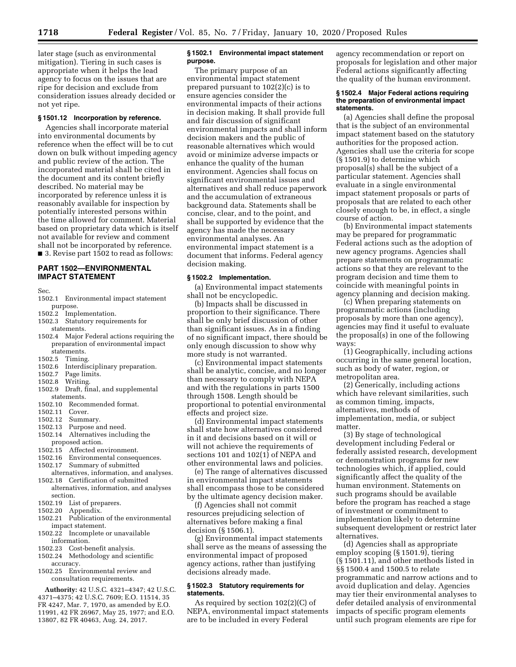later stage (such as environmental mitigation). Tiering in such cases is appropriate when it helps the lead agency to focus on the issues that are ripe for decision and exclude from consideration issues already decided or not yet ripe.

#### **§ 1501.12 Incorporation by reference.**

Agencies shall incorporate material into environmental documents by reference when the effect will be to cut down on bulk without impeding agency and public review of the action. The incorporated material shall be cited in the document and its content briefly described. No material may be incorporated by reference unless it is reasonably available for inspection by potentially interested persons within the time allowed for comment. Material based on proprietary data which is itself not available for review and comment shall not be incorporated by reference. ■ 3. Revise part 1502 to read as follows:

# **PART 1502—ENVIRONMENTAL IMPACT STATEMENT**

Sec.

- 1502.1 Environmental impact statement purpose.
- 1502.2 Implementation.
- 1502.3 Statutory requirements for statements.
- 1502.4 Major Federal actions requiring the preparation of environmental impact statements.
- 1502.5 Timing.
- 1502.6 Interdisciplinary preparation.
- 1502.7 Page limits.
- 1502.8 Writing.
- 1502.9 Draft, final, and supplemental statements.
- 1502.10 Recommended format.
- 1502.11 Cover.
- 1502.12 Summary.
- 1502.13 Purpose and need.
- 1502.14 Alternatives including the proposed action.
- 1502.15 Affected environment.
- 1502.16 Environmental consequences.
- 1502.17 Summary of submitted
- alternatives, information, and analyses. 1502.18 Certification of submitted alternatives, information, and analyses
- section. 1502.19 List of preparers.
- 1502.20 Appendix.
- 1502.21 Publication of the environmental
- impact statement.
- 1502.22 Incomplete or unavailable information.
- 1502.23 Cost-benefit analysis.
- 1502.24 Methodology and scientific accuracy.
- 1502.25 Environmental review and consultation requirements.

**Authority:** 42 U.S.C. 4321–4347; 42 U.S.C. 4371–4375; 42 U.S.C. 7609; E.O. 11514, 35 FR 4247, Mar. 7, 1970, as amended by E.O. 11991, 42 FR 26967, May 25, 1977; and E.O.

13807, 82 FR 40463, Aug. 24, 2017.

### **§ 1502.1 Environmental impact statement purpose.**

The primary purpose of an environmental impact statement prepared pursuant to 102(2)(c) is to ensure agencies consider the environmental impacts of their actions in decision making. It shall provide full and fair discussion of significant environmental impacts and shall inform decision makers and the public of reasonable alternatives which would avoid or minimize adverse impacts or enhance the quality of the human environment. Agencies shall focus on significant environmental issues and alternatives and shall reduce paperwork and the accumulation of extraneous background data. Statements shall be concise, clear, and to the point, and shall be supported by evidence that the agency has made the necessary environmental analyses. An environmental impact statement is a document that informs. Federal agency decision making.

### **§ 1502.2 Implementation.**

(a) Environmental impact statements shall not be encyclopedic.

(b) Impacts shall be discussed in proportion to their significance. There shall be only brief discussion of other than significant issues. As in a finding of no significant impact, there should be only enough discussion to show why more study is not warranted.

(c) Environmental impact statements shall be analytic, concise, and no longer than necessary to comply with NEPA and with the regulations in parts 1500 through 1508. Length should be proportional to potential environmental effects and project size.

(d) Environmental impact statements shall state how alternatives considered in it and decisions based on it will or will not achieve the requirements of sections 101 and 102(1) of NEPA and other environmental laws and policies.

(e) The range of alternatives discussed in environmental impact statements shall encompass those to be considered by the ultimate agency decision maker.

(f) Agencies shall not commit resources prejudicing selection of alternatives before making a final decision (§ 1506.1).

(g) Environmental impact statements shall serve as the means of assessing the environmental impact of proposed agency actions, rather than justifying decisions already made.

# **§ 1502.3 Statutory requirements for statements.**

As required by section 102(2)(C) of NEPA, environmental impact statements are to be included in every Federal

agency recommendation or report on proposals for legislation and other major Federal actions significantly affecting the quality of the human environment.

#### **§ 1502.4 Major Federal actions requiring the preparation of environmental impact statements.**

(a) Agencies shall define the proposal that is the subject of an environmental impact statement based on the statutory authorities for the proposed action. Agencies shall use the criteria for scope (§ 1501.9) to determine which proposal(s) shall be the subject of a particular statement. Agencies shall evaluate in a single environmental impact statement proposals or parts of proposals that are related to each other closely enough to be, in effect, a single course of action.

(b) Environmental impact statements may be prepared for programmatic Federal actions such as the adoption of new agency programs. Agencies shall prepare statements on programmatic actions so that they are relevant to the program decision and time them to coincide with meaningful points in agency planning and decision making.

(c) When preparing statements on programmatic actions (including proposals by more than one agency), agencies may find it useful to evaluate the proposal(s) in one of the following ways:

(1) Geographically, including actions occurring in the same general location, such as body of water, region, or metropolitan area.

(2) Generically, including actions which have relevant similarities, such as common timing, impacts, alternatives, methods of implementation, media, or subject matter.

(3) By stage of technological development including Federal or federally assisted research, development or demonstration programs for new technologies which, if applied, could significantly affect the quality of the human environment. Statements on such programs should be available before the program has reached a stage of investment or commitment to implementation likely to determine subsequent development or restrict later alternatives.

(d) Agencies shall as appropriate employ scoping (§ 1501.9), tiering (§ 1501.11), and other methods listed in §§ 1500.4 and 1500.5 to relate programmatic and narrow actions and to avoid duplication and delay. Agencies may tier their environmental analyses to defer detailed analysis of environmental impacts of specific program elements until such program elements are ripe for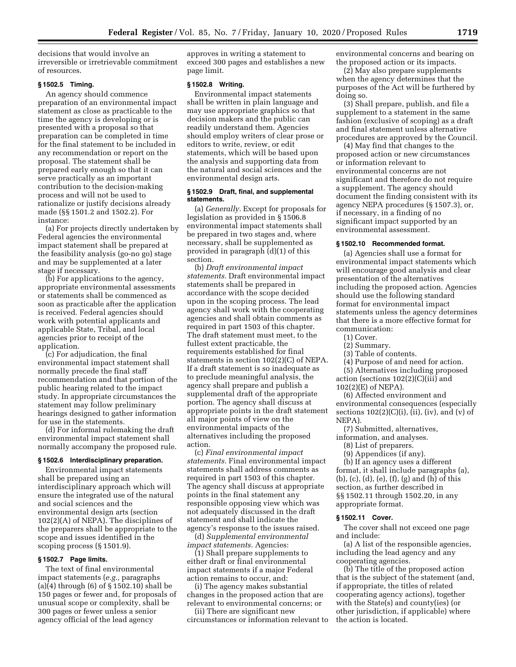decisions that would involve an irreversible or irretrievable commitment of resources.

## **§ 1502.5 Timing.**

An agency should commence preparation of an environmental impact statement as close as practicable to the time the agency is developing or is presented with a proposal so that preparation can be completed in time for the final statement to be included in any recommendation or report on the proposal. The statement shall be prepared early enough so that it can serve practically as an important contribution to the decision-making process and will not be used to rationalize or justify decisions already made (§§ 1501.2 and 1502.2). For instance:

(a) For projects directly undertaken by Federal agencies the environmental impact statement shall be prepared at the feasibility analysis (go-no go) stage and may be supplemented at a later stage if necessary.

(b) For applications to the agency, appropriate environmental assessments or statements shall be commenced as soon as practicable after the application is received. Federal agencies should work with potential applicants and applicable State, Tribal, and local agencies prior to receipt of the application.

(c) For adjudication, the final environmental impact statement shall normally precede the final staff recommendation and that portion of the public hearing related to the impact study. In appropriate circumstances the statement may follow preliminary hearings designed to gather information for use in the statements.

(d) For informal rulemaking the draft environmental impact statement shall normally accompany the proposed rule.

# **§ 1502.6 Interdisciplinary preparation.**

Environmental impact statements shall be prepared using an interdisciplinary approach which will ensure the integrated use of the natural and social sciences and the environmental design arts (section 102(2)(A) of NEPA). The disciplines of the preparers shall be appropriate to the scope and issues identified in the scoping process (§ 1501.9).

# **§ 1502.7 Page limits.**

The text of final environmental impact statements (*e.g.,* paragraphs (a)(4) through (6) of § 1502.10) shall be 150 pages or fewer and, for proposals of unusual scope or complexity, shall be 300 pages or fewer unless a senior agency official of the lead agency

approves in writing a statement to exceed 300 pages and establishes a new page limit.

# **§ 1502.8 Writing.**

Environmental impact statements shall be written in plain language and may use appropriate graphics so that decision makers and the public can readily understand them. Agencies should employ writers of clear prose or editors to write, review, or edit statements, which will be based upon the analysis and supporting data from the natural and social sciences and the environmental design arts.

## **§ 1502.9 Draft, final, and supplemental statements.**

(a) *Generally.* Except for proposals for legislation as provided in § 1506.8 environmental impact statements shall be prepared in two stages and, where necessary, shall be supplemented as provided in paragraph (d)(1) of this section.

(b) *Draft environmental impact statements.* Draft environmental impact statements shall be prepared in accordance with the scope decided upon in the scoping process. The lead agency shall work with the cooperating agencies and shall obtain comments as required in part 1503 of this chapter. The draft statement must meet, to the fullest extent practicable, the requirements established for final statements in section 102(2)(C) of NEPA. If a draft statement is so inadequate as to preclude meaningful analysis, the agency shall prepare and publish a supplemental draft of the appropriate portion. The agency shall discuss at appropriate points in the draft statement all major points of view on the environmental impacts of the alternatives including the proposed action.

(c) *Final environmental impact statements.* Final environmental impact statements shall address comments as required in part 1503 of this chapter. The agency shall discuss at appropriate points in the final statement any responsible opposing view which was not adequately discussed in the draft statement and shall indicate the agency's response to the issues raised.

(d) *Supplemental environmental impact statements.* Agencies:

(1) Shall prepare supplements to either draft or final environmental impact statements if a major Federal action remains to occur, and:

(i) The agency makes substantial changes in the proposed action that are relevant to environmental concerns; or

(ii) There are significant new circumstances or information relevant to environmental concerns and bearing on the proposed action or its impacts.

(2) May also prepare supplements when the agency determines that the purposes of the Act will be furthered by doing so.

(3) Shall prepare, publish, and file a supplement to a statement in the same fashion (exclusive of scoping) as a draft and final statement unless alternative procedures are approved by the Council.

(4) May find that changes to the proposed action or new circumstances or information relevant to environmental concerns are not significant and therefore do not require a supplement. The agency should document the finding consistent with its agency NEPA procedures (§ 1507.3), or, if necessary, in a finding of no significant impact supported by an environmental assessment.

#### **§ 1502.10 Recommended format.**

(a) Agencies shall use a format for environmental impact statements which will encourage good analysis and clear presentation of the alternatives including the proposed action. Agencies should use the following standard format for environmental impact statements unless the agency determines that there is a more effective format for communication:

- (1) Cover.
- (2) Summary.
- (3) Table of contents.
- (4) Purpose of and need for action.
- (5) Alternatives including proposed action (sections 102(2)(C)(iii) and
- 102(2)(E) of NEPA).

(6) Affected environment and environmental consequences (especially sections  $102(2)(C)(i)$ , (ii), (iv), and (v) of NEPA).

(7) Submitted, alternatives,

- information, and analyses. (8) List of preparers.
	- (9) Appendices (if any).

(b) If an agency uses a different format, it shall include paragraphs (a), (b), (c), (d), (e), (f), (g) and (h) of this section, as further described in §§ 1502.11 through 1502.20, in any appropriate format.

## **§ 1502.11 Cover.**

The cover shall not exceed one page and include:

(a) A list of the responsible agencies, including the lead agency and any cooperating agencies.

(b) The title of the proposed action that is the subject of the statement (and, if appropriate, the titles of related cooperating agency actions), together with the State(s) and county(ies) (or other jurisdiction, if applicable) where the action is located.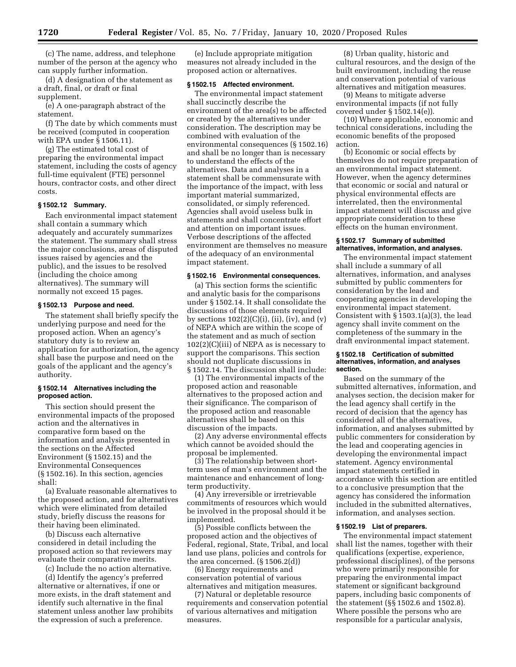(c) The name, address, and telephone number of the person at the agency who can supply further information.

(d) A designation of the statement as a draft, final, or draft or final supplement.

(e) A one-paragraph abstract of the statement.

(f) The date by which comments must be received (computed in cooperation with EPA under § 1506.11).

(g) The estimated total cost of preparing the environmental impact statement, including the costs of agency full-time equivalent (FTE) personnel hours, contractor costs, and other direct costs.

#### **§ 1502.12 Summary.**

Each environmental impact statement shall contain a summary which adequately and accurately summarizes the statement. The summary shall stress the major conclusions, areas of disputed issues raised by agencies and the public), and the issues to be resolved (including the choice among alternatives). The summary will normally not exceed 15 pages.

# **§ 1502.13 Purpose and need.**

The statement shall briefly specify the underlying purpose and need for the proposed action. When an agency's statutory duty is to review an application for authorization, the agency shall base the purpose and need on the goals of the applicant and the agency's authority.

### **§ 1502.14 Alternatives including the proposed action.**

This section should present the environmental impacts of the proposed action and the alternatives in comparative form based on the information and analysis presented in the sections on the Affected Environment (§ 1502.15) and the Environmental Consequences (§ 1502.16). In this section, agencies shall:

(a) Evaluate reasonable alternatives to the proposed action, and for alternatives which were eliminated from detailed study, briefly discuss the reasons for their having been eliminated.

(b) Discuss each alternative considered in detail including the proposed action so that reviewers may evaluate their comparative merits.

(c) Include the no action alternative. (d) Identify the agency's preferred alternative or alternatives, if one or more exists, in the draft statement and identify such alternative in the final statement unless another law prohibits the expression of such a preference.

(e) Include appropriate mitigation measures not already included in the proposed action or alternatives.

### **§ 1502.15 Affected environment.**

The environmental impact statement shall succinctly describe the environment of the area(s) to be affected or created by the alternatives under consideration. The description may be combined with evaluation of the environmental consequences (§ 1502.16) and shall be no longer than is necessary to understand the effects of the alternatives. Data and analyses in a statement shall be commensurate with the importance of the impact, with less important material summarized, consolidated, or simply referenced. Agencies shall avoid useless bulk in statements and shall concentrate effort and attention on important issues. Verbose descriptions of the affected environment are themselves no measure of the adequacy of an environmental impact statement.

# **§ 1502.16 Environmental consequences.**

(a) This section forms the scientific and analytic basis for the comparisons under § 1502.14. It shall consolidate the discussions of those elements required by sections  $102(2)(C)(i)$ , (ii), (iv), and (v) of NEPA which are within the scope of the statement and as much of section  $102(2)(C)(iii)$  of NEPA as is necessary to support the comparisons. This section should not duplicate discussions in § 1502.14. The discussion shall include:

(1) The environmental impacts of the proposed action and reasonable alternatives to the proposed action and their significance. The comparison of the proposed action and reasonable alternatives shall be based on this discussion of the impacts.

(2) Any adverse environmental effects which cannot be avoided should the proposal be implemented.

(3) The relationship between shortterm uses of man's environment and the maintenance and enhancement of longterm productivity.

(4) Any irreversible or irretrievable commitments of resources which would be involved in the proposal should it be implemented.

(5) Possible conflicts between the proposed action and the objectives of Federal, regional, State, Tribal, and local land use plans, policies and controls for the area concerned. (§ 1506.2(d))

(6) Energy requirements and conservation potential of various alternatives and mitigation measures.

(7) Natural or depletable resource requirements and conservation potential of various alternatives and mitigation measures.

(8) Urban quality, historic and cultural resources, and the design of the built environment, including the reuse and conservation potential of various alternatives and mitigation measures.

(9) Means to mitigate adverse environmental impacts (if not fully covered under § 1502.14(e)).

(10) Where applicable, economic and technical considerations, including the economic benefits of the proposed action.

(b) Economic or social effects by themselves do not require preparation of an environmental impact statement. However, when the agency determines that economic or social and natural or physical environmental effects are interrelated, then the environmental impact statement will discuss and give appropriate consideration to these effects on the human environment.

### **§ 1502.17 Summary of submitted alternatives, information, and analyses.**

The environmental impact statement shall include a summary of all alternatives, information, and analyses submitted by public commenters for consideration by the lead and cooperating agencies in developing the environmental impact statement. Consistent with  $\S$  1503.1(a)(3), the lead agency shall invite comment on the completeness of the summary in the draft environmental impact statement.

#### **§ 1502.18 Certification of submitted alternatives, information, and analyses section.**

Based on the summary of the submitted alternatives, information, and analyses section, the decision maker for the lead agency shall certify in the record of decision that the agency has considered all of the alternatives, information, and analyses submitted by public commenters for consideration by the lead and cooperating agencies in developing the environmental impact statement. Agency environmental impact statements certified in accordance with this section are entitled to a conclusive presumption that the agency has considered the information included in the submitted alternatives, information, and analyses section.

## **§ 1502.19 List of preparers.**

The environmental impact statement shall list the names, together with their qualifications (expertise, experience, professional disciplines), of the persons who were primarily responsible for preparing the environmental impact statement or significant background papers, including basic components of the statement (§§ 1502.6 and 1502.8). Where possible the persons who are responsible for a particular analysis,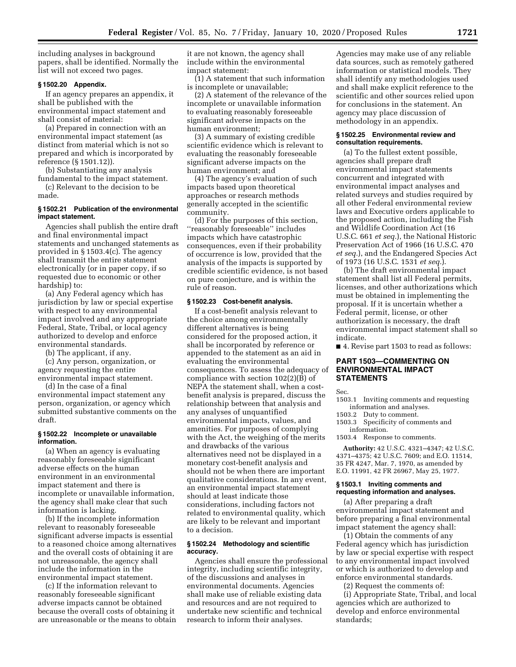including analyses in background papers, shall be identified. Normally the list will not exceed two pages.

## **§ 1502.20 Appendix.**

If an agency prepares an appendix, it shall be published with the environmental impact statement and shall consist of material:

(a) Prepared in connection with an environmental impact statement (as distinct from material which is not so prepared and which is incorporated by reference (§ 1501.12)).

(b) Substantiating any analysis fundamental to the impact statement.

(c) Relevant to the decision to be made.

# **§ 1502.21 Publication of the environmental impact statement.**

Agencies shall publish the entire draft and final environmental impact statements and unchanged statements as provided in § 1503.4(c). The agency shall transmit the entire statement electronically (or in paper copy, if so requested due to economic or other hardship) to:

(a) Any Federal agency which has jurisdiction by law or special expertise with respect to any environmental impact involved and any appropriate Federal, State, Tribal, or local agency authorized to develop and enforce environmental standards.

(b) The applicant, if any.

(c) Any person, organization, or agency requesting the entire environmental impact statement.

(d) In the case of a final environmental impact statement any person, organization, or agency which submitted substantive comments on the draft.

## **§ 1502.22 Incomplete or unavailable information.**

(a) When an agency is evaluating reasonably foreseeable significant adverse effects on the human environment in an environmental impact statement and there is incomplete or unavailable information, the agency shall make clear that such information is lacking.

(b) If the incomplete information relevant to reasonably foreseeable significant adverse impacts is essential to a reasoned choice among alternatives and the overall costs of obtaining it are not unreasonable, the agency shall include the information in the environmental impact statement.

(c) If the information relevant to reasonably foreseeable significant adverse impacts cannot be obtained because the overall costs of obtaining it are unreasonable or the means to obtain it are not known, the agency shall include within the environmental impact statement:

(1) A statement that such information is incomplete or unavailable;

(2) A statement of the relevance of the incomplete or unavailable information to evaluating reasonably foreseeable significant adverse impacts on the human environment;

(3) A summary of existing credible scientific evidence which is relevant to evaluating the reasonably foreseeable significant adverse impacts on the human environment; and

(4) The agency's evaluation of such impacts based upon theoretical approaches or research methods generally accepted in the scientific community.

(d) For the purposes of this section, ''reasonably foreseeable'' includes impacts which have catastrophic consequences, even if their probability of occurrence is low, provided that the analysis of the impacts is supported by credible scientific evidence, is not based on pure conjecture, and is within the rule of reason.

#### **§ 1502.23 Cost-benefit analysis.**

If a cost-benefit analysis relevant to the choice among environmentally different alternatives is being considered for the proposed action, it shall be incorporated by reference or appended to the statement as an aid in evaluating the environmental consequences. To assess the adequacy of compliance with section 102(2)(B) of NEPA the statement shall, when a costbenefit analysis is prepared, discuss the relationship between that analysis and any analyses of unquantified environmental impacts, values, and amenities. For purposes of complying with the Act, the weighing of the merits and drawbacks of the various alternatives need not be displayed in a monetary cost-benefit analysis and should not be when there are important qualitative considerations. In any event, an environmental impact statement should at least indicate those considerations, including factors not related to environmental quality, which are likely to be relevant and important to a decision.

## **§ 1502.24 Methodology and scientific accuracy.**

Agencies shall ensure the professional integrity, including scientific integrity, of the discussions and analyses in environmental documents. Agencies shall make use of reliable existing data and resources and are not required to undertake new scientific and technical research to inform their analyses.

Agencies may make use of any reliable data sources, such as remotely gathered information or statistical models. They shall identify any methodologies used and shall make explicit reference to the scientific and other sources relied upon for conclusions in the statement. An agency may place discussion of methodology in an appendix.

# **§ 1502.25 Environmental review and consultation requirements.**

(a) To the fullest extent possible, agencies shall prepare draft environmental impact statements concurrent and integrated with environmental impact analyses and related surveys and studies required by all other Federal environmental review laws and Executive orders applicable to the proposed action, including the Fish and Wildlife Coordination Act (16 U.S.C. 661 *et seq.*), the National Historic Preservation Act of 1966 (16 U.S.C. 470 *et seq.*), and the Endangered Species Act of 1973 (16 U.S.C. 1531 *et seq.*).

(b) The draft environmental impact statement shall list all Federal permits, licenses, and other authorizations which must be obtained in implementing the proposal. If it is uncertain whether a Federal permit, license, or other authorization is necessary, the draft environmental impact statement shall so indicate.

■ 4. Revise part 1503 to read as follows:

# **PART 1503—COMMENTING ON ENVIRONMENTAL IMPACT STATEMENTS**

Sec.

- 1503.1 Inviting comments and requesting information and analyses.
- 1503.2 Duty to comment.
- 1503.3 Specificity of comments and information.

1503.4 Response to comments.

**Authority:** 42 U.S.C. 4321–4347; 42 U.S.C. 4371–4375; 42 U.S.C. 7609; and E.O. 11514, 35 FR 4247, Mar. 7, 1970, as amended by E.O. 11991, 42 FR 26967, May 25, 1977.

# **§ 1503.1 Inviting comments and requesting information and analyses.**

(a) After preparing a draft environmental impact statement and before preparing a final environmental impact statement the agency shall:

(1) Obtain the comments of any Federal agency which has jurisdiction by law or special expertise with respect to any environmental impact involved or which is authorized to develop and enforce environmental standards.

(2) Request the comments of:

(i) Appropriate State, Tribal, and local agencies which are authorized to develop and enforce environmental standards;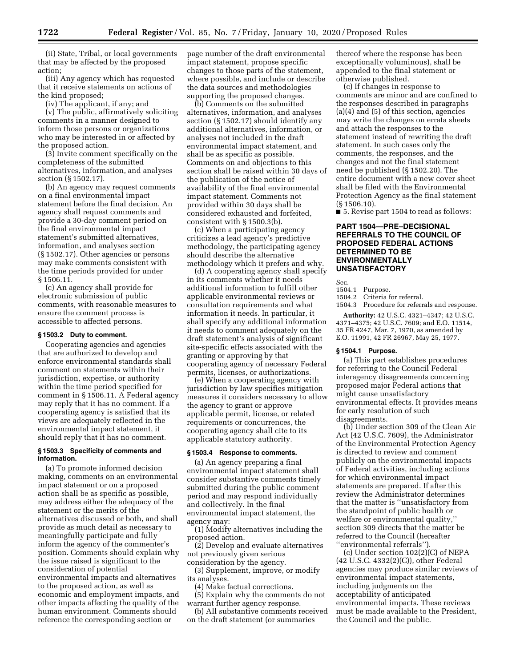(ii) State, Tribal, or local governments that may be affected by the proposed action;

(iii) Any agency which has requested that it receive statements on actions of the kind proposed;

(iv) The applicant, if any; and

(v) The public, affirmatively soliciting comments in a manner designed to inform those persons or organizations who may be interested in or affected by the proposed action.

(3) Invite comment specifically on the completeness of the submitted alternatives, information, and analyses section (§ 1502.17).

(b) An agency may request comments on a final environmental impact statement before the final decision. An agency shall request comments and provide a 30-day comment period on the final environmental impact statement's submitted alternatives, information, and analyses section (§ 1502.17). Other agencies or persons may make comments consistent with the time periods provided for under § 1506.11.

(c) An agency shall provide for electronic submission of public comments, with reasonable measures to ensure the comment process is accessible to affected persons.

#### **§ 1503.2 Duty to comment.**

Cooperating agencies and agencies that are authorized to develop and enforce environmental standards shall comment on statements within their jurisdiction, expertise, or authority within the time period specified for comment in § 1506.11. A Federal agency may reply that it has no comment. If a cooperating agency is satisfied that its views are adequately reflected in the environmental impact statement, it should reply that it has no comment.

## **§ 1503.3 Specificity of comments and information.**

(a) To promote informed decision making, comments on an environmental impact statement or on a proposed action shall be as specific as possible, may address either the adequacy of the statement or the merits of the alternatives discussed or both, and shall provide as much detail as necessary to meaningfully participate and fully inform the agency of the commenter's position. Comments should explain why the issue raised is significant to the consideration of potential environmental impacts and alternatives to the proposed action, as well as economic and employment impacts, and other impacts affecting the quality of the human environment. Comments should reference the corresponding section or

page number of the draft environmental impact statement, propose specific changes to those parts of the statement, where possible, and include or describe the data sources and methodologies supporting the proposed changes.

(b) Comments on the submitted alternatives, information, and analyses section (§ 1502.17) should identify any additional alternatives, information, or analyses not included in the draft environmental impact statement, and shall be as specific as possible. Comments on and objections to this section shall be raised within 30 days of the publication of the notice of availability of the final environmental impact statement. Comments not provided within 30 days shall be considered exhausted and forfeited, consistent with § 1500.3(b).

(c) When a participating agency criticizes a lead agency's predictive methodology, the participating agency should describe the alternative methodology which it prefers and why.

(d) A cooperating agency shall specify in its comments whether it needs additional information to fulfill other applicable environmental reviews or consultation requirements and what information it needs. In particular, it shall specify any additional information it needs to comment adequately on the draft statement's analysis of significant site-specific effects associated with the granting or approving by that cooperating agency of necessary Federal permits, licenses, or authorizations.

(e) When a cooperating agency with jurisdiction by law specifies mitigation measures it considers necessary to allow the agency to grant or approve applicable permit, license, or related requirements or concurrences, the cooperating agency shall cite to its applicable statutory authority.

## **§ 1503.4 Response to comments.**

(a) An agency preparing a final environmental impact statement shall consider substantive comments timely submitted during the public comment period and may respond individually and collectively. In the final environmental impact statement, the agency may:

(1) Modify alternatives including the proposed action.

(2) Develop and evaluate alternatives not previously given serious consideration by the agency.

(3) Supplement, improve, or modify its analyses.

(4) Make factual corrections.

(5) Explain why the comments do not warrant further agency response.

(b) All substantive comments received on the draft statement (or summaries

thereof where the response has been exceptionally voluminous), shall be appended to the final statement or otherwise published.

(c) If changes in response to comments are minor and are confined to the responses described in paragraphs (a)(4) and (5) of this section, agencies may write the changes on errata sheets and attach the responses to the statement instead of rewriting the draft statement. In such cases only the comments, the responses, and the changes and not the final statement need be published (§ 1502.20). The entire document with a new cover sheet shall be filed with the Environmental Protection Agency as the final statement (§ 1506.10).

■ 5. Revise part 1504 to read as follows:

# **PART 1504—PRE–DECISIONAL REFERRALS TO THE COUNCIL OF PROPOSED FEDERAL ACTIONS DETERMINED TO BE ENVIRONMENTALLY UNSATISFACTORY**

Sec.

- 
- 1504.1 Purpose. Criteria for referral.

1504.3 Procedure for referrals and response.

**Authority:** 42 U.S.C. 4321–4347; 42 U.S.C. 4371–4375; 42 U.S.C. 7609; and E.O. 11514, 35 FR 4247, Mar. 7, 1970, as amended by E.O. 11991, 42 FR 26967, May 25, 1977.

## **§ 1504.1 Purpose.**

(a) This part establishes procedures for referring to the Council Federal interagency disagreements concerning proposed major Federal actions that might cause unsatisfactory environmental effects. It provides means for early resolution of such disagreements.

(b) Under section 309 of the Clean Air Act (42 U.S.C. 7609), the Administrator of the Environmental Protection Agency is directed to review and comment publicly on the environmental impacts of Federal activities, including actions for which environmental impact statements are prepared. If after this review the Administrator determines that the matter is ''unsatisfactory from the standpoint of public health or welfare or environmental quality,'' section 309 directs that the matter be referred to the Council (hereafter ''environmental referrals'').

(c) Under section 102(2)(C) of NEPA (42 U.S.C. 4332(2)(C)), other Federal agencies may produce similar reviews of environmental impact statements, including judgments on the acceptability of anticipated environmental impacts. These reviews must be made available to the President, the Council and the public.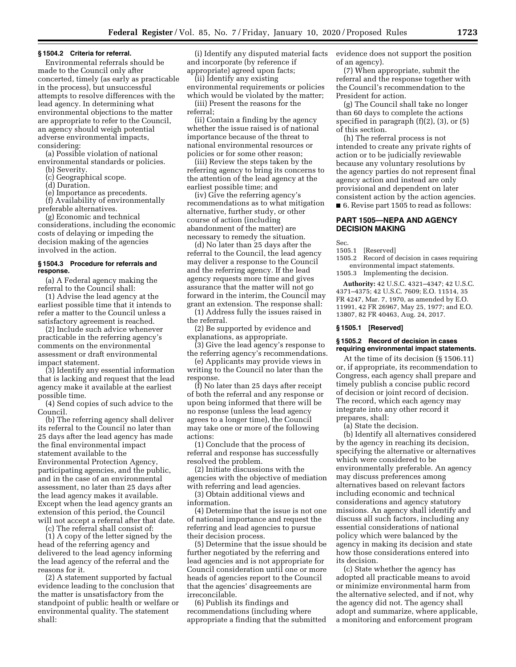### **§ 1504.2 Criteria for referral.**

Environmental referrals should be made to the Council only after concerted, timely (as early as practicable in the process), but unsuccessful attempts to resolve differences with the lead agency. In determining what environmental objections to the matter are appropriate to refer to the Council, an agency should weigh potential adverse environmental impacts, considering:

(a) Possible violation of national environmental standards or policies.

(b) Severity.

(c) Geographical scope.

(d) Duration.

(e) Importance as precedents.

(f) Availability of environmentally preferable alternatives.

(g) Economic and technical considerations, including the economic costs of delaying or impeding the decision making of the agencies involved in the action.

#### **§ 1504.3 Procedure for referrals and response.**

(a) A Federal agency making the referral to the Council shall:

(1) Advise the lead agency at the earliest possible time that it intends to refer a matter to the Council unless a satisfactory agreement is reached.

(2) Include such advice whenever practicable in the referring agency's comments on the environmental assessment or draft environmental impact statement.

(3) Identify any essential information that is lacking and request that the lead agency make it available at the earliest possible time.

(4) Send copies of such advice to the Council.

(b) The referring agency shall deliver its referral to the Council no later than 25 days after the lead agency has made the final environmental impact statement available to the Environmental Protection Agency, participating agencies, and the public, and in the case of an environmental assessment, no later than 25 days after the lead agency makes it available. Except when the lead agency grants an extension of this period, the Council will not accept a referral after that date.

(c) The referral shall consist of:

(1) A copy of the letter signed by the head of the referring agency and delivered to the lead agency informing the lead agency of the referral and the reasons for it.

(2) A statement supported by factual evidence leading to the conclusion that the matter is unsatisfactory from the standpoint of public health or welfare or environmental quality. The statement shall:

(i) Identify any disputed material facts and incorporate (by reference if appropriate) agreed upon facts;

(ii) Identify any existing

environmental requirements or policies which would be violated by the matter;

(iii) Present the reasons for the referral;

(ii) Contain a finding by the agency whether the issue raised is of national importance because of the threat to national environmental resources or policies or for some other reason;

(iii) Review the steps taken by the referring agency to bring its concerns to the attention of the lead agency at the earliest possible time; and

(iv) Give the referring agency's recommendations as to what mitigation alternative, further study, or other course of action (including abandonment of the matter) are necessary to remedy the situation.

(d) No later than 25 days after the referral to the Council, the lead agency may deliver a response to the Council and the referring agency. If the lead agency requests more time and gives assurance that the matter will not go forward in the interim, the Council may grant an extension. The response shall:

(1) Address fully the issues raised in the referral.

(2) Be supported by evidence and explanations, as appropriate.

(3) Give the lead agency's response to the referring agency's recommendations.

(e) Applicants may provide views in writing to the Council no later than the response.

(f) No later than 25 days after receipt of both the referral and any response or upon being informed that there will be no response (unless the lead agency agrees to a longer time), the Council may take one or more of the following actions:

(1) Conclude that the process of referral and response has successfully resolved the problem.

(2) Initiate discussions with the agencies with the objective of mediation with referring and lead agencies.

(3) Obtain additional views and information.

(4) Determine that the issue is not one of national importance and request the referring and lead agencies to pursue their decision process.

(5) Determine that the issue should be further negotiated by the referring and lead agencies and is not appropriate for Council consideration until one or more heads of agencies report to the Council that the agencies' disagreements are irreconcilable.

(6) Publish its findings and recommendations (including where appropriate a finding that the submitted evidence does not support the position of an agency).

(7) When appropriate, submit the referral and the response together with the Council's recommendation to the President for action.

(g) The Council shall take no longer than 60 days to complete the actions specified in paragraph (f)(2), (3), or (5) of this section.

(h) The referral process is not intended to create any private rights of action or to be judicially reviewable because any voluntary resolutions by the agency parties do not represent final agency action and instead are only provisional and dependent on later consistent action by the action agencies. ■ 6. Revise part 1505 to read as follows:

# **PART 1505—NEPA AND AGENCY DECISION MAKING**

Sec.

1505.1 [Reserved]

1505.2 Record of decision in cases requiring environmental impact statements.

1505.3 Implementing the decision.

**Authority:** 42 U.S.C. 4321–4347; 42 U.S.C. 4371–4375; 42 U.S.C. 7609; E.O. 11514, 35 FR 4247, Mar. 7, 1970, as amended by E.O. 11991, 42 FR 26967, May 25, 1977; and E.O. 13807, 82 FR 40463, Aug. 24, 2017.

#### **§ 1505.1 [Reserved]**

### **§ 1505.2 Record of decision in cases requiring environmental impact statements.**

At the time of its decision (§ 1506.11) or, if appropriate, its recommendation to Congress, each agency shall prepare and timely publish a concise public record of decision or joint record of decision. The record, which each agency may integrate into any other record it prepares, shall:

(a) State the decision.

(b) Identify all alternatives considered by the agency in reaching its decision, specifying the alternative or alternatives which were considered to be environmentally preferable. An agency may discuss preferences among alternatives based on relevant factors including economic and technical considerations and agency statutory missions. An agency shall identify and discuss all such factors, including any essential considerations of national policy which were balanced by the agency in making its decision and state how those considerations entered into its decision.

(c) State whether the agency has adopted all practicable means to avoid or minimize environmental harm from the alternative selected, and if not, why the agency did not. The agency shall adopt and summarize, where applicable, a monitoring and enforcement program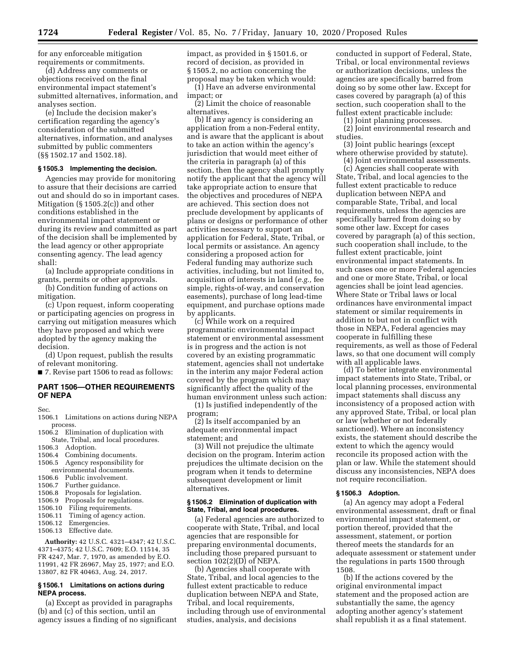for any enforceable mitigation requirements or commitments.

(d) Address any comments or objections received on the final environmental impact statement's submitted alternatives, information, and analyses section.

(e) Include the decision maker's certification regarding the agency's consideration of the submitted alternatives, information, and analyses submitted by public commenters (§§ 1502.17 and 1502.18).

#### **§ 1505.3 Implementing the decision.**

Agencies may provide for monitoring to assure that their decisions are carried out and should do so in important cases. Mitigation (§ 1505.2(c)) and other conditions established in the environmental impact statement or during its review and committed as part of the decision shall be implemented by the lead agency or other appropriate consenting agency. The lead agency shall:

(a) Include appropriate conditions in grants, permits or other approvals.

(b) Condition funding of actions on mitigation.

(c) Upon request, inform cooperating or participating agencies on progress in carrying out mitigation measures which they have proposed and which were adopted by the agency making the decision.

(d) Upon request, publish the results of relevant monitoring.

■ 7. Revise part 1506 to read as follows:

# **PART 1506—OTHER REQUIREMENTS OF NEPA**

Sec.

- 1506.1 Limitations on actions during NEPA process.
- 1506.2 Elimination of duplication with State, Tribal, and local procedures.
- 1506.3 Adoption.
- 1506.4 Combining documents.
- 1506.5 Agency responsibility for
- environmental documents.
- 1506.6 Public involvement.
- 1506.7 Further guidance.
- 1506.8 Proposals for legislation. 1506.9 Proposals for regulations.
- 1506.10 Filing requirements.
- 1506.11 Timing of agency action.
- 1506.12 Emergencies.
- 1506.13 Effective date.

**Authority:** 42 U.S.C. 4321–4347; 42 U.S.C. 4371–4375; 42 U.S.C. 7609; E.O. 11514, 35 FR 4247, Mar. 7, 1970, as amended by E.O. 11991, 42 FR 26967, May 25, 1977; and E.O. 13807, 82 FR 40463, Aug. 24, 2017.

# **§ 1506.1 Limitations on actions during NEPA process.**

(a) Except as provided in paragraphs (b) and (c) of this section, until an agency issues a finding of no significant impact, as provided in § 1501.6, or record of decision, as provided in § 1505.2, no action concerning the proposal may be taken which would:

(1) Have an adverse environmental impact; or

(2) Limit the choice of reasonable alternatives.

(b) If any agency is considering an application from a non-Federal entity, and is aware that the applicant is about to take an action within the agency's jurisdiction that would meet either of the criteria in paragraph (a) of this section, then the agency shall promptly notify the applicant that the agency will take appropriate action to ensure that the objectives and procedures of NEPA are achieved. This section does not preclude development by applicants of plans or designs or performance of other activities necessary to support an application for Federal, State, Tribal, or local permits or assistance. An agency considering a proposed action for Federal funding may authorize such activities, including, but not limited to, acquisition of interests in land (*e.g.,* fee simple, rights-of-way, and conservation easements), purchase of long lead-time equipment, and purchase options made by applicants.

(c) While work on a required programmatic environmental impact statement or environmental assessment is in progress and the action is not covered by an existing programmatic statement, agencies shall not undertake in the interim any major Federal action covered by the program which may significantly affect the quality of the human environment unless such action:

(1) Is justified independently of the program;

(2) Is itself accompanied by an adequate environmental impact statement; and

(3) Will not prejudice the ultimate decision on the program. Interim action prejudices the ultimate decision on the program when it tends to determine subsequent development or limit alternatives.

## **§ 1506.2 Elimination of duplication with State, Tribal, and local procedures.**

(a) Federal agencies are authorized to cooperate with State, Tribal, and local agencies that are responsible for preparing environmental documents, including those prepared pursuant to section 102(2)(D) of NEPA.

(b) Agencies shall cooperate with State, Tribal, and local agencies to the fullest extent practicable to reduce duplication between NEPA and State, Tribal, and local requirements, including through use of environmental studies, analysis, and decisions

conducted in support of Federal, State, Tribal, or local environmental reviews or authorization decisions, unless the agencies are specifically barred from doing so by some other law. Except for cases covered by paragraph (a) of this section, such cooperation shall to the fullest extent practicable include:

(1) Joint planning processes.

(2) Joint environmental research and studies.

(3) Joint public hearings (except where otherwise provided by statute). (4) Joint environmental assessments.

(c) Agencies shall cooperate with State, Tribal, and local agencies to the fullest extent practicable to reduce duplication between NEPA and comparable State, Tribal, and local requirements, unless the agencies are specifically barred from doing so by some other law. Except for cases covered by paragraph (a) of this section, such cooperation shall include, to the fullest extent practicable, joint environmental impact statements. In such cases one or more Federal agencies and one or more State, Tribal, or local agencies shall be joint lead agencies. Where State or Tribal laws or local ordinances have environmental impact statement or similar requirements in addition to but not in conflict with those in NEPA, Federal agencies may cooperate in fulfilling these requirements, as well as those of Federal laws, so that one document will comply with all applicable laws.

(d) To better integrate environmental impact statements into State, Tribal, or local planning processes, environmental impact statements shall discuss any inconsistency of a proposed action with any approved State, Tribal, or local plan or law (whether or not federally sanctioned). Where an inconsistency exists, the statement should describe the extent to which the agency would reconcile its proposed action with the plan or law. While the statement should discuss any inconsistencies, NEPA does not require reconciliation.

#### **§ 1506.3 Adoption.**

(a) An agency may adopt a Federal environmental assessment, draft or final environmental impact statement, or portion thereof, provided that the assessment, statement, or portion thereof meets the standards for an adequate assessment or statement under the regulations in parts 1500 through 1508.

(b) If the actions covered by the original environmental impact statement and the proposed action are substantially the same, the agency adopting another agency's statement shall republish it as a final statement.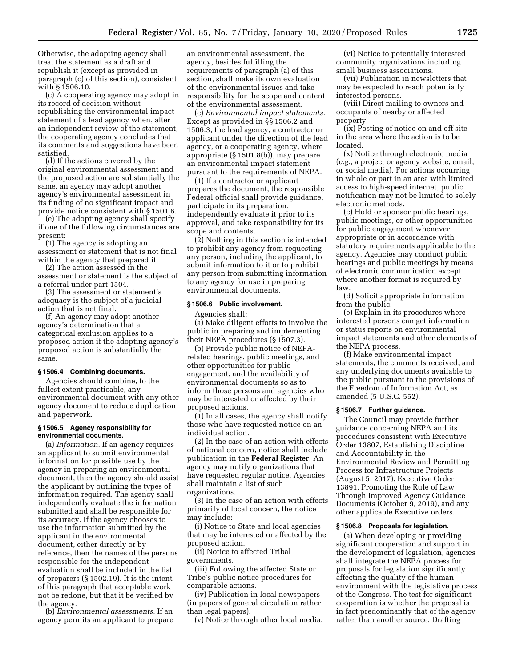Otherwise, the adopting agency shall treat the statement as a draft and republish it (except as provided in paragraph (c) of this section), consistent with § 1506.10.

(c) A cooperating agency may adopt in its record of decision without republishing the environmental impact statement of a lead agency when, after an independent review of the statement, the cooperating agency concludes that its comments and suggestions have been satisfied.

(d) If the actions covered by the original environmental assessment and the proposed action are substantially the same, an agency may adopt another agency's environmental assessment in its finding of no significant impact and provide notice consistent with § 1501.6.

(e) The adopting agency shall specify if one of the following circumstances are present:

(1) The agency is adopting an assessment or statement that is not final within the agency that prepared it.

(2) The action assessed in the assessment or statement is the subject of a referral under part 1504.

(3) The assessment or statement's adequacy is the subject of a judicial action that is not final.

(f) An agency may adopt another agency's determination that a categorical exclusion applies to a proposed action if the adopting agency's proposed action is substantially the same.

#### **§ 1506.4 Combining documents.**

Agencies should combine, to the fullest extent practicable, any environmental document with any other agency document to reduce duplication and paperwork.

#### **§ 1506.5 Agency responsibility for environmental documents.**

(a) *Information.* If an agency requires an applicant to submit environmental information for possible use by the agency in preparing an environmental document, then the agency should assist the applicant by outlining the types of information required. The agency shall independently evaluate the information submitted and shall be responsible for its accuracy. If the agency chooses to use the information submitted by the applicant in the environmental document, either directly or by reference, then the names of the persons responsible for the independent evaluation shall be included in the list of preparers (§ 1502.19). It is the intent of this paragraph that acceptable work not be redone, but that it be verified by the agency.

(b) *Environmental assessments.* If an agency permits an applicant to prepare

an environmental assessment, the agency, besides fulfilling the requirements of paragraph (a) of this section, shall make its own evaluation of the environmental issues and take responsibility for the scope and content of the environmental assessment.

(c) *Environmental impact statements.*  Except as provided in §§ 1506.2 and 1506.3, the lead agency, a contractor or applicant under the direction of the lead agency, or a cooperating agency, where appropriate (§ 1501.8(b)), may prepare an environmental impact statement pursuant to the requirements of NEPA.

(1) If a contractor or applicant prepares the document, the responsible Federal official shall provide guidance, participate in its preparation, independently evaluate it prior to its approval, and take responsibility for its scope and contents.

(2) Nothing in this section is intended to prohibit any agency from requesting any person, including the applicant, to submit information to it or to prohibit any person from submitting information to any agency for use in preparing environmental documents.

# **§ 1506.6 Public involvement.**

Agencies shall:

(a) Make diligent efforts to involve the public in preparing and implementing their NEPA procedures (§ 1507.3).

(b) Provide public notice of NEPArelated hearings, public meetings, and other opportunities for public engagement, and the availability of environmental documents so as to inform those persons and agencies who may be interested or affected by their proposed actions.

(1) In all cases, the agency shall notify those who have requested notice on an individual action.

(2) In the case of an action with effects of national concern, notice shall include publication in the **Federal Register**. An agency may notify organizations that have requested regular notice. Agencies shall maintain a list of such organizations.

(3) In the case of an action with effects primarily of local concern, the notice may include:

(i) Notice to State and local agencies that may be interested or affected by the proposed action.

(ii) Notice to affected Tribal governments.

(iii) Following the affected State or Tribe's public notice procedures for comparable actions.

(iv) Publication in local newspapers (in papers of general circulation rather than legal papers).

(v) Notice through other local media.

(vi) Notice to potentially interested community organizations including small business associations.

(vii) Publication in newsletters that may be expected to reach potentially interested persons.

(viii) Direct mailing to owners and occupants of nearby or affected property.

(ix) Posting of notice on and off site in the area where the action is to be located.

(x) Notice through electronic media (*e.g.,* a project or agency website, email, or social media). For actions occurring in whole or part in an area with limited access to high-speed internet, public notification may not be limited to solely electronic methods.

(c) Hold or sponsor public hearings, public meetings, or other opportunities for public engagement whenever appropriate or in accordance with statutory requirements applicable to the agency. Agencies may conduct public hearings and public meetings by means of electronic communication except where another format is required by law.

(d) Solicit appropriate information from the public.

(e) Explain in its procedures where interested persons can get information or status reports on environmental impact statements and other elements of the NEPA process.

(f) Make environmental impact statements, the comments received, and any underlying documents available to the public pursuant to the provisions of the Freedom of Information Act, as amended (5 U.S.C. 552).

#### **§ 1506.7 Further guidance.**

The Council may provide further guidance concerning NEPA and its procedures consistent with Executive Order 13807, Establishing Discipline and Accountability in the Environmental Review and Permitting Process for Infrastructure Projects (August 5, 2017), Executive Order 13891, Promoting the Rule of Law Through Improved Agency Guidance Documents (October 9, 2019), and any other applicable Executive orders.

#### **§ 1506.8 Proposals for legislation.**

(a) When developing or providing significant cooperation and support in the development of legislation, agencies shall integrate the NEPA process for proposals for legislation significantly affecting the quality of the human environment with the legislative process of the Congress. The test for significant cooperation is whether the proposal is in fact predominantly that of the agency rather than another source. Drafting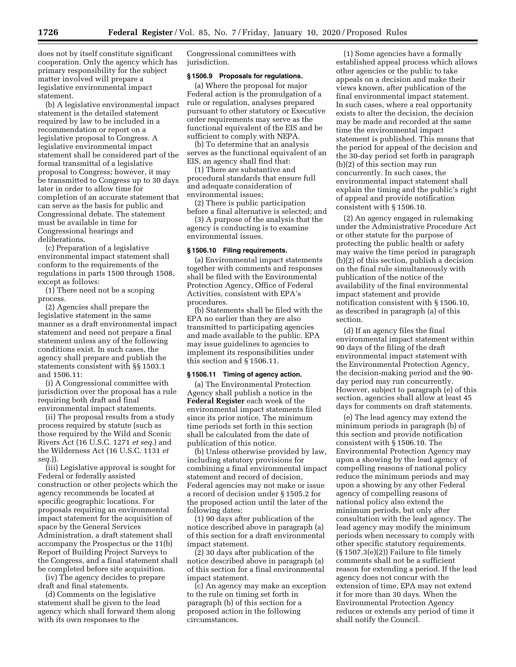does not by itself constitute significant cooperation. Only the agency which has primary responsibility for the subject matter involved will prepare a legislative environmental impact statement.

(b) A legislative environmental impact statement is the detailed statement required by law to be included in a recommendation or report on a legislative proposal to Congress. A legislative environmental impact statement shall be considered part of the formal transmittal of a legislative proposal to Congress; however, it may be transmitted to Congress up to 30 days later in order to allow time for completion of an accurate statement that can serve as the basis for public and Congressional debate. The statement must be available in time for Congressional hearings and deliberations.

(c) Preparation of a legislative environmental impact statement shall conform to the requirements of the regulations in parts 1500 through 1508, except as follows:

(1) There need not be a scoping process.

(2) Agencies shall prepare the legislative statement in the same manner as a draft environmental impact statement and need not prepare a final statement unless any of the following conditions exist. In such cases, the agency shall prepare and publish the statements consistent with §§ 1503.1 and 1506.11:

(i) A Congressional committee with jurisdiction over the proposal has a rule requiring both draft and final environmental impact statements.

(ii) The proposal results from a study process required by statute (such as those required by the Wild and Scenic Rivers Act (16 U.S.C. 1271 *et seq.*) and the Wilderness Act (16 U.S.C. 1131 *et seq.*)).

(iii) Legislative approval is sought for Federal or federally assisted construction or other projects which the agency recommends be located at specific geographic locations. For proposals requiring an environmental impact statement for the acquisition of space by the General Services Administration, a draft statement shall accompany the Prospectus or the 11(b) Report of Building Project Surveys to the Congress, and a final statement shall be completed before site acquisition.

(iv) The agency decides to prepare draft and final statements.

(d) Comments on the legislative statement shall be given to the lead agency which shall forward them along with its own responses to the

Congressional committees with jurisdiction.

# **§ 1506.9 Proposals for regulations.**

(a) Where the proposal for major Federal action is the promulgation of a rule or regulation, analyses prepared pursuant to other statutory or Executive order requirements may serve as the functional equivalent of the EIS and be sufficient to comply with NEPA.

(b) To determine that an analysis serves as the functional equivalent of an EIS, an agency shall find that:

(1) There are substantive and procedural standards that ensure full and adequate consideration of environmental issues;

(2) There is public participation before a final alternative is selected; and

(3) A purpose of the analysis that the agency is conducting is to examine environmental issues.

#### **§ 1506.10 Filing requirements.**

(a) Environmental impact statements together with comments and responses shall be filed with the Environmental Protection Agency, Office of Federal Activities, consistent with EPA's procedures.

(b) Statements shall be filed with the EPA no earlier than they are also transmitted to participating agencies and made available to the public. EPA may issue guidelines to agencies to implement its responsibilities under this section and § 1506.11.

#### **§ 1506.11 Timing of agency action.**

(a) The Environmental Protection Agency shall publish a notice in the **Federal Register** each week of the environmental impact statements filed since its prior notice. The minimum time periods set forth in this section shall be calculated from the date of publication of this notice.

(b) Unless otherwise provided by law, including statutory provisions for combining a final environmental impact statement and record of decision, Federal agencies may not make or issue a record of decision under § 1505.2 for the proposed action until the later of the following dates:

(1) 90 days after publication of the notice described above in paragraph (a) of this section for a draft environmental impact statement.

(2) 30 days after publication of the notice described above in paragraph (a) of this section for a final environmental impact statement.

(c) An agency may make an exception to the rule on timing set forth in paragraph (b) of this section for a proposed action in the following circumstances.

(1) Some agencies have a formally established appeal process which allows other agencies or the public to take appeals on a decision and make their views known, after publication of the final environmental impact statement. In such cases, where a real opportunity exists to alter the decision, the decision may be made and recorded at the same time the environmental impact statement is published. This means that the period for appeal of the decision and the 30-day period set forth in paragraph (b)(2) of this section may run concurrently. In such cases, the environmental impact statement shall explain the timing and the public's right of appeal and provide notification consistent with § 1506.10.

(2) An agency engaged in rulemaking under the Administrative Procedure Act or other statute for the purpose of protecting the public health or safety may waive the time period in paragraph (b)(2) of this section, publish a decision on the final rule simultaneously with publication of the notice of the availability of the final environmental impact statement and provide notification consistent with § 1506.10, as described in paragraph (a) of this section.

(d) If an agency files the final environmental impact statement within 90 days of the filing of the draft environmental impact statement with the Environmental Protection Agency, the decision-making period and the 90 day period may run concurrently. However, subject to paragraph (e) of this section, agencies shall allow at least 45 days for comments on draft statements.

(e) The lead agency may extend the minimum periods in paragraph (b) of this section and provide notification consistent with § 1506.10. The Environmental Protection Agency may upon a showing by the lead agency of compelling reasons of national policy reduce the minimum periods and may upon a showing by any other Federal agency of compelling reasons of national policy also extend the minimum periods, but only after consultation with the lead agency. The lead agency may modify the minimum periods when necessary to comply with other specific statutory requirements. (§ 1507.3(e)(2)) Failure to file timely comments shall not be a sufficient reason for extending a period. If the lead agency does not concur with the extension of time, EPA may not extend it for more than 30 days. When the Environmental Protection Agency reduces or extends any period of time it shall notify the Council.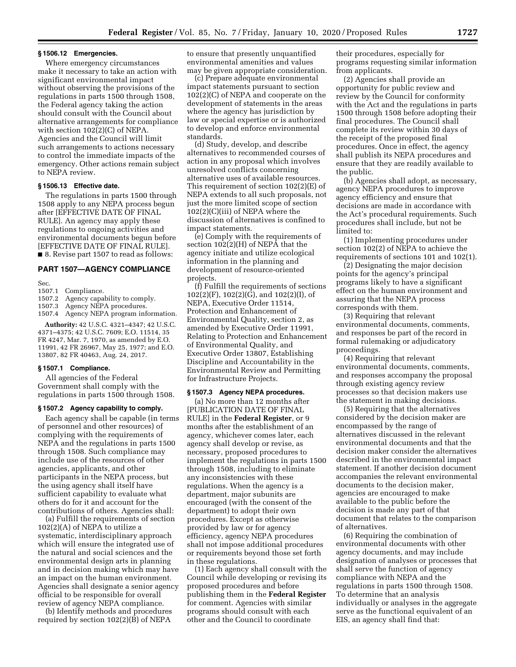### **§ 1506.12 Emergencies.**

Where emergency circumstances make it necessary to take an action with significant environmental impact without observing the provisions of the regulations in parts 1500 through 1508, the Federal agency taking the action should consult with the Council about alternative arrangements for compliance with section 102(2)(C) of NEPA. Agencies and the Council will limit such arrangements to actions necessary to control the immediate impacts of the emergency. Other actions remain subject to NEPA review.

#### **§ 1506.13 Effective date.**

The regulations in parts 1500 through 1508 apply to any NEPA process begun after [EFFECTIVE DATE OF FINAL RULE]. An agency may apply these regulations to ongoing activities and environmental documents begun before [EFFECTIVE DATE OF FINAL RULE]. ■ 8. Revise part 1507 to read as follows:

# **PART 1507—AGENCY COMPLIANCE**

#### Sec.<br>1507.1 Compliance.

1507.2 Agency capability to comply.

- 1507.3 Agency NEPA procedures.
- 1507.4 Agency NEPA program information.

**Authority:** 42 U.S.C. 4321–4347; 42 U.S.C. 4371–4375; 42 U.S.C. 7609; E.O. 11514, 35 FR 4247, Mar. 7, 1970, as amended by E.O. 11991, 42 FR 26967, May 25, 1977; and E.O. 13807, 82 FR 40463, Aug. 24, 2017.

#### **§ 1507.1 Compliance.**

All agencies of the Federal Government shall comply with the regulations in parts 1500 through 1508.

#### **§ 1507.2 Agency capability to comply.**

Each agency shall be capable (in terms of personnel and other resources) of complying with the requirements of NEPA and the regulations in parts 1500 through 1508. Such compliance may include use of the resources of other agencies, applicants, and other participants in the NEPA process, but the using agency shall itself have sufficient capability to evaluate what others do for it and account for the contributions of others. Agencies shall:

(a) Fulfill the requirements of section 102(2)(A) of NEPA to utilize a systematic, interdisciplinary approach which will ensure the integrated use of the natural and social sciences and the environmental design arts in planning and in decision making which may have an impact on the human environment. Agencies shall designate a senior agency official to be responsible for overall review of agency NEPA compliance.

(b) Identify methods and procedures required by section 102(2)(B) of NEPA

to ensure that presently unquantified environmental amenities and values may be given appropriate consideration.

(c) Prepare adequate environmental impact statements pursuant to section 102(2)(C) of NEPA and cooperate on the development of statements in the areas where the agency has jurisdiction by law or special expertise or is authorized to develop and enforce environmental standards.

(d) Study, develop, and describe alternatives to recommended courses of action in any proposal which involves unresolved conflicts concerning alternative uses of available resources. This requirement of section 102(2)(E) of NEPA extends to all such proposals, not just the more limited scope of section 102(2)(C)(iii) of NEPA where the discussion of alternatives is confined to impact statements.

(e) Comply with the requirements of section 102(2)(H) of NEPA that the agency initiate and utilize ecological information in the planning and development of resource-oriented projects.

(f) Fulfill the requirements of sections 102(2)(F), 102(2)(G), and 102(2)(I), of NEPA, Executive Order 11514, Protection and Enhancement of Environmental Quality, section 2, as amended by Executive Order 11991, Relating to Protection and Enhancement of Environmental Quality, and Executive Order 13807, Establishing Discipline and Accountability in the Environmental Review and Permitting for Infrastructure Projects.

#### **§ 1507.3 Agency NEPA procedures.**

(a) No more than 12 months after [PUBLICATION DATE OF FINAL RULE] in the **Federal Register**, or 9 months after the establishment of an agency, whichever comes later, each agency shall develop or revise, as necessary, proposed procedures to implement the regulations in parts 1500 through 1508, including to eliminate any inconsistencies with these regulations. When the agency is a department, major subunits are encouraged (with the consent of the department) to adopt their own procedures. Except as otherwise provided by law or for agency efficiency, agency NEPA procedures shall not impose additional procedures or requirements beyond those set forth in these regulations.

(1) Each agency shall consult with the Council while developing or revising its proposed procedures and before publishing them in the **Federal Register**  for comment. Agencies with similar programs should consult with each other and the Council to coordinate

their procedures, especially for programs requesting similar information from applicants.

(2) Agencies shall provide an opportunity for public review and review by the Council for conformity with the Act and the regulations in parts 1500 through 1508 before adopting their final procedures. The Council shall complete its review within 30 days of the receipt of the proposed final procedures. Once in effect, the agency shall publish its NEPA procedures and ensure that they are readily available to the public.

(b) Agencies shall adopt, as necessary, agency NEPA procedures to improve agency efficiency and ensure that decisions are made in accordance with the Act's procedural requirements. Such procedures shall include, but not be limited to:

(1) Implementing procedures under section 102(2) of NEPA to achieve the requirements of sections 101 and 102(1).

(2) Designating the major decision points for the agency's principal programs likely to have a significant effect on the human environment and assuring that the NEPA process corresponds with them.

(3) Requiring that relevant environmental documents, comments, and responses be part of the record in formal rulemaking or adjudicatory proceedings.

(4) Requiring that relevant environmental documents, comments, and responses accompany the proposal through existing agency review processes so that decision makers use the statement in making decisions.

(5) Requiring that the alternatives considered by the decision maker are encompassed by the range of alternatives discussed in the relevant environmental documents and that the decision maker consider the alternatives described in the environmental impact statement. If another decision document accompanies the relevant environmental documents to the decision maker, agencies are encouraged to make available to the public before the decision is made any part of that document that relates to the comparison of alternatives.

(6) Requiring the combination of environmental documents with other agency documents, and may include designation of analyses or processes that shall serve the function of agency compliance with NEPA and the regulations in parts 1500 through 1508. To determine that an analysis individually or analyses in the aggregate serve as the functional equivalent of an EIS, an agency shall find that: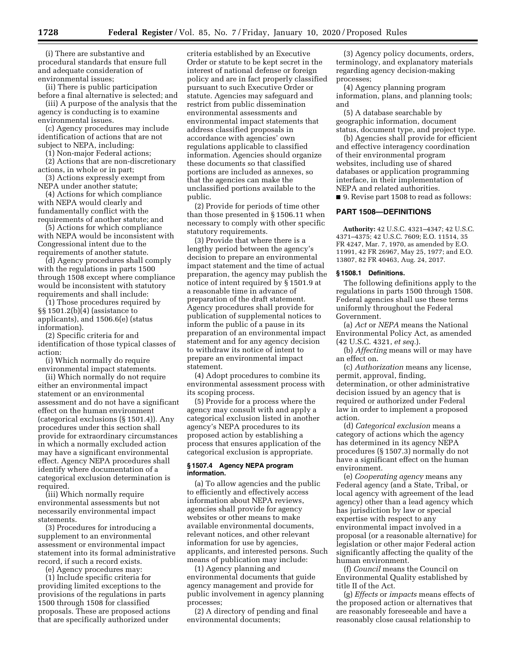(i) There are substantive and procedural standards that ensure full and adequate consideration of environmental issues;

(ii) There is public participation before a final alternative is selected; and

(iii) A purpose of the analysis that the agency is conducting is to examine environmental issues.

(c) Agency procedures may include identification of actions that are not subject to NEPA, including:

(1) Non-major Federal actions;

(2) Actions that are non-discretionary actions, in whole or in part;

(3) Actions expressly exempt from NEPA under another statute;

(4) Actions for which compliance with NEPA would clearly and fundamentally conflict with the requirements of another statute; and

(5) Actions for which compliance with NEPA would be inconsistent with Congressional intent due to the requirements of another statute.

(d) Agency procedures shall comply with the regulations in parts 1500 through 1508 except where compliance would be inconsistent with statutory requirements and shall include:

(1) Those procedures required by §§ 1501.2(b)(4) (assistance to applicants), and 1506.6(e) (status information).

(2) Specific criteria for and identification of those typical classes of action:

(i) Which normally do require environmental impact statements.

(ii) Which normally do not require either an environmental impact statement or an environmental assessment and do not have a significant effect on the human environment (categorical exclusions (§ 1501.4)). Any procedures under this section shall provide for extraordinary circumstances in which a normally excluded action may have a significant environmental effect. Agency NEPA procedures shall identify where documentation of a categorical exclusion determination is required.

(iii) Which normally require environmental assessments but not necessarily environmental impact statements.

(3) Procedures for introducing a supplement to an environmental assessment or environmental impact statement into its formal administrative record, if such a record exists.

(e) Agency procedures may:

(1) Include specific criteria for providing limited exceptions to the provisions of the regulations in parts 1500 through 1508 for classified proposals. These are proposed actions that are specifically authorized under

criteria established by an Executive Order or statute to be kept secret in the interest of national defense or foreign policy and are in fact properly classified pursuant to such Executive Order or statute. Agencies may safeguard and restrict from public dissemination environmental assessments and environmental impact statements that address classified proposals in accordance with agencies' own regulations applicable to classified information. Agencies should organize these documents so that classified portions are included as annexes, so that the agencies can make the unclassified portions available to the public.

(2) Provide for periods of time other than those presented in § 1506.11 when necessary to comply with other specific statutory requirements.

(3) Provide that where there is a lengthy period between the agency's decision to prepare an environmental impact statement and the time of actual preparation, the agency may publish the notice of intent required by § 1501.9 at a reasonable time in advance of preparation of the draft statement. Agency procedures shall provide for publication of supplemental notices to inform the public of a pause in its preparation of an environmental impact statement and for any agency decision to withdraw its notice of intent to prepare an environmental impact statement.

(4) Adopt procedures to combine its environmental assessment process with its scoping process.

(5) Provide for a process where the agency may consult with and apply a categorical exclusion listed in another agency's NEPA procedures to its proposed action by establishing a process that ensures application of the categorical exclusion is appropriate.

### **§ 1507.4 Agency NEPA program information.**

(a) To allow agencies and the public to efficiently and effectively access information about NEPA reviews, agencies shall provide for agency websites or other means to make available environmental documents, relevant notices, and other relevant information for use by agencies, applicants, and interested persons. Such means of publication may include:

(1) Agency planning and environmental documents that guide agency management and provide for public involvement in agency planning processes;

(2) A directory of pending and final environmental documents;

(3) Agency policy documents, orders, terminology, and explanatory materials regarding agency decision-making processes;

(4) Agency planning program information, plans, and planning tools; and

(5) A database searchable by geographic information, document status, document type, and project type.

(b) Agencies shall provide for efficient and effective interagency coordination of their environmental program websites, including use of shared databases or application programming interface, in their implementation of NEPA and related authorities. ■ 9. Revise part 1508 to read as follows:

# **PART 1508—DEFINITIONS**

**Authority:** 42 U.S.C. 4321–4347; 42 U.S.C. 4371–4375; 42 U.S.C. 7609; E.O. 11514, 35 FR 4247, Mar. 7, 1970, as amended by E.O. 11991, 42 FR 26967, May 25, 1977; and E.O. 13807, 82 FR 40463, Aug. 24, 2017.

## **§ 1508.1 Definitions.**

The following definitions apply to the regulations in parts 1500 through 1508. Federal agencies shall use these terms uniformly throughout the Federal Government.

(a) *Act* or *NEPA* means the National Environmental Policy Act, as amended (42 U.S.C. 4321, *et seq.*).

(b) *Affecting* means will or may have an effect on.

(c) *Authorization* means any license, permit, approval, finding, determination, or other administrative decision issued by an agency that is required or authorized under Federal law in order to implement a proposed action.

(d) *Categorical exclusion* means a category of actions which the agency has determined in its agency NEPA procedures (§ 1507.3) normally do not have a significant effect on the human environment.

(e) *Cooperating agency* means any Federal agency (and a State, Tribal, or local agency with agreement of the lead agency) other than a lead agency which has jurisdiction by law or special expertise with respect to any environmental impact involved in a proposal (or a reasonable alternative) for legislation or other major Federal action significantly affecting the quality of the human environment.

(f) *Council* means the Council on Environmental Quality established by title II of the Act.

(g) *Effects* or *impacts* means effects of the proposed action or alternatives that are reasonably foreseeable and have a reasonably close causal relationship to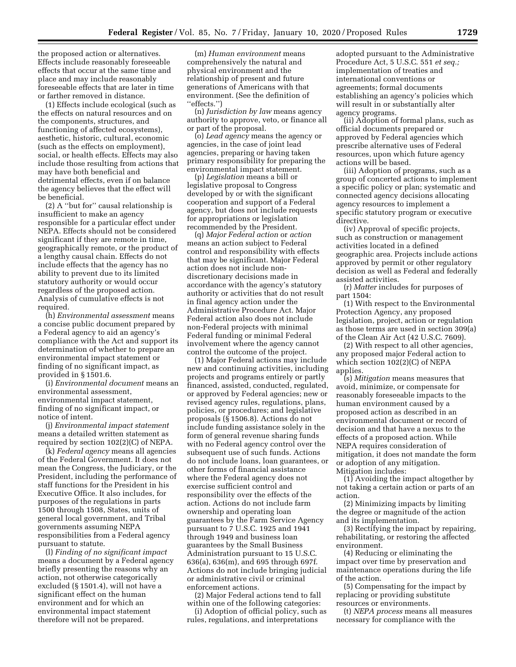the proposed action or alternatives. Effects include reasonably foreseeable effects that occur at the same time and place and may include reasonably foreseeable effects that are later in time or farther removed in distance.

(1) Effects include ecological (such as the effects on natural resources and on the components, structures, and functioning of affected ecosystems), aesthetic, historic, cultural, economic (such as the effects on employment), social, or health effects. Effects may also include those resulting from actions that may have both beneficial and detrimental effects, even if on balance the agency believes that the effect will be beneficial.

(2) A ''but for'' causal relationship is insufficient to make an agency responsible for a particular effect under NEPA. Effects should not be considered significant if they are remote in time, geographically remote, or the product of a lengthy causal chain. Effects do not include effects that the agency has no ability to prevent due to its limited statutory authority or would occur regardless of the proposed action. Analysis of cumulative effects is not required.

(h) *Environmental assessment* means a concise public document prepared by a Federal agency to aid an agency's compliance with the Act and support its determination of whether to prepare an environmental impact statement or finding of no significant impact, as provided in § 1501.6.

(i) *Environmental document* means an environmental assessment, environmental impact statement, finding of no significant impact, or notice of intent.

(j) *Environmental impact statement*  means a detailed written statement as required by section 102(2)(C) of NEPA.

(k) *Federal agency* means all agencies of the Federal Government. It does not mean the Congress, the Judiciary, or the President, including the performance of staff functions for the President in his Executive Office. It also includes, for purposes of the regulations in parts 1500 through 1508, States, units of general local government, and Tribal governments assuming NEPA responsibilities from a Federal agency pursuant to statute.

(l) *Finding of no significant impact*  means a document by a Federal agency briefly presenting the reasons why an action, not otherwise categorically excluded (§ 1501.4), will not have a significant effect on the human environment and for which an environmental impact statement therefore will not be prepared.

(m) *Human environment* means comprehensively the natural and physical environment and the relationship of present and future generations of Americans with that environment. (See the definition of ''effects.'')

(n) *Jurisdiction by law* means agency authority to approve, veto, or finance all or part of the proposal.

(o) *Lead agency* means the agency or agencies, in the case of joint lead agencies, preparing or having taken primary responsibility for preparing the environmental impact statement.

(p) *Legislation* means a bill or legislative proposal to Congress developed by or with the significant cooperation and support of a Federal agency, but does not include requests for appropriations or legislation recommended by the President.

(q) *Major Federal action* or *action*  means an action subject to Federal control and responsibility with effects that may be significant. Major Federal action does not include nondiscretionary decisions made in accordance with the agency's statutory authority or activities that do not result in final agency action under the Administrative Procedure Act. Major Federal action also does not include non-Federal projects with minimal Federal funding or minimal Federal involvement where the agency cannot control the outcome of the project.

(1) Major Federal actions may include new and continuing activities, including projects and programs entirely or partly financed, assisted, conducted, regulated, or approved by Federal agencies; new or revised agency rules, regulations, plans, policies, or procedures; and legislative proposals (§ 1506.8). Actions do not include funding assistance solely in the form of general revenue sharing funds with no Federal agency control over the subsequent use of such funds. Actions do not include loans, loan guarantees, or other forms of financial assistance where the Federal agency does not exercise sufficient control and responsibility over the effects of the action. Actions do not include farm ownership and operating loan guarantees by the Farm Service Agency pursuant to 7 U.S.C. 1925 and 1941 through 1949 and business loan guarantees by the Small Business Administration pursuant to 15 U.S.C. 636(a), 636(m), and 695 through 697f. Actions do not include bringing judicial or administrative civil or criminal enforcement actions.

(2) Major Federal actions tend to fall within one of the following categories:

(i) Adoption of official policy, such as rules, regulations, and interpretations

adopted pursuant to the Administrative Procedure Act, 5 U.S.C. 551 *et seq.;*  implementation of treaties and international conventions or agreements; formal documents establishing an agency's policies which will result in or substantially alter agency programs.

(ii) Adoption of formal plans, such as official documents prepared or approved by Federal agencies which prescribe alternative uses of Federal resources, upon which future agency actions will be based.

(iii) Adoption of programs, such as a group of concerted actions to implement a specific policy or plan; systematic and connected agency decisions allocating agency resources to implement a specific statutory program or executive directive.

(iv) Approval of specific projects, such as construction or management activities located in a defined geographic area. Projects include actions approved by permit or other regulatory decision as well as Federal and federally assisted activities.

(r) *Matter* includes for purposes of part 1504:

(1) With respect to the Environmental Protection Agency, any proposed legislation, project, action or regulation as those terms are used in section 309(a) of the Clean Air Act (42 U.S.C. 7609).

(2) With respect to all other agencies, any proposed major Federal action to which section 102(2)(C) of NEPA applies.

(s) *Mitigation* means measures that avoid, minimize, or compensate for reasonably foreseeable impacts to the human environment caused by a proposed action as described in an environmental document or record of decision and that have a nexus to the effects of a proposed action. While NEPA requires consideration of mitigation, it does not mandate the form or adoption of any mitigation. Mitigation includes:

(1) Avoiding the impact altogether by not taking a certain action or parts of an action.

(2) Minimizing impacts by limiting the degree or magnitude of the action and its implementation.

(3) Rectifying the impact by repairing, rehabilitating, or restoring the affected environment.

(4) Reducing or eliminating the impact over time by preservation and maintenance operations during the life of the action.

(5) Compensating for the impact by replacing or providing substitute resources or environments.

(t) *NEPA process* means all measures necessary for compliance with the